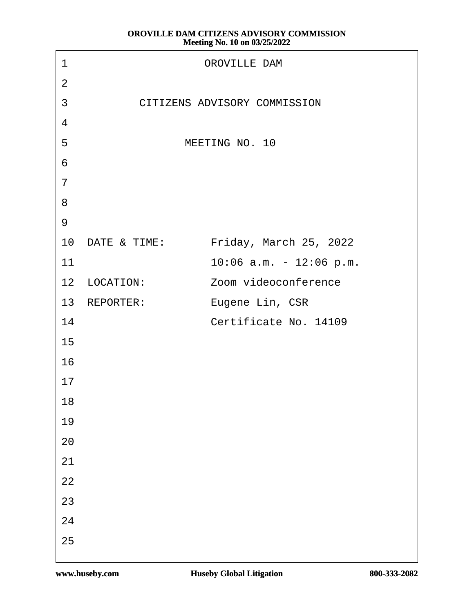| <b>OROVILLE DAM</b><br>1                       |
|------------------------------------------------|
| $\overline{2}$                                 |
| CITIZENS ADVISORY COMMISSION<br>$\mathfrak{S}$ |
| 4                                              |
| MEETING NO. 10<br>5                            |
| 6                                              |
| $\overline{7}$                                 |
| 8                                              |
| $9$                                            |
| 10 DATE & TIME: Friday, March 25, 2022         |
| 11<br>10:06 a.m. - 12:06 p.m.                  |
| 12 LOCATION:<br>Zoom videoconference           |
| 13 REPORTER:<br>Eugene Lin, CSR                |
| Certificate No. 14109<br>14                    |
| 15                                             |
| 16                                             |
| 17                                             |
| 18                                             |
| 19                                             |
| 20                                             |
| 21                                             |
| 22                                             |
| 23                                             |
| 24                                             |
| 25                                             |
|                                                |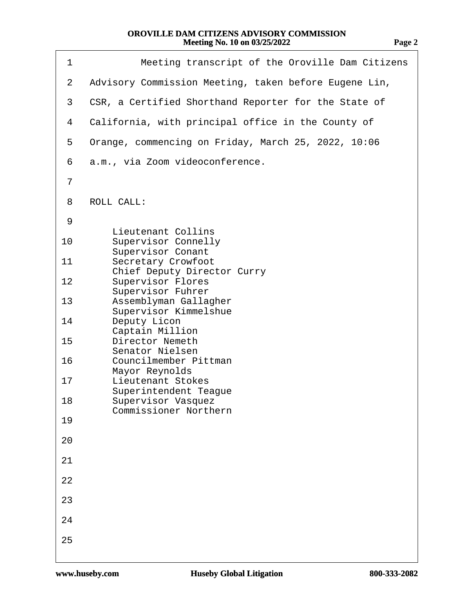| 1              | Meeting transcript of the Oroville Dam Citizens                 |
|----------------|-----------------------------------------------------------------|
| $\overline{2}$ | Advisory Commission Meeting, taken before Eugene Lin,           |
| 3              | CSR, a Certified Shorthand Reporter for the State of            |
| 4              | California, with principal office in the County of              |
| 5              | Orange, commencing on Friday, March 25, 2022, 10:06             |
| 6              | a.m., via Zoom videoconference.                                 |
| $\overline{7}$ |                                                                 |
| 8              | <b>ROLL CALL:</b>                                               |
| 9              | <b>Lieutenant Collins</b>                                       |
| 10             | <b>Supervisor Connelly</b><br><b>Supervisor Conant</b>          |
| 11             | <b>Secretary Crowfoot</b><br><b>Chief Deputy Director Curry</b> |
| 12             | <b>Supervisor Flores</b><br><b>Supervisor Fuhrer</b>            |
| 13             | Assemblyman Gallagher<br><b>Supervisor Kimmelshue</b>           |
| 14             | Deputy Licon<br><b>Captain Million</b>                          |
| 15             | <b>Director Nemeth</b><br><b>Senator Nielsen</b>                |
| 16             | <b>Councilmember Pittman</b><br><b>Mayor Reynolds</b>           |
| 17             | <b>Lieutenant Stokes</b><br><b>Superintendent Teague</b>        |
| 18             | <b>Supervisor Vasquez</b><br><b>Commissioner Northern</b>       |
| 19             |                                                                 |
| 20             |                                                                 |
| 21             |                                                                 |
| 22             |                                                                 |
| 23             |                                                                 |
| 24             |                                                                 |
| 25             |                                                                 |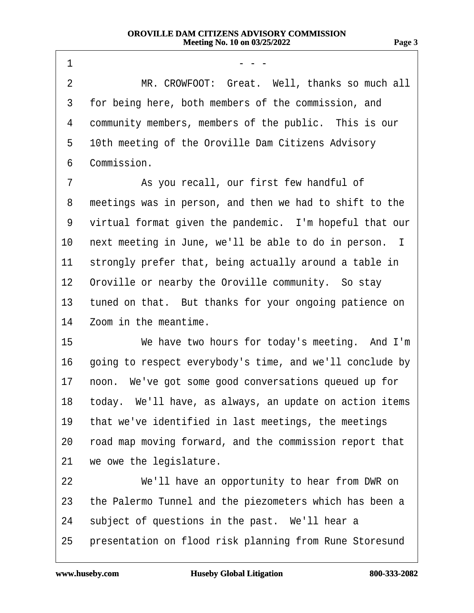$1 \quad \cdots \quad \cdots$ 2 MR. CROWFOOT: Great. Well, thanks so much all 3 for being here, both members of the commission, and 4 community members, members of the public. This is our 5 10th meeting of the Oroville Dam Citizens Advisory 6 Commission. 7 **8** As you recall, our first few handful of 8 meetings was in person, and then we had to shift to the 9 virtual format given the pandemic. I'm hopeful that our 10 next meeting in June, we'll be able to do in person. I 11 strongly prefer that, being actually around a table in 12 Oroville or nearby the Oroville community. So stay 13 tuned on that. But thanks for your ongoing patience on 14 Zoom in the meantime. 15 We have two hours for today's meeting. And I'm 16 going to respect everybody's time, and we'll conclude by 17 noon. We've got some good conversations queued up for 18 today. We'll have, as always, an update on action items 19 that we've identified in last meetings, the meetings 20 road map moving forward, and the commission report that 21 we owe the legislature. 22 We'll have an opportunity to hear from DWR on 23 the Palermo Tunnel and the piezometers which has been a 24 subject of questions in the past. We'll hear a 25 presentation on flood risk planning from Rune Storesund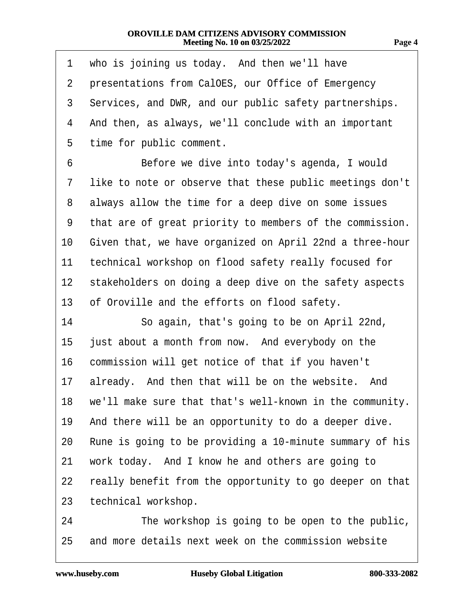| 1              | who is joining us today. And then we'll have                |
|----------------|-------------------------------------------------------------|
| $\overline{2}$ | presentations from CalOES, our Office of Emergency          |
| 3              | Services, and DWR, and our public safety partnerships.      |
| 4              | And then, as always, we'll conclude with an important       |
| 5              | time for public comment.                                    |
| 6              | Before we dive into today's agenda, I would                 |
| 7              | like to note or observe that these public meetings don't    |
| 8              | always allow the time for a deep dive on some issues        |
| 9              | that are of great priority to members of the commission.    |
| 10             | Given that, we have organized on April 22nd a three-hour    |
| 11             | technical workshop on flood safety really focused for       |
| 12             | stakeholders on doing a deep dive on the safety aspects     |
| 13             | of Oroville and the efforts on flood safety.                |
| 14             | So again, that's going to be on April 22nd,                 |
| 15             | just about a month from now. And everybody on the           |
| 16             | commission will get notice of that if you haven't           |
| 17             | already. And then that will be on the website. And          |
|                | 18 we'll make sure that that's well-known in the community. |
| 19             | And there will be an opportunity to do a deeper dive.       |
| 20             | Rune is going to be providing a 10-minute summary of his    |
| 21             | work today. And I know he and others are going to           |
| 22             | really benefit from the opportunity to go deeper on that    |
| 23             | technical workshop.                                         |
| 24             | The workshop is going to be open to the public,             |
| 25             | and more details next week on the commission website        |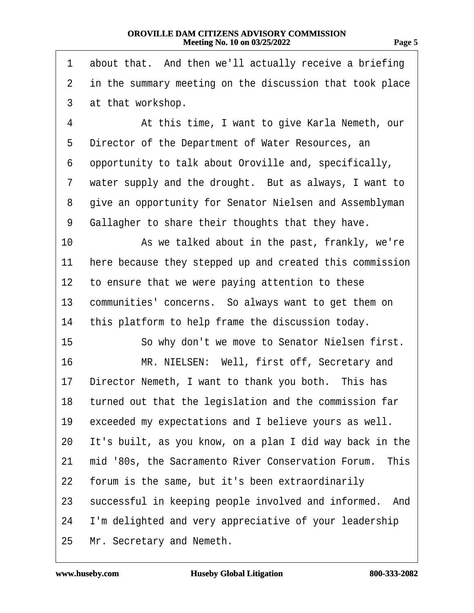1 about that. And then we'll actually receive a briefing

| $\mathbf{2}$    | in the summary meeting on the discussion that took place  |
|-----------------|-----------------------------------------------------------|
| 3               | at that workshop.                                         |
| 4               | At this time, I want to give Karla Nemeth, our            |
| 5               | Director of the Department of Water Resources, an         |
| 6               | opportunity to talk about Oroville and, specifically,     |
| 7               | water supply and the drought. But as always, I want to    |
| 8               | give an opportunity for Senator Nielsen and Assemblyman   |
| 9               | Gallagher to share their thoughts that they have.         |
| 10              | As we talked about in the past, frankly, we're            |
| 11              | here because they stepped up and created this commission  |
| 12 <sub>2</sub> | to ensure that we were paying attention to these          |
| 13              | communities' concerns. So always want to get them on      |
| 14              | this platform to help frame the discussion today.         |
| 15              | So why don't we move to Senator Nielsen first.            |
| 16              | MR. NIELSEN: Well, first off, Secretary and               |
| 17              | Director Nemeth, I want to thank you both. This has       |
|                 | 18 turned out that the legislation and the commission far |
| 19              | exceeded my expectations and I believe yours as well.     |
| 20              | It's built, as you know, on a plan I did way back in the  |
| 21              | mid '80s, the Sacramento River Conservation Forum. This   |
| 22              | forum is the same, but it's been extraordinarily          |
| 23              | successful in keeping people involved and informed. And   |
| 24              | I'm delighted and very appreciative of your leadership    |
|                 | 25 Mr. Secretary and Nemeth.                              |
|                 |                                                           |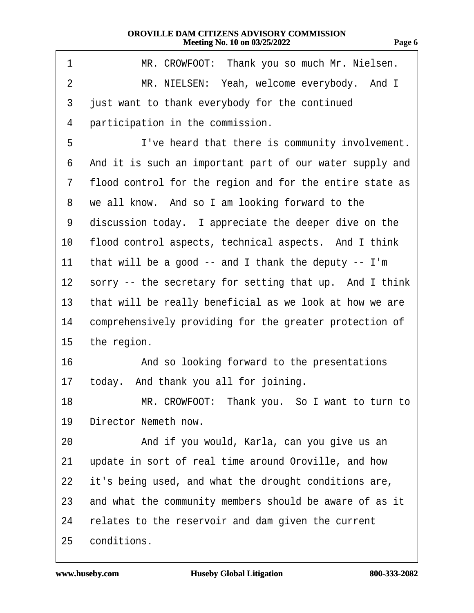| . .<br>٠ |  |
|----------|--|
|----------|--|

| 1              | MR. CROWFOOT: Thank you so much Mr. Nielsen.               |
|----------------|------------------------------------------------------------|
| $\overline{2}$ | MR. NIELSEN: Yeah, welcome everybody. And I                |
| 3              | just want to thank everybody for the continued             |
| 4              | participation in the commission.                           |
| 5              | I've heard that there is community involvement.            |
| 6              | And it is such an important part of our water supply and   |
| $\overline{7}$ | flood control for the region and for the entire state as   |
| 8              | we all know. And so I am looking forward to the            |
| 9              | discussion today. I appreciate the deeper dive on the      |
| 10             | flood control aspects, technical aspects. And I think      |
| 11             | that will be a good -- and I thank the deputy -- I'm       |
|                | 12 sorry -- the secretary for setting that up. And I think |
| 13             | that will be really beneficial as we look at how we are    |
| 14             | comprehensively providing for the greater protection of    |
|                | 15 the region.                                             |
| 16             | And so looking forward to the presentations                |
|                | 17 today. And thank you all for joining.                   |
| 18             | MR. CROWFOOT: Thank you. So I want to turn to              |
| 19             | Director Nemeth now.                                       |
| 20             | And if you would, Karla, can you give us an                |
| 21             | update in sort of real time around Oroville, and how       |
| 22             | it's being used, and what the drought conditions are,      |
| 23             | and what the community members should be aware of as it    |
| 24             | relates to the reservoir and dam given the current         |
| 25             | conditions.                                                |

Г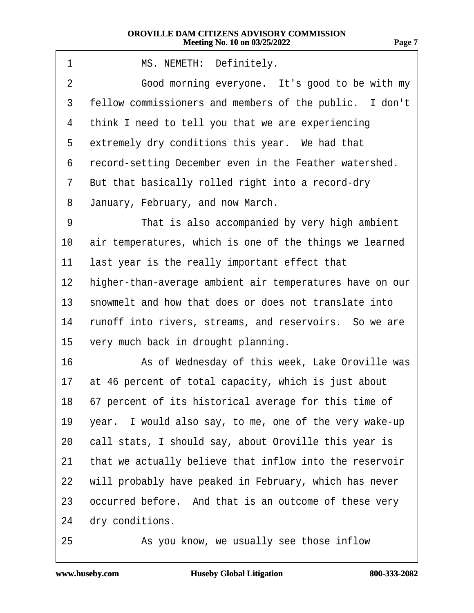| 1  | MS. NEMETH: Definitely.                                  |
|----|----------------------------------------------------------|
| 2  | Good morning everyone. It's good to be with my           |
| 3  | fellow commissioners and members of the public. I don't  |
| 4  | think I need to tell you that we are experiencing        |
| 5  | extremely dry conditions this year. We had that          |
| 6  | record-setting December even in the Feather watershed.   |
| 7  | But that basically rolled right into a record-dry        |
| 8  | January, February, and now March.                        |
| 9  | That is also accompanied by very high ambient            |
| 10 | air temperatures, which is one of the things we learned  |
| 11 | last year is the really important effect that            |
| 12 | higher-than-average ambient air temperatures have on our |
| 13 | snowmelt and how that does or does not translate into    |
| 14 | runoff into rivers, streams, and reservoirs. So we are   |
| 15 | very much back in drought planning.                      |
| 16 | As of Wednesday of this week, Lake Oroville was          |
| 17 | at 46 percent of total capacity, which is just about     |
|    | 18 67 percent of its historical average for this time of |
| 19 | year. I would also say, to me, one of the very wake-up   |
| 20 | call stats, I should say, about Oroville this year is    |
| 21 | that we actually believe that inflow into the reservoir  |
| 22 | will probably have peaked in February, which has never   |
| 23 | occurred before. And that is an outcome of these very    |
| 24 | dry conditions.                                          |
| 25 | As you know, we usually see those inflow                 |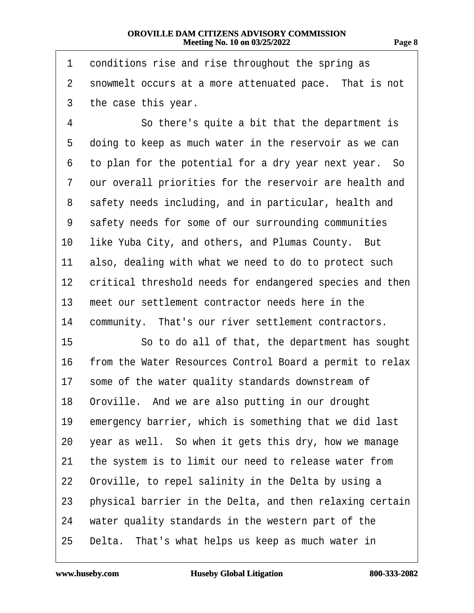| 1               | conditions rise and rise throughout the spring as        |
|-----------------|----------------------------------------------------------|
| 2               | snowmelt occurs at a more attenuated pace. That is not   |
| 3               | the case this year.                                      |
| 4               | So there's quite a bit that the department is            |
| 5               | doing to keep as much water in the reservoir as we can   |
| 6               | to plan for the potential for a dry year next year. So   |
| 7               | our overall priorities for the reservoir are health and  |
| 8               | safety needs including, and in particular, health and    |
| 9               | safety needs for some of our surrounding communities     |
| 10              | like Yuba City, and others, and Plumas County. But       |
| 11              | also, dealing with what we need to do to protect such    |
| 12 <sub>2</sub> | critical threshold needs for endangered species and then |
| 13              | meet our settlement contractor needs here in the         |
| 14              | community. That's our river settlement contractors.      |
| 15              | So to do all of that, the department has sought          |
| 16              | from the Water Resources Control Board a permit to relax |
| 17              | some of the water quality standards downstream of        |
| 18              | Oroville. And we are also putting in our drought         |
| 19              | emergency barrier, which is something that we did last   |
| 20              | year as well. So when it gets this dry, how we manage    |
| 21              | the system is to limit our need to release water from    |
| 22              | Oroville, to repel salinity in the Delta by using a      |
| 23              | physical barrier in the Delta, and then relaxing certain |
| 24              | water quality standards in the western part of the       |
| 25              | Delta. That's what helps us keep as much water in        |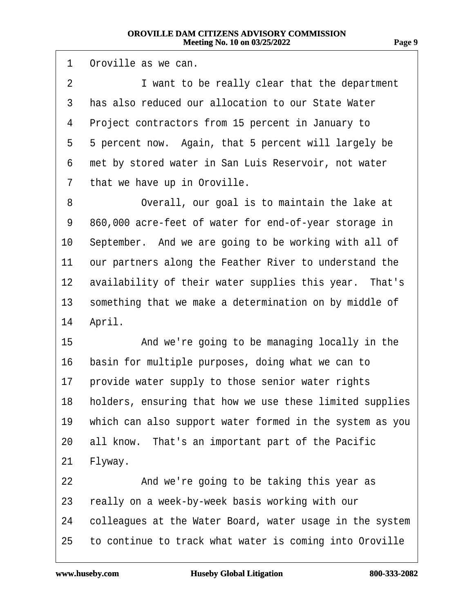1 Oroville as we can. 2 I want to be really clear that the department 3 has also reduced our allocation to our State Water 4 Project contractors from 15 percent in January to 5 5 percent now. Again, that 5 percent will largely be 6 met by stored water in San Luis Reservoir, not water 7 that we have up in Oroville. 8 Overall, our goal is to maintain the lake at 9 860,000 acre-feet of water for end-of-year storage in 10 September. And we are going to be working with all of 11 our partners along the Feather River to understand the 12 availability of their water supplies this year. That's 13 something that we make a determination on by middle of 14 April. 15 • **And we're going to be managing locally in the** 16 basin for multiple purposes, doing what we can to 17 provide water supply to those senior water rights 18 holders, ensuring that how we use these limited supplies 19 which can also support water formed in the system as you 20 all know. That's an important part of the Pacific 21 Flyway. 22 **8 22** And we're going to be taking this year as 23 really on a week-by-week basis working with our 24 colleagues at the Water Board, water usage in the system 25 to continue to track what water is coming into Oroville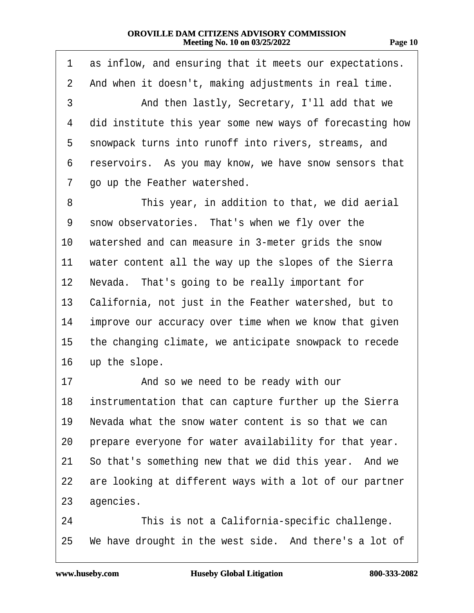| чое | I<br>ı |
|-----|--------|
|     |        |

| 1               | as inflow, and ensuring that it meets our expectations.   |
|-----------------|-----------------------------------------------------------|
| $\overline{2}$  | And when it doesn't, making adjustments in real time.     |
| 3               | And then lastly, Secretary, I'll add that we              |
| 4               | did institute this year some new ways of forecasting how  |
| 5               | snowpack turns into runoff into rivers, streams, and      |
| 6               | reservoirs. As you may know, we have snow sensors that    |
| 7               | go up the Feather watershed.                              |
| 8               | This year, in addition to that, we did aerial             |
| 9               | snow observatories. That's when we fly over the           |
| 10              | watershed and can measure in 3-meter grids the snow       |
| 11              | water content all the way up the slopes of the Sierra     |
| 12 <sub>2</sub> | Nevada. That's going to be really important for           |
| 13              | California, not just in the Feather watershed, but to     |
| 14              | improve our accuracy over time when we know that given    |
| 15              | the changing climate, we anticipate snowpack to recede    |
| 16              | up the slope.                                             |
| 17              | And so we need to be ready with our                       |
|                 | 18 instrumentation that can capture further up the Sierra |
| 19              | Nevada what the snow water content is so that we can      |
| 20              | prepare everyone for water availability for that year.    |
| 21              | So that's something new that we did this year. And we     |
| 22              | are looking at different ways with a lot of our partner   |
| 23              | agencies.                                                 |
| 24              | This is not a California-specific challenge.              |
| 25              | We have drought in the west side. And there's a lot of    |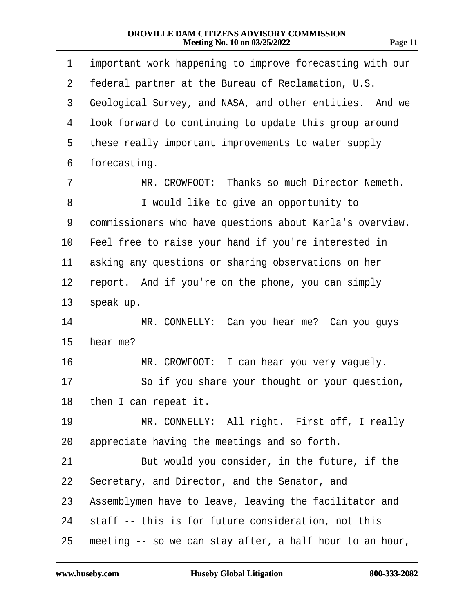| m<br>г.<br>.,<br>н |  |
|--------------------|--|
|                    |  |

| 1              | important work happening to improve forecasting with our |
|----------------|----------------------------------------------------------|
| $\overline{2}$ | federal partner at the Bureau of Reclamation, U.S.       |
| 3              | Geological Survey, and NASA, and other entities. And we  |
| 4              | look forward to continuing to update this group around   |
| 5              | these really important improvements to water supply      |
| 6              | forecasting.                                             |
| 7              | MR. CROWFOOT: Thanks so much Director Nemeth.            |
| 8              | I would like to give an opportunity to                   |
| 9              | commissioners who have questions about Karla's overview. |
| 10             | Feel free to raise your hand if you're interested in     |
| 11             | asking any questions or sharing observations on her      |
| 12             | report. And if you're on the phone, you can simply       |
| 13             | speak up.                                                |
| 14             | MR. CONNELLY: Can you hear me? Can you guys              |
| 15             | hear me?                                                 |
| 16             | MR. CROWFOOT: I can hear you very vaguely.               |
| 17             | So if you share your thought or your question,           |
|                | 18 then I can repeat it.                                 |
| 19             | MR. CONNELLY: All right. First off, I really             |
| 20             | appreciate having the meetings and so forth.             |
| 21             | But would you consider, in the future, if the            |
| 22             | Secretary, and Director, and the Senator, and            |
| 23             | Assemblymen have to leave, leaving the facilitator and   |
| 24             | staff -- this is for future consideration, not this      |
| 25             | meeting -- so we can stay after, a half hour to an hour, |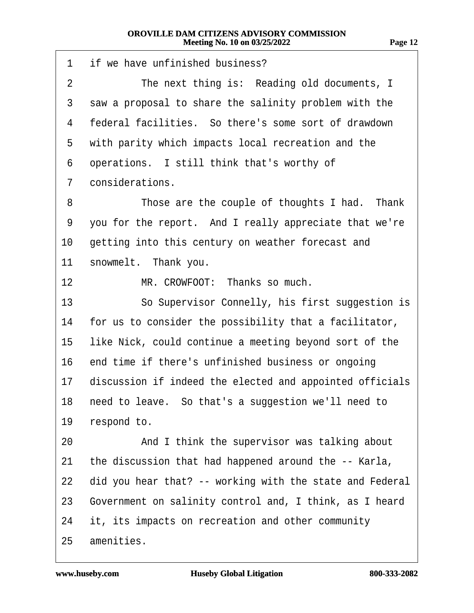| 1              | if we have unfinished business?                          |
|----------------|----------------------------------------------------------|
| $\overline{2}$ | The next thing is: Reading old documents, I              |
| 3              | saw a proposal to share the salinity problem with the    |
| 4              | federal facilities. So there's some sort of drawdown     |
| 5              | with parity which impacts local recreation and the       |
| 6              | operations. I still think that's worthy of               |
| 7              | considerations.                                          |
| 8              | Those are the couple of thoughts I had. Thank            |
| 9              | you for the report. And I really appreciate that we're   |
| 10             | getting into this century on weather forecast and        |
| 11             | snowmelt. Thank you.                                     |
| 12             | MR. CROWFOOT: Thanks so much.                            |
| 13             | So Supervisor Connelly, his first suggestion is          |
| 14             | for us to consider the possibility that a facilitator,   |
| 15             | like Nick, could continue a meeting beyond sort of the   |
| 16             | end time if there's unfinished business or ongoing       |
| 17             | discussion if indeed the elected and appointed officials |
| 18.            | need to leave. So that's a suggestion we'll need to      |
| 19             | respond to.                                              |
| 20             | And I think the supervisor was talking about             |
| 21             | the discussion that had happened around the -- Karla,    |
| 22             | did you hear that? -- working with the state and Federal |
| 23             | Government on salinity control and, I think, as I heard  |
| 24             | it, its impacts on recreation and other community        |
| 25             | amenities.                                               |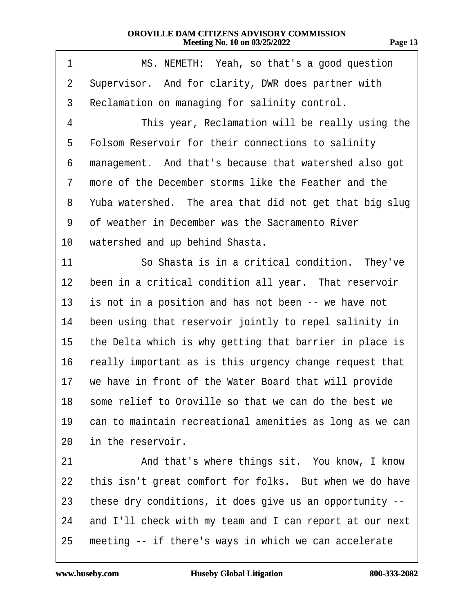| ı<br>77<br>п<br>., |  |
|--------------------|--|
|                    |  |

| 1              | MS. NEMETH: Yeah, so that's a good question              |
|----------------|----------------------------------------------------------|
| $\overline{2}$ | Supervisor. And for clarity, DWR does partner with       |
| 3              | Reclamation on managing for salinity control.            |
| 4              | This year, Reclamation will be really using the          |
| 5              | Folsom Reservoir for their connections to salinity       |
| 6              | management. And that's because that watershed also got   |
| 7              | more of the December storms like the Feather and the     |
| 8              | Yuba watershed. The area that did not get that big slug  |
| 9              | of weather in December was the Sacramento River          |
| 10             | watershed and up behind Shasta.                          |
| 11             | So Shasta is in a critical condition. They've            |
| 12             | been in a critical condition all year. That reservoir    |
| 13             | is not in a position and has not been -- we have not     |
| 14             | been using that reservoir jointly to repel salinity in   |
| 15             | the Delta which is why getting that barrier in place is  |
| 16             | really important as is this urgency change request that  |
| 17             | we have in front of the Water Board that will provide    |
| 18             | some relief to Oroville so that we can do the best we    |
| 19             | can to maintain recreational amenities as long as we can |
| 20             | in the reservoir.                                        |
| 21             | And that's where things sit. You know, I know            |
| 22             | this isn't great comfort for folks. But when we do have  |
| 23             | these dry conditions, it does give us an opportunity --  |
| 24             | and I'll check with my team and I can report at our next |
| 25             | meeting -- if there's ways in which we can accelerate    |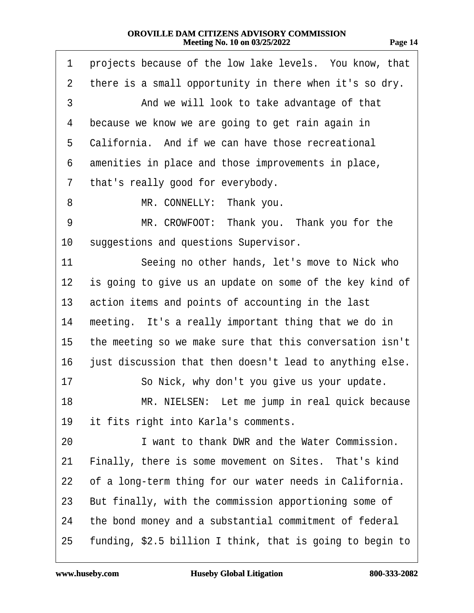| 1              | projects because of the low lake levels. You know, that   |
|----------------|-----------------------------------------------------------|
| $\overline{2}$ | there is a small opportunity in there when it's so dry.   |
| 3              | And we will look to take advantage of that                |
| 4              | because we know we are going to get rain again in         |
| 5              | California. And if we can have those recreational         |
| 6              | amenities in place and those improvements in place,       |
| 7              | that's really good for everybody.                         |
| 8              | MR. CONNELLY: Thank you.                                  |
| 9              | MR. CROWFOOT: Thank you. Thank you for the                |
| 10             | suggestions and questions Supervisor.                     |
| 11             | Seeing no other hands, let's move to Nick who             |
| 12             | is going to give us an update on some of the key kind of  |
| 13             | action items and points of accounting in the last         |
| 14             | meeting. It's a really important thing that we do in      |
| 15             | the meeting so we make sure that this conversation isn't  |
| 16             | just discussion that then doesn't lead to anything else.  |
| 17             | So Nick, why don't you give us your update.               |
| 18             | MR. NIELSEN: Let me jump in real quick because            |
| 19             | it fits right into Karla's comments.                      |
| 20             | I want to thank DWR and the Water Commission.             |
| 21             | Finally, there is some movement on Sites. That's kind     |
| 22             | of a long-term thing for our water needs in California.   |
| 23             | But finally, with the commission apportioning some of     |
| 24             | the bond money and a substantial commitment of federal    |
| 25             | funding, \$2.5 billion I think, that is going to begin to |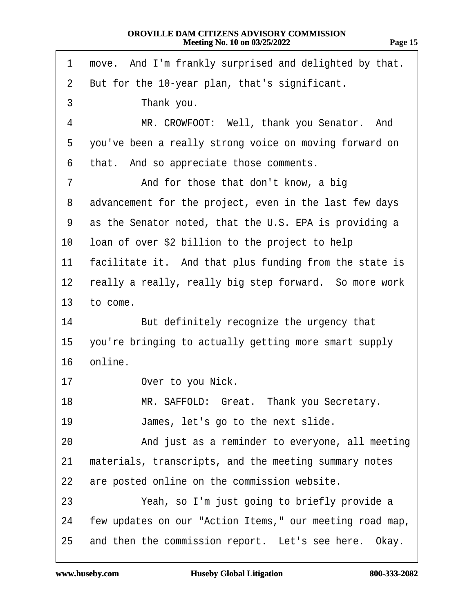|--|--|

| move. And I'm frankly surprised and delighted by that.<br>1               |
|---------------------------------------------------------------------------|
| But for the 10-year plan, that's significant.<br>$\overline{2}$           |
| 3<br>Thank you.                                                           |
| $\overline{4}$<br>MR. CROWFOOT: Well, thank you Senator. And              |
| you've been a really strong voice on moving forward on<br>5               |
| that. And so appreciate those comments.<br>6                              |
| And for those that don't know, a big<br>7                                 |
| advancement for the project, even in the last few days<br>8               |
| as the Senator noted, that the U.S. EPA is providing a<br>9               |
| loan of over \$2 billion to the project to help<br>10                     |
| facilitate it. And that plus funding from the state is<br>11              |
| really a really, really big step forward. So more work<br>12 <sub>2</sub> |
| 13<br>to come.                                                            |
| But definitely recognize the urgency that<br>14                           |
| you're bringing to actually getting more smart supply<br>15               |
| online.<br>16                                                             |
| Over to you Nick.<br>17                                                   |
| MR. SAFFOLD: Great. Thank you Secretary.<br>18                            |
| 19<br>James, let's go to the next slide.                                  |
| And just as a reminder to everyone, all meeting<br>20                     |
| materials, transcripts, and the meeting summary notes<br>21               |
| are posted online on the commission website.<br>22                        |
| 23<br>Yeah, so I'm just going to briefly provide a                        |
| few updates on our "Action Items," our meeting road map,<br>24            |
| and then the commission report. Let's see here. Okay.<br>25               |
|                                                                           |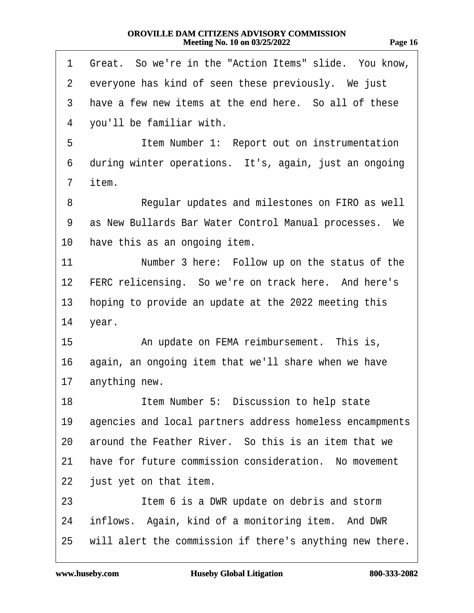| ıΩ<br>п |        |
|---------|--------|
|         | ı<br>n |

| 1               | Great. So we're in the "Action Items" slide. You know,   |
|-----------------|----------------------------------------------------------|
| $\overline{2}$  | everyone has kind of seen these previously. We just      |
| 3               | have a few new items at the end here. So all of these    |
| 4               | you'll be familiar with.                                 |
| 5               | Item Number 1: Report out on instrumentation             |
| 6               | during winter operations. It's, again, just an ongoing   |
| 7               | item.                                                    |
| 8               | Regular updates and milestones on FIRO as well           |
| 9               | as New Bullards Bar Water Control Manual processes. We   |
| 10              | have this as an ongoing item.                            |
| 11              | Number 3 here: Follow up on the status of the            |
| 12 <sub>2</sub> | FERC relicensing. So we're on track here. And here's     |
| 13              | hoping to provide an update at the 2022 meeting this     |
| 14              | year.                                                    |
| 15              | An update on FEMA reimbursement. This is,                |
| 16              | again, an ongoing item that we'll share when we have     |
| $17 \,$         | anything new.                                            |
| 18              | Item Number 5: Discussion to help state                  |
| 19              | agencies and local partners address homeless encampments |
| 20              | around the Feather River. So this is an item that we     |
| 21              | have for future commission consideration. No movement    |
| 22              | just yet on that item.                                   |
| 23              | Item 6 is a DWR update on debris and storm               |
| 24              | inflows. Again, kind of a monitoring item. And DWR       |
| 25              | will alert the commission if there's anything new there. |
|                 |                                                          |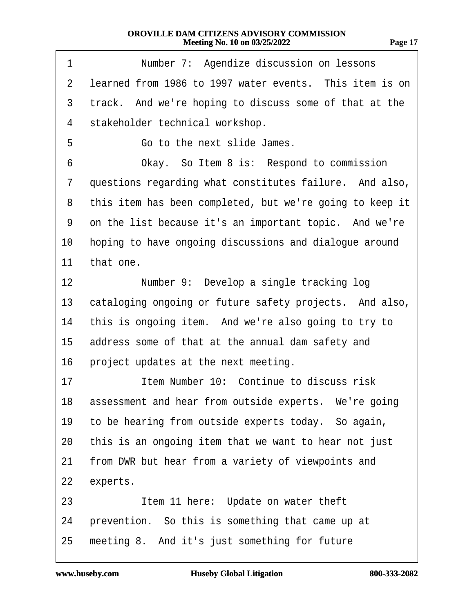| 1  | Number 7: Agendize discussion on lessons                 |
|----|----------------------------------------------------------|
| 2  | learned from 1986 to 1997 water events. This item is on  |
| 3  | track. And we're hoping to discuss some of that at the   |
| 4  | stakeholder technical workshop.                          |
| 5  | Go to the next slide James.                              |
| 6  | Okay. So Item 8 is: Respond to commission                |
| 7  | questions regarding what constitutes failure. And also,  |
| 8  | this item has been completed, but we're going to keep it |
| 9  | on the list because it's an important topic. And we're   |
| 10 | hoping to have ongoing discussions and dialogue around   |
| 11 | that one.                                                |
| 12 | Number 9: Develop a single tracking log                  |
| 13 | cataloging ongoing or future safety projects. And also,  |
| 14 | this is ongoing item. And we're also going to try to     |
| 15 | address some of that at the annual dam safety and        |
| 16 | project updates at the next meeting.                     |
| 17 | Item Number 10: Continue to discuss risk                 |
|    | 18 assessment and hear from outside experts. We're going |
| 19 | to be hearing from outside experts today. So again,      |
| 20 | this is an ongoing item that we want to hear not just    |
| 21 | from DWR but hear from a variety of viewpoints and       |
| 22 | experts.                                                 |
| 23 | Item 11 here: Update on water theft                      |
| 24 | prevention. So this is something that came up at         |
| 25 | meeting 8. And it's just something for future            |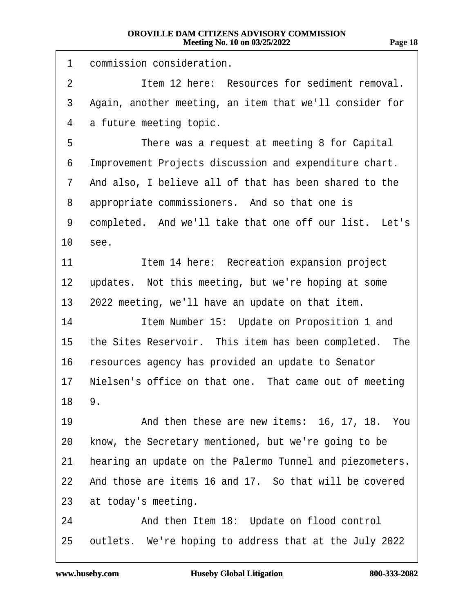1 commission consideration. 2 **Item 12 here: Resources for sediment removal.** 3 Again, another meeting, an item that we'll consider for 4 a future meeting topic. 5 There was a request at meeting 8 for Capital 6 Improvement Projects discussion and expenditure chart. 7 And also, I believe all of that has been shared to the 8 appropriate commissioners. And so that one is 9 completed. And we'll take that one off our list. Let's 10 see. 11 **Item 14 here: Recreation expansion project** 12 updates. Not this meeting, but we're hoping at some 13 2022 meeting, we'll have an update on that item. 14 **Item Number 15: Update on Proposition 1 and** 15 the Sites Reservoir. This item has been completed. The 16 resources agency has provided an update to Senator 17 Nielsen's office on that one. That came out of meeting 18 9. 19 • And then these are new items: 16, 17, 18. You 20 know, the Secretary mentioned, but we're going to be 21 hearing an update on the Palermo Tunnel and piezometers. 22 And those are items 16 and 17. So that will be covered 23 at today's meeting. 24 • And then Item 18: Update on flood control 25 outlets. We're hoping to address that at the July 2022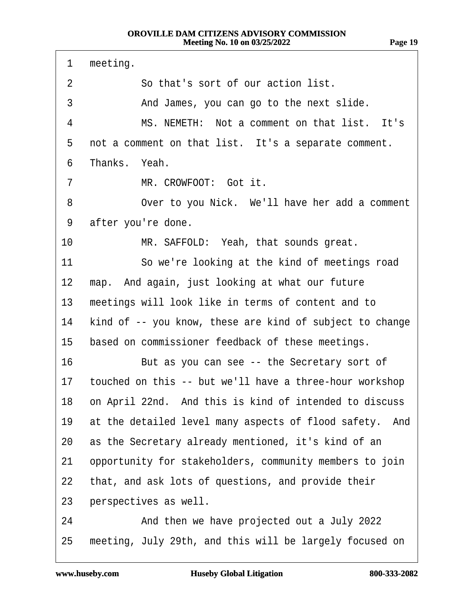1 meeting. 2 **· · · · So that's sort of our action list.** 3 • • And James, you can go to the next slide. 4 MS. NEMETH: Not a comment on that list. It's 5 not a comment on that list. It's a separate comment. 6 Thanks. Yeah. 7 MR. CROWFOOT: Got it. 8 Over to you Nick. We'll have her add a comment 9 after you're done. 10 MR. SAFFOLD: Yeah, that sounds great. 11 So we're looking at the kind of meetings road 12 map. And again, just looking at what our future 13 meetings will look like in terms of content and to 14 kind of -- you know, these are kind of subject to change 15 based on commissioner feedback of these meetings. 16 But as you can see -- the Secretary sort of 17 touched on this -- but we'll have a three-hour workshop 18 on April 22nd. And this is kind of intended to discuss 19 at the detailed level many aspects of flood safety. And 20 as the Secretary already mentioned, it's kind of an 21 opportunity for stakeholders, community members to join 22 that, and ask lots of questions, and provide their 23 perspectives as well. 24 • And then we have projected out a July 2022 25 meeting, July 29th, and this will be largely focused on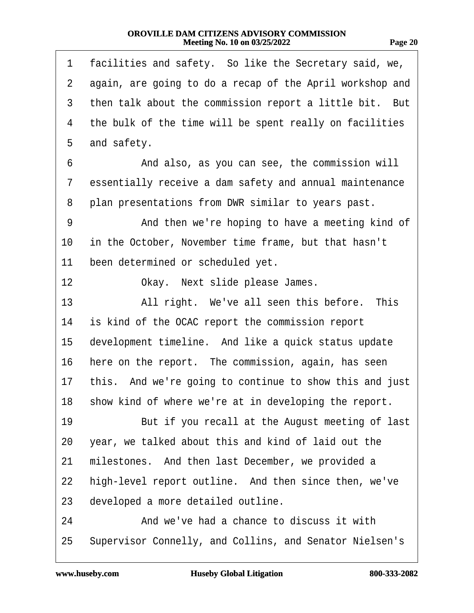| Ì<br>m<br>π. | ۱ |
|--------------|---|
|--------------|---|

| 1              | facilities and safety. So like the Secretary said, we,   |
|----------------|----------------------------------------------------------|
| $\overline{2}$ | again, are going to do a recap of the April workshop and |
| 3              | then talk about the commission report a little bit. But  |
| 4              | the bulk of the time will be spent really on facilities  |
| 5              | and safety.                                              |
| 6              | And also, as you can see, the commission will            |
| 7              | essentially receive a dam safety and annual maintenance  |
| 8              | plan presentations from DWR similar to years past.       |
| 9              | And then we're hoping to have a meeting kind of          |
| 10             | in the October, November time frame, but that hasn't     |
| 11             | been determined or scheduled yet.                        |
| 12             | Okay. Next slide please James.                           |
| 13             | All right. We've all seen this before. This              |
| 14             | is kind of the OCAC report the commission report         |
| 15             | development timeline. And like a quick status update     |
| 16             | here on the report. The commission, again, has seen      |
| 17             | this. And we're going to continue to show this and just  |
|                | 18 show kind of where we're at in developing the report. |
| 19             | But if you recall at the August meeting of last          |
| 20             | year, we talked about this and kind of laid out the      |
| 21             | milestones. And then last December, we provided a        |
| 22             | high-level report outline. And then since then, we've    |
| 23             | developed a more detailed outline.                       |
| 24             | And we've had a chance to discuss it with                |
| 25             | Supervisor Connelly, and Collins, and Senator Nielsen's  |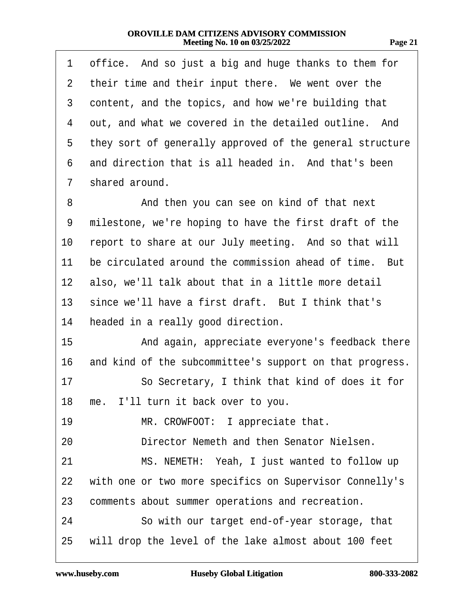| . .<br>r. |  |
|-----------|--|
|           |  |

| 1              | office. And so just a big and huge thanks to them for    |
|----------------|----------------------------------------------------------|
| $\overline{2}$ | their time and their input there. We went over the       |
| 3              | content, and the topics, and how we're building that     |
| 4              | out, and what we covered in the detailed outline. And    |
| 5              | they sort of generally approved of the general structure |
| 6              | and direction that is all headed in. And that's been     |
| 7              | shared around.                                           |
| 8              | And then you can see on kind of that next                |
| 9              | milestone, we're hoping to have the first draft of the   |
| 10             | report to share at our July meeting. And so that will    |
| 11             | be circulated around the commission ahead of time. But   |
| 12             | also, we'll talk about that in a little more detail      |
| 13             | since we'll have a first draft. But I think that's       |
| 14             | headed in a really good direction.                       |
| 15             | And again, appreciate everyone's feedback there          |
| 16             | and kind of the subcommittee's support on that progress. |
| 17             | So Secretary, I think that kind of does it for           |
|                | 18 me. I'll turn it back over to you.                    |
| 19             | MR. CROWFOOT: I appreciate that.                         |
| 20             | Director Nemeth and then Senator Nielsen.                |
| 21             | MS. NEMETH: Yeah, I just wanted to follow up             |
| 22             | with one or two more specifics on Supervisor Connelly's  |
| 23             | comments about summer operations and recreation.         |
| 24             | So with our target end-of-year storage, that             |
| 25             | will drop the level of the lake almost about 100 feet    |
|                |                                                          |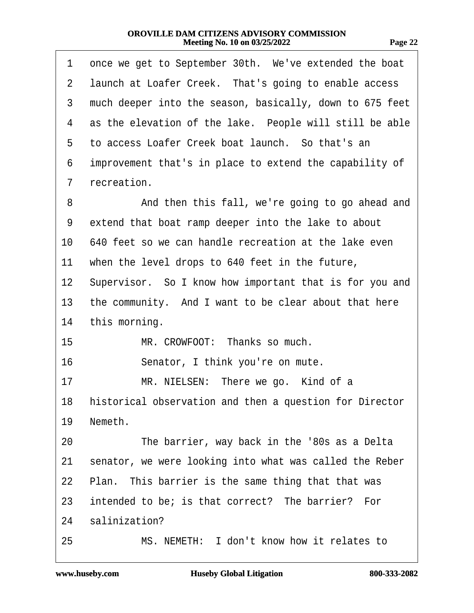| 1               | once we get to September 30th. We've extended the boat     |
|-----------------|------------------------------------------------------------|
| 2               | launch at Loafer Creek. That's going to enable access      |
| 3               | much deeper into the season, basically, down to 675 feet   |
| 4               | as the elevation of the lake. People will still be able    |
| 5               | to access Loafer Creek boat launch. So that's an           |
| 6               | improvement that's in place to extend the capability of    |
| 7               | recreation.                                                |
| 8               | And then this fall, we're going to go ahead and            |
| 9               | extend that boat ramp deeper into the lake to about        |
| 10              | 640 feet so we can handle recreation at the lake even      |
| 11              | when the level drops to 640 feet in the future,            |
| 12 <sub>2</sub> | Supervisor. So I know how important that is for you and    |
| 13              | the community. And I want to be clear about that here      |
| 14              | this morning.                                              |
| 15              | MR. CROWFOOT: Thanks so much.                              |
| 16              | Senator, I think you're on mute.                           |
| 17              | MR. NIELSEN: There we go. Kind of a                        |
|                 | 18 historical observation and then a question for Director |
| 19              | Nemeth.                                                    |
| 20              | The barrier, way back in the '80s as a Delta               |
| 21              | senator, we were looking into what was called the Reber    |
| 22              | Plan. This barrier is the same thing that that was         |
| 23              | intended to be; is that correct? The barrier? For          |
| 24              | salinization?                                              |
| 25              | MS. NEMETH: I don't know how it relates to                 |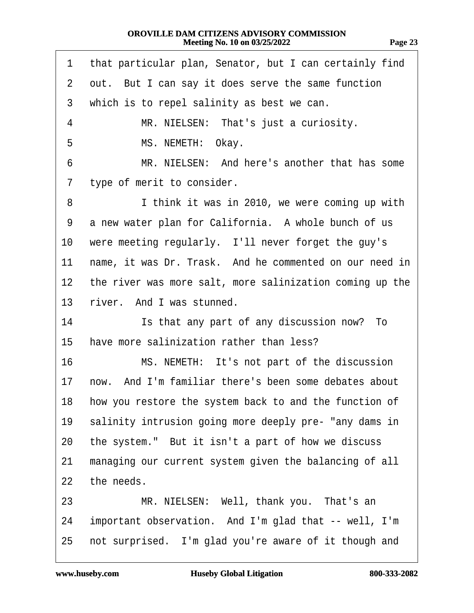| 71<br>r. |  |
|----------|--|
|----------|--|

| 1              | that particular plan, Senator, but I can certainly find  |
|----------------|----------------------------------------------------------|
| $\overline{2}$ | out. But I can say it does serve the same function       |
| 3              | which is to repel salinity as best we can.               |
| 4              | MR. NIELSEN: That's just a curiosity.                    |
| 5              | MS. NEMETH: Okay.                                        |
| 6              | MR. NIELSEN: And here's another that has some            |
| 7              | type of merit to consider.                               |
| 8              | I think it was in 2010, we were coming up with           |
| 9              | a new water plan for California. A whole bunch of us     |
| 10             | were meeting regularly. I'll never forget the guy's      |
| 11             | name, it was Dr. Trask. And he commented on our need in  |
| $12 \,$        | the river was more salt, more salinization coming up the |
| 13             | river. And I was stunned.                                |
| 14             | Is that any part of any discussion now? To               |
| 15             | have more salinization rather than less?                 |
| 16             | MS. NEMETH: It's not part of the discussion              |
| 17             | now. And I'm familiar there's been some debates about    |
| 18             | how you restore the system back to and the function of   |
| 19             | salinity intrusion going more deeply pre- "any dams in   |
| 20             | the system." But it isn't a part of how we discuss       |
| 21             | managing our current system given the balancing of all   |
| 22             | the needs.                                               |
| 23             | MR. NIELSEN: Well, thank you. That's an                  |
| 24             | important observation. And I'm glad that -- well, I'm    |
| 25             | not surprised. I'm glad you're aware of it though and    |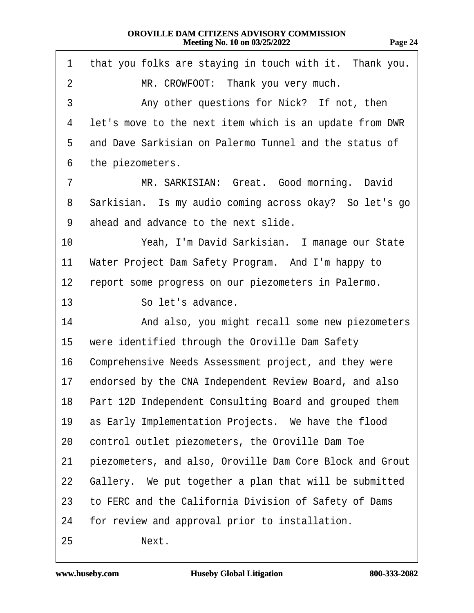| 1              | that you folks are staying in touch with it. Thank you.   |
|----------------|-----------------------------------------------------------|
| $\overline{2}$ | MR. CROWFOOT: Thank you very much.                        |
| 3              | Any other questions for Nick? If not, then                |
| 4              | let's move to the next item which is an update from DWR   |
| 5              | and Dave Sarkisian on Palermo Tunnel and the status of    |
| 6              | the piezometers.                                          |
| 7              | MR. SARKISIAN: Great. Good morning. David                 |
| 8              | Sarkisian. Is my audio coming across okay? So let's go    |
| 9              | ahead and advance to the next slide.                      |
| 10             | Yeah, I'm David Sarkisian. I manage our State             |
| 11             | Water Project Dam Safety Program. And I'm happy to        |
| 12             | report some progress on our piezometers in Palermo.       |
| 13             | So let's advance.                                         |
| 14             | And also, you might recall some new piezometers           |
| 15             | were identified through the Oroville Dam Safety           |
| 16             | Comprehensive Needs Assessment project, and they were     |
| 17             | endorsed by the CNA Independent Review Board, and also    |
|                | 18 Part 12D Independent Consulting Board and grouped them |
| 19             | as Early Implementation Projects. We have the flood       |
| 20             | control outlet piezometers, the Oroville Dam Toe          |
| 21             | piezometers, and also, Oroville Dam Core Block and Grout  |
| 22             | Gallery. We put together a plan that will be submitted    |
| 23             | to FERC and the California Division of Safety of Dams     |
| 24             | for review and approval prior to installation.            |
| 25             | Next.                                                     |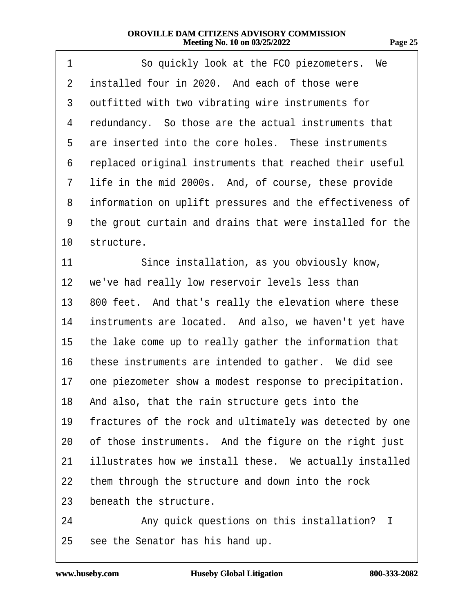| 1               | So quickly look at the FCO piezometers. We               |
|-----------------|----------------------------------------------------------|
| $\overline{2}$  | installed four in 2020. And each of those were           |
| 3               | outfitted with two vibrating wire instruments for        |
| 4               | redundancy. So those are the actual instruments that     |
| 5               | are inserted into the core holes. These instruments      |
| 6               | replaced original instruments that reached their useful  |
| 7               | life in the mid 2000s. And, of course, these provide     |
| 8               | information on uplift pressures and the effectiveness of |
| 9               | the grout curtain and drains that were installed for the |
| 10              | structure.                                               |
| 11              | Since installation, as you obviously know,               |
| 12 <sub>2</sub> | we've had really low reservoir levels less than          |
| 13              | 800 feet. And that's really the elevation where these    |
| 14              | instruments are located. And also, we haven't yet have   |
| 15              | the lake come up to really gather the information that   |
| 16              | these instruments are intended to gather. We did see     |
| 17              | one piezometer show a modest response to precipitation.  |
|                 | 18 And also, that the rain structure gets into the       |
| 19              | fractures of the rock and ultimately was detected by one |
| 20              | of those instruments. And the figure on the right just   |
| 21              | illustrates how we install these. We actually installed  |
| 22              | them through the structure and down into the rock        |
| 23              | beneath the structure.                                   |
| 24              | Any quick questions on this installation? I              |
| 25              | see the Senator has his hand up.                         |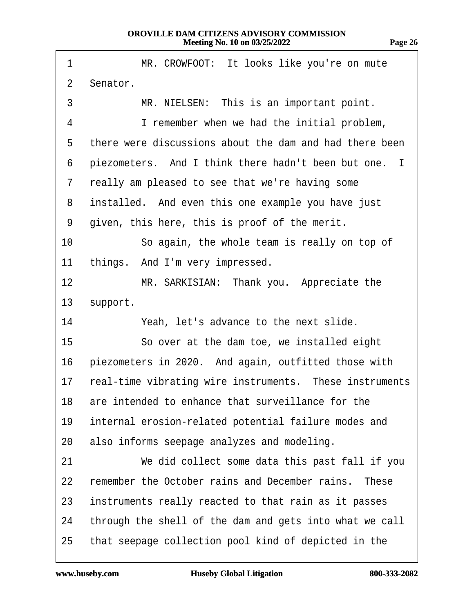| 1               | MR. CROWFOOT: It looks like you're on mute                 |
|-----------------|------------------------------------------------------------|
| $\overline{2}$  | Senator.                                                   |
| 3               | MR. NIELSEN: This is an important point.                   |
| 4               | I remember when we had the initial problem,                |
| 5               | there were discussions about the dam and had there been    |
| 6               | piezometers. And I think there hadn't been but one. I      |
| 7               | really am pleased to see that we're having some            |
| 8               | installed. And even this one example you have just         |
| 9               | given, this here, this is proof of the merit.              |
| 10              | So again, the whole team is really on top of               |
| 11              | things. And I'm very impressed.                            |
| 12              | MR. SARKISIAN: Thank you. Appreciate the                   |
| 13 <sup>°</sup> | support.                                                   |
| 14              | Yeah, let's advance to the next slide.                     |
| 15              | So over at the dam toe, we installed eight                 |
| 16              | piezometers in 2020. And again, outfitted those with       |
|                 | 17 real-time vibrating wire instruments. These instruments |
|                 | 18 are intended to enhance that surveillance for the       |
| 19              | internal erosion-related potential failure modes and       |
| 20              | also informs seepage analyzes and modeling.                |
| 21              | We did collect some data this past fall if you             |
| 22              | remember the October rains and December rains. These       |
| 23              | instruments really reacted to that rain as it passes       |
| 24              | through the shell of the dam and gets into what we call    |
| 25              | that seepage collection pool kind of depicted in the       |

 $\sqrt{ }$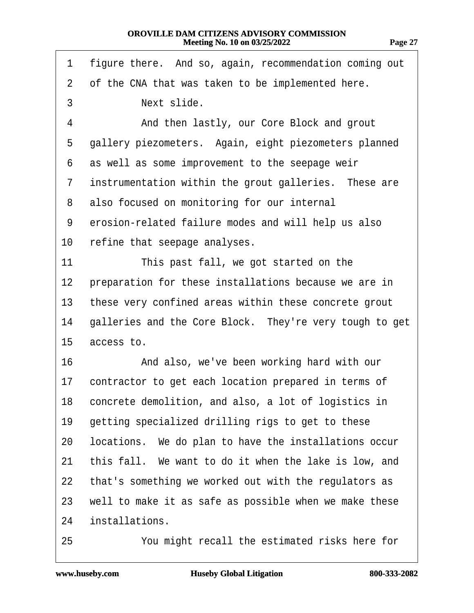| 1              | figure there. And so, again, recommendation coming out  |
|----------------|---------------------------------------------------------|
| $\overline{2}$ | of the CNA that was taken to be implemented here.       |
| 3              | Next slide.                                             |
| 4              | And then lastly, our Core Block and grout               |
| 5              | gallery piezometers. Again, eight piezometers planned   |
| 6              | as well as some improvement to the seepage weir         |
| 7              | instrumentation within the grout galleries. These are   |
| 8              | also focused on monitoring for our internal             |
| 9              | erosion-related failure modes and will help us also     |
| 10             | refine that seepage analyses.                           |
| 11             | This past fall, we got started on the                   |
| 12             | preparation for these installations because we are in   |
| 13             | these very confined areas within these concrete grout   |
| 14             | galleries and the Core Block. They're very tough to get |
| 15             | access to.                                              |
| 16             | And also, we've been working hard with our              |
| 17             | contractor to get each location prepared in terms of    |
| 18             | concrete demolition, and also, a lot of logistics in    |
| 19             | getting specialized drilling rigs to get to these       |
| 20             | locations. We do plan to have the installations occur   |
| 21             | this fall. We want to do it when the lake is low, and   |
| 22             | that's something we worked out with the regulators as   |
| 23             | well to make it as safe as possible when we make these  |
| 24             | installations.                                          |
|                |                                                         |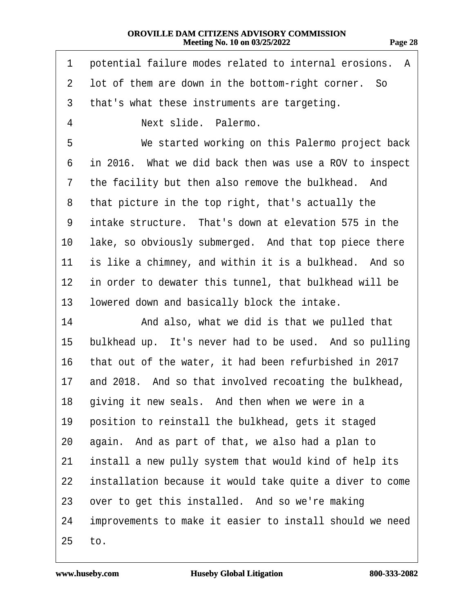| 1  | potential failure modes related to internal erosions. A  |
|----|----------------------------------------------------------|
| 2  | lot of them are down in the bottom-right corner. So      |
| 3  | that's what these instruments are targeting.             |
| 4  | Next slide. Palermo.                                     |
| 5  | We started working on this Palermo project back          |
| 6  | in 2016. What we did back then was use a ROV to inspect  |
| 7  | the facility but then also remove the bulkhead. And      |
| 8  | that picture in the top right, that's actually the       |
| 9  | intake structure. That's down at elevation 575 in the    |
| 10 | lake, so obviously submerged. And that top piece there   |
| 11 | is like a chimney, and within it is a bulkhead. And so   |
| 12 | in order to dewater this tunnel, that bulkhead will be   |
| 13 | lowered down and basically block the intake.             |
| 14 | And also, what we did is that we pulled that             |
| 15 | bulkhead up. It's never had to be used. And so pulling   |
| 16 | that out of the water, it had been refurbished in 2017   |
| 17 | and 2018. And so that involved recoating the bulkhead,   |
|    | 18 giving it new seals. And then when we were in a       |
| 19 | position to reinstall the bulkhead, gets it staged       |
| 20 | again. And as part of that, we also had a plan to        |
| 21 | install a new pully system that would kind of help its   |
| 22 | installation because it would take quite a diver to come |
| 23 | over to get this installed. And so we're making          |
| 24 | improvements to make it easier to install should we need |
| 25 | to.                                                      |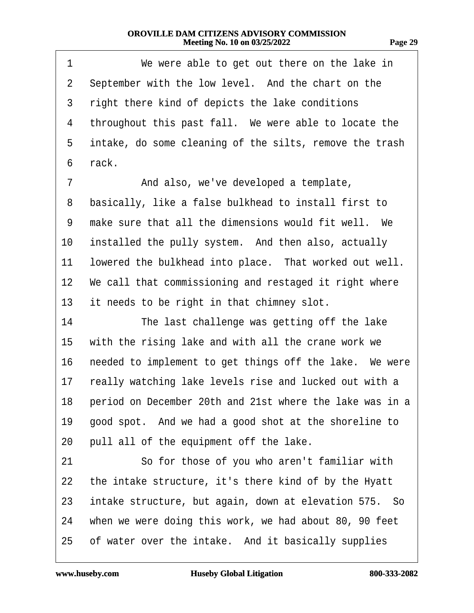| 1              | We were able to get out there on the lake in              |
|----------------|-----------------------------------------------------------|
| $\overline{2}$ | September with the low level. And the chart on the        |
| 3              | right there kind of depicts the lake conditions           |
| 4              | throughout this past fall. We were able to locate the     |
| 5              | intake, do some cleaning of the silts, remove the trash   |
| 6              | rack.                                                     |
| 7              | And also, we've developed a template,                     |
| 8              | basically, like a false bulkhead to install first to      |
| 9              | make sure that all the dimensions would fit well. We      |
| 10             | installed the pully system. And then also, actually       |
| 11             | lowered the bulkhead into place. That worked out well.    |
|                | 12 We call that commissioning and restaged it right where |
| 13             | it needs to be right in that chimney slot.                |
| 14             | The last challenge was getting off the lake               |
| 15             | with the rising lake and with all the crane work we       |
| 16             | needed to implement to get things off the lake. We were   |
| 17             | really watching lake levels rise and lucked out with a    |
| 18             | period on December 20th and 21st where the lake was in a  |
| 19             | good spot. And we had a good shot at the shoreline to     |
| 20             | pull all of the equipment off the lake.                   |
| 21             | So for those of you who aren't familiar with              |
| 22             | the intake structure, it's there kind of by the Hyatt     |
| 23             | intake structure, but again, down at elevation 575. So    |
| 24             | when we were doing this work, we had about 80, 90 feet    |
| 25             | of water over the intake. And it basically supplies       |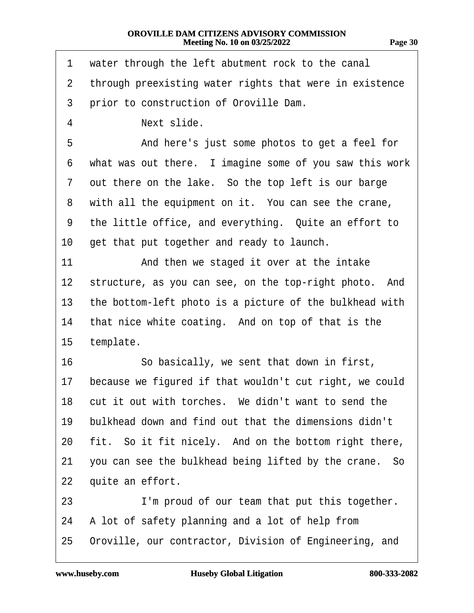| π. |
|----|
|----|

| 1               | water through the left abutment rock to the canal       |
|-----------------|---------------------------------------------------------|
| $\overline{2}$  | through preexisting water rights that were in existence |
| 3               | prior to construction of Oroville Dam.                  |
| 4               | Next slide.                                             |
| 5               | And here's just some photos to get a feel for           |
| 6               | what was out there. I imagine some of you saw this work |
| 7               | out there on the lake. So the top left is our barge     |
| 8               | with all the equipment on it. You can see the crane,    |
| 9               | the little office, and everything. Quite an effort to   |
| 10              | get that put together and ready to launch.              |
| 11              | And then we staged it over at the intake                |
| 12 <sub>2</sub> | structure, as you can see, on the top-right photo. And  |
| 13              | the bottom-left photo is a picture of the bulkhead with |
| 14              | that nice white coating. And on top of that is the      |
| 15              | template.                                               |
| 16              | So basically, we sent that down in first,               |
| 17              | because we figured if that wouldn't cut right, we could |
|                 | 18 cut it out with torches. We didn't want to send the  |
| 19              | bulkhead down and find out that the dimensions didn't   |
| 20              | fit. So it fit nicely. And on the bottom right there,   |
| 21              | you can see the bulkhead being lifted by the crane. So  |
| 22              | quite an effort.                                        |
| 23              | I'm proud of our team that put this together.           |
| 24              | A lot of safety planning and a lot of help from         |
| 25              | Oroville, our contractor, Division of Engineering, and  |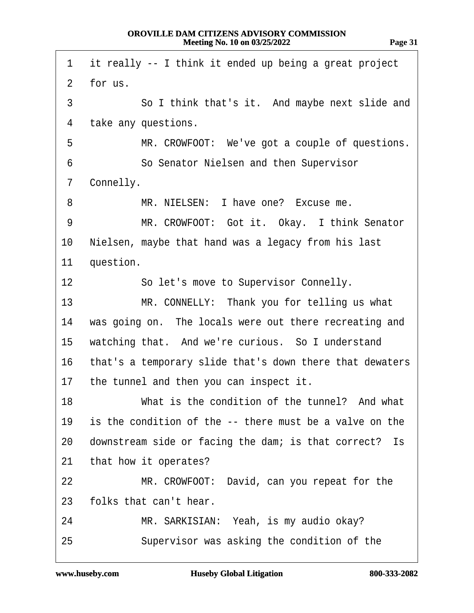1 it really -- I think it ended up being a great project  $2$  for us. 3 · · · So I think that's it. And maybe next slide and 4 take any questions. 5 MR. CROWFOOT: We've got a couple of questions. 6 **· · · · So Senator Nielsen and then Supervisor** 7 Connelly. 8 MR. NIELSEN: I have one? Excuse me. 9 MR. CROWFOOT: Got it. Okay. I think Senator 10 Nielsen, maybe that hand was a legacy from his last 11 question. 12 **· · · So let's move to Supervisor Connelly.** 13 MR. CONNELLY: Thank you for telling us what 14 was going on. The locals were out there recreating and 15 watching that. And we're curious. So I understand 16 that's a temporary slide that's down there that dewaters 17 the tunnel and then you can inspect it. 18 What is the condition of the tunnel? And what 19 is the condition of the -- there must be a valve on the 20 downstream side or facing the dam; is that correct? Is 21 that how it operates? 22 MR. CROWFOOT: David, can you repeat for the 23 folks that can't hear. 24 MR. SARKISIAN: Yeah, is my audio okay? 25 Supervisor was asking the condition of the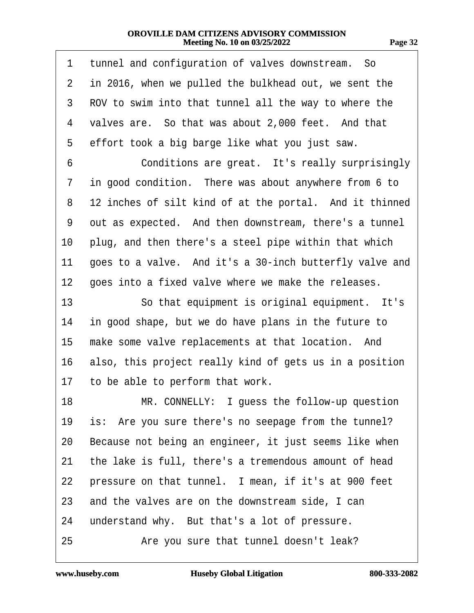| 1              | tunnel and configuration of valves downstream. So       |
|----------------|---------------------------------------------------------|
| $\overline{2}$ | in 2016, when we pulled the bulkhead out, we sent the   |
| 3              | ROV to swim into that tunnel all the way to where the   |
| 4              | valves are. So that was about 2,000 feet. And that      |
| 5              | effort took a big barge like what you just saw.         |
| 6              | Conditions are great. It's really surprisingly          |
| 7              | in good condition. There was about anywhere from 6 to   |
| 8              | 12 inches of silt kind of at the portal. And it thinned |
| 9              | out as expected. And then downstream, there's a tunnel  |
| 10             | plug, and then there's a steel pipe within that which   |
| 11             | goes to a valve. And it's a 30-inch butterfly valve and |
| 12             | goes into a fixed valve where we make the releases.     |
| 13             | So that equipment is original equipment. It's           |
| 14             | in good shape, but we do have plans in the future to    |
| 15             | make some valve replacements at that location. And      |
| 16             | also, this project really kind of gets us in a position |
| 17             | to be able to perform that work.                        |
| 18             | MR. CONNELLY: I guess the follow-up question            |
| 19             | is: Are you sure there's no seepage from the tunnel?    |
| 20             | Because not being an engineer, it just seems like when  |
| 21             | the lake is full, there's a tremendous amount of head   |
| 22             | pressure on that tunnel. I mean, if it's at 900 feet    |
| 23             | and the valves are on the downstream side, I can        |
| 24             | understand why. But that's a lot of pressure.           |
| 25             | Are you sure that tunnel doesn't leak?                  |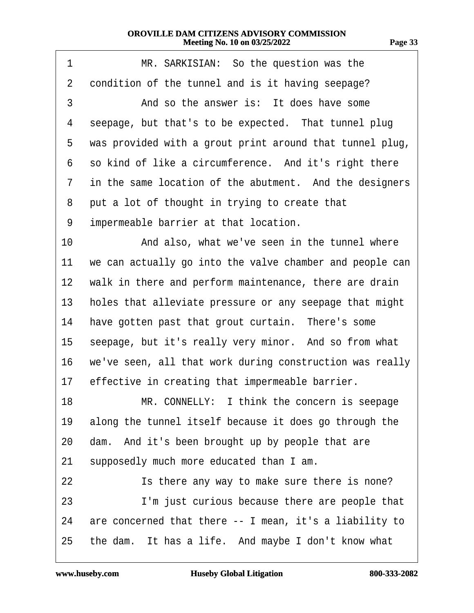| 1               | MR. SARKISIAN: So the question was the                   |
|-----------------|----------------------------------------------------------|
| $\overline{2}$  | condition of the tunnel and is it having seepage?        |
| 3               | And so the answer is: It does have some                  |
| 4               | seepage, but that's to be expected. That tunnel plug     |
| 5               | was provided with a grout print around that tunnel plug, |
| 6               | so kind of like a circumference. And it's right there    |
| 7               | in the same location of the abutment. And the designers  |
| 8               | put a lot of thought in trying to create that            |
| 9               | impermeable barrier at that location.                    |
| 10              | And also, what we've seen in the tunnel where            |
| 11              | we can actually go into the valve chamber and people can |
| 12 <sub>2</sub> | walk in there and perform maintenance, there are drain   |
| 13              | holes that alleviate pressure or any seepage that might  |
| 14              | have gotten past that grout curtain. There's some        |
| 15              | seepage, but it's really very minor. And so from what    |
| 16              | we've seen, all that work during construction was really |
| 17              | effective in creating that impermeable barrier.          |
| 18              | MR. CONNELLY: I think the concern is seepage             |
| 19              | along the tunnel itself because it does go through the   |
| 20              | dam. And it's been brought up by people that are         |
| 21              | supposedly much more educated than I am.                 |
| 22              | Is there any way to make sure there is none?             |
| 23              | I'm just curious because there are people that           |
| 24              | are concerned that there -- I mean, it's a liability to  |
| 25              | the dam. It has a life. And maybe I don't know what      |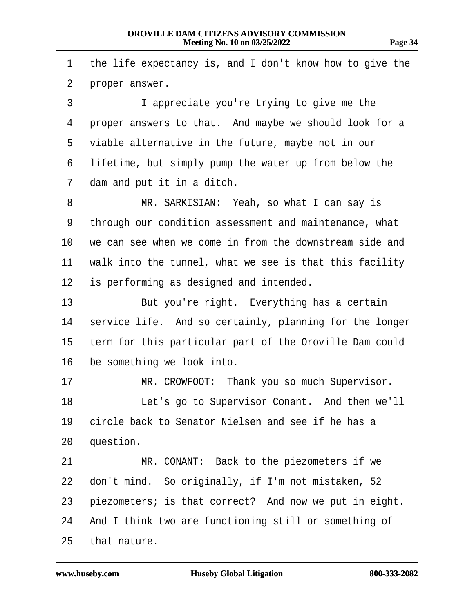| 1              | the life expectancy is, and I don't know how to give the |
|----------------|----------------------------------------------------------|
| $\overline{2}$ | proper answer.                                           |
| 3              | I appreciate you're trying to give me the                |
| 4              | proper answers to that. And maybe we should look for a   |
| 5              | viable alternative in the future, maybe not in our       |
| 6              | lifetime, but simply pump the water up from below the    |
| 7              | dam and put it in a ditch.                               |
| 8              | MR. SARKISIAN: Yeah, so what I can say is                |
| 9              | through our condition assessment and maintenance, what   |
| 10             | we can see when we come in from the downstream side and  |
| 11             | walk into the tunnel, what we see is that this facility  |
| 12             | is performing as designed and intended.                  |
| 13             | But you're right. Everything has a certain               |
| 14             | service life. And so certainly, planning for the longer  |
| 15             | term for this particular part of the Oroville Dam could  |
| 16             | be something we look into.                               |
| 17             | MR. CROWFOOT: Thank you so much Supervisor.              |
| 18             | Let's go to Supervisor Conant. And then we'll            |
| 19             | circle back to Senator Nielsen and see if he has a       |
| 20             | question.                                                |
| 21             | MR. CONANT: Back to the piezometers if we                |
| 22             | don't mind. So originally, if I'm not mistaken, 52       |
| 23             | piezometers; is that correct? And now we put in eight.   |
| 24             | And I think two are functioning still or something of    |
| 25             | that nature.                                             |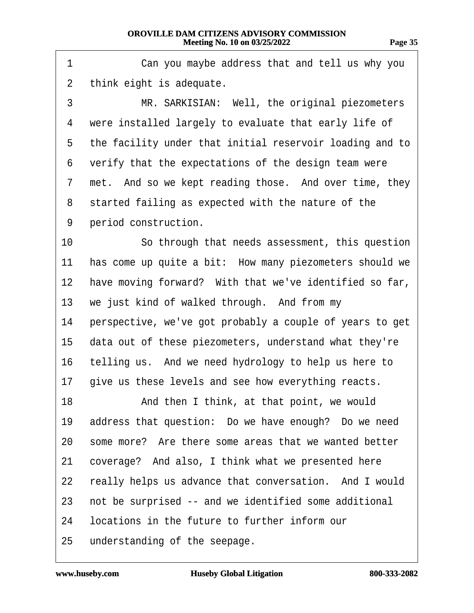| 1              | Can you maybe address that and tell us why you           |
|----------------|----------------------------------------------------------|
| $\overline{2}$ | think eight is adequate.                                 |
| 3              | MR. SARKISIAN: Well, the original piezometers            |
| 4              | were installed largely to evaluate that early life of    |
| 5              | the facility under that initial reservoir loading and to |
| 6              | verify that the expectations of the design team were     |
| 7              | met. And so we kept reading those. And over time, they   |
| 8              | started failing as expected with the nature of the       |
| 9              | period construction.                                     |
| 10             | So through that needs assessment, this question          |
| 11             | has come up quite a bit: How many piezometers should we  |
| 12             | have moving forward? With that we've identified so far,  |
| 13             | we just kind of walked through. And from my              |
| 14             | perspective, we've got probably a couple of years to get |
| 15             | data out of these piezometers, understand what they're   |
| 16             | telling us. And we need hydrology to help us here to     |
| 17             | give us these levels and see how everything reacts.      |
| 18.            | And then I think, at that point, we would                |
| 19             | address that question: Do we have enough? Do we need     |
| 20             | some more? Are there some areas that we wanted better    |
| 21             | coverage? And also, I think what we presented here       |
| 22             | really helps us advance that conversation. And I would   |
| 23             | not be surprised -- and we identified some additional    |
| 24             | locations in the future to further inform our            |
| 25             | understanding of the seepage.                            |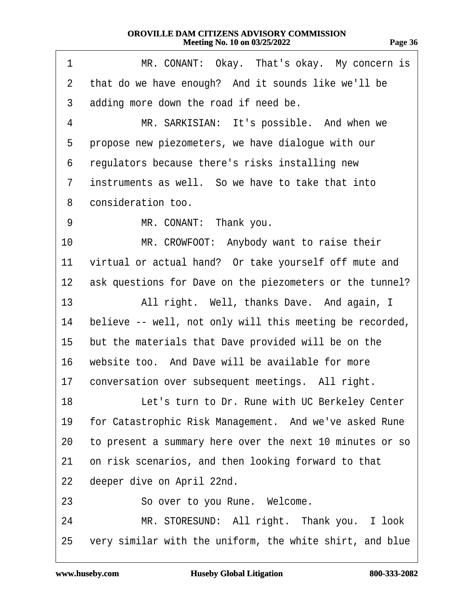| чоо | ٠<br>п |
|-----|--------|
|     |        |

| 1               | MR. CONANT: Okay. That's okay. My concern is             |
|-----------------|----------------------------------------------------------|
| $\overline{2}$  | that do we have enough? And it sounds like we'll be      |
| 3               | adding more down the road if need be.                    |
| 4               | MR. SARKISIAN: It's possible. And when we                |
| 5               | propose new piezometers, we have dialogue with our       |
| 6               | regulators because there's risks installing new          |
| $\overline{7}$  | instruments as well. So we have to take that into        |
| 8               | consideration too.                                       |
| 9               | MR. CONANT: Thank you.                                   |
| 10              | MR. CROWFOOT: Anybody want to raise their                |
| 11              | virtual or actual hand? Or take yourself off mute and    |
| 12 <sub>2</sub> | ask questions for Dave on the piezometers or the tunnel? |
| 13              | All right. Well, thanks Dave. And again, I               |
| 14              | believe -- well, not only will this meeting be recorded, |
| 15              | but the materials that Dave provided will be on the      |
| 16              | website too. And Dave will be available for more         |
| 17              | conversation over subsequent meetings. All right.        |
| 18              | Let's turn to Dr. Rune with UC Berkeley Center           |
| 19              | for Catastrophic Risk Management. And we've asked Rune   |
| 20              | to present a summary here over the next 10 minutes or so |
| 21              | on risk scenarios, and then looking forward to that      |
| 22              | deeper dive on April 22nd.                               |
| 23              | So over to you Rune. Welcome.                            |
| 24              | MR. STORESUND: All right. Thank you. I look              |
| 25              | very similar with the uniform, the white shirt, and blue |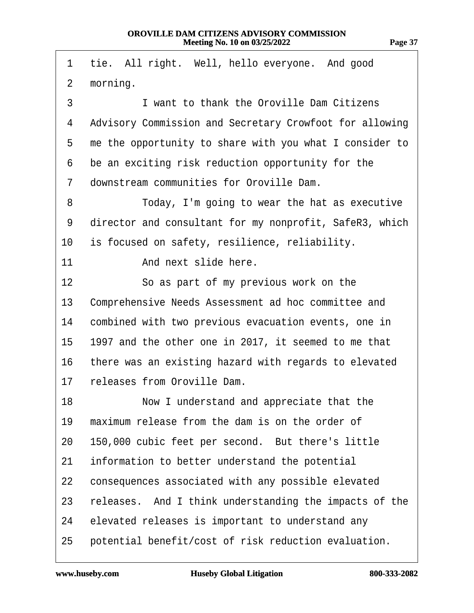|                 | 1 tie. All right. Well, hello everyone. And good          |
|-----------------|-----------------------------------------------------------|
| $\mathbf{2}$    | morning.                                                  |
| 3               | I want to thank the Oroville Dam Citizens                 |
| 4               | Advisory Commission and Secretary Crowfoot for allowing   |
|                 | 5 me the opportunity to share with you what I consider to |
| 6               | be an exciting risk reduction opportunity for the         |
| $7\phantom{.}$  | downstream communities for Oroville Dam.                  |
| 8               | Today, I'm going to wear the hat as executive             |
| 9               | director and consultant for my nonprofit, SafeR3, which   |
| 10              | is focused on safety, resilience, reliability.            |
| 11              | And next slide here.                                      |
| 12 <sup>2</sup> | So as part of my previous work on the                     |
| 13              | Comprehensive Needs Assessment ad hoc committee and       |
| 14              | combined with two previous evacuation events, one in      |
|                 |                                                           |

- 15 1997 and the other one in 2017, it seemed to me that
- 16 there was an existing hazard with regards to elevated
- 17 releases from Oroville Dam.

- 18 Now I understand and appreciate that the
- 19 maximum release from the dam is on the order of
- 20 150,000 cubic feet per second. But there's little
- 21 information to better understand the potential
- 22 consequences associated with any possible elevated
- 23 releases. And I think understanding the impacts of the
- 24 elevated releases is important to understand any
- 25 potential benefit/cost of risk reduction evaluation.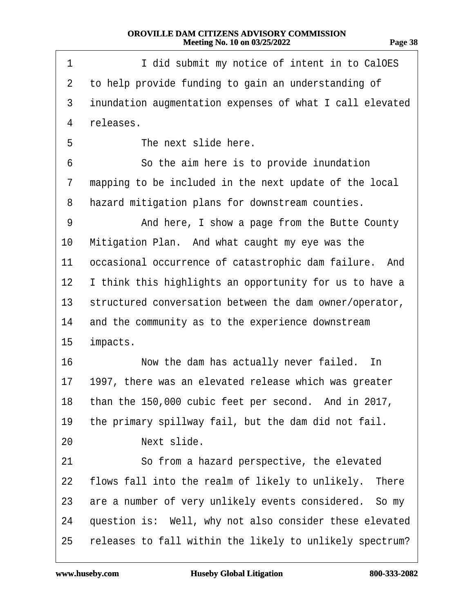| 1               | I did submit my notice of intent in to CalOES            |
|-----------------|----------------------------------------------------------|
| $\overline{2}$  | to help provide funding to gain an understanding of      |
| 3               | inundation augmentation expenses of what I call elevated |
| 4               | releases.                                                |
| 5               | The next slide here.                                     |
| 6               | So the aim here is to provide inundation                 |
| 7               | mapping to be included in the next update of the local   |
| 8               | hazard mitigation plans for downstream counties.         |
| 9               | And here, I show a page from the Butte County            |
| 10              | Mitigation Plan. And what caught my eye was the          |
| 11              | occasional occurrence of catastrophic dam failure. And   |
| 12              | I think this highlights an opportunity for us to have a  |
| 13 <sup>°</sup> | structured conversation between the dam owner/operator,  |
| 14              | and the community as to the experience downstream        |
| 15              | impacts.                                                 |
| 16              | Now the dam has actually never failed. In                |
| 17              | 1997, there was an elevated release which was greater    |
|                 | 18 than the 150,000 cubic feet per second. And in 2017,  |
| 19              | the primary spillway fail, but the dam did not fail.     |
| 20              | Next slide.                                              |
| 21              | So from a hazard perspective, the elevated               |
| 22              | flows fall into the realm of likely to unlikely. There   |
| 23              | are a number of very unlikely events considered. So my   |
| 24              | question is: Well, why not also consider these elevated  |
| 25              | releases to fall within the likely to unlikely spectrum? |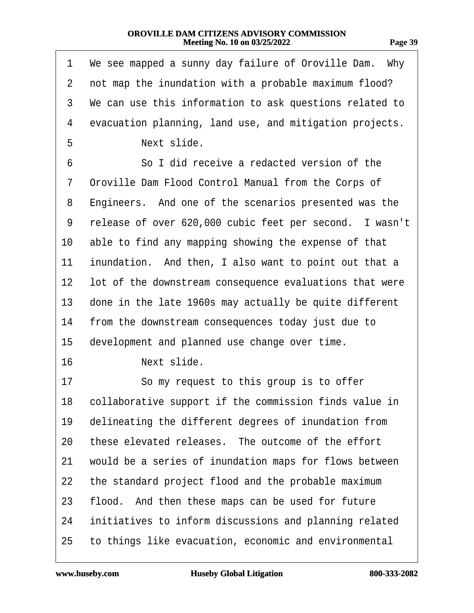| 1              | We see mapped a sunny day failure of Oroville Dam. Why  |
|----------------|---------------------------------------------------------|
| $\overline{2}$ | not map the inundation with a probable maximum flood?   |
| 3              | We can use this information to ask questions related to |
| 4              | evacuation planning, land use, and mitigation projects. |
| 5              | Next slide.                                             |
| 6              | So I did receive a redacted version of the              |
| 7              | Oroville Dam Flood Control Manual from the Corps of     |
| 8              | Engineers. And one of the scenarios presented was the   |
| 9              | release of over 620,000 cubic feet per second. I wasn't |
| 10             | able to find any mapping showing the expense of that    |
| 11             | inundation. And then, I also want to point out that a   |
| 12             | lot of the downstream consequence evaluations that were |
| 13             | done in the late 1960s may actually be quite different  |
| 14             | from the downstream consequences today just due to      |
| 15             | development and planned use change over time.           |
| 16             | Next slide.                                             |
| 17             | So my request to this group is to offer                 |
| 18.            | collaborative support if the commission finds value in  |
| 19             | delineating the different degrees of inundation from    |
| 20             | these elevated releases. The outcome of the effort      |
| 21             | would be a series of inundation maps for flows between  |
| 22             | the standard project flood and the probable maximum     |
| 23             | flood. And then these maps can be used for future       |
| 24             | initiatives to inform discussions and planning related  |
| 25             | to things like evacuation, economic and environmental   |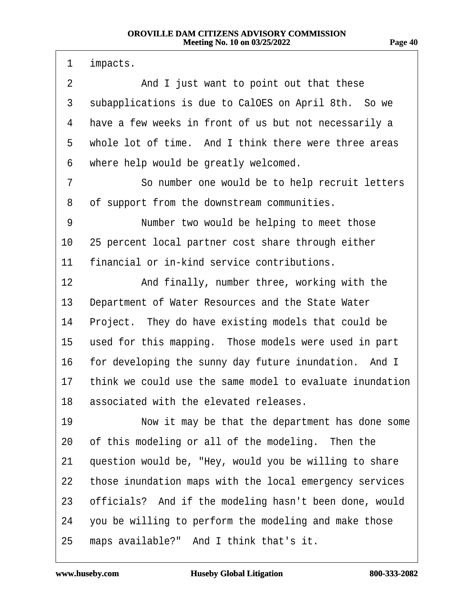1 impacts. 2 And I just want to point out that these 3 subapplications is due to CalOES on April 8th. So we 4 have a few weeks in front of us but not necessarily a 5 whole lot of time. And I think there were three areas 6 where help would be greatly welcomed. 7 **· · · · So number one would be to help recruit letters** 8 of support from the downstream communities. 9 Number two would be helping to meet those 10 25 percent local partner cost share through either 11 financial or in-kind service contributions. 12 • And finally, number three, working with the 13 Department of Water Resources and the State Water 14 Project. They do have existing models that could be 15 used for this mapping. Those models were used in part 16 for developing the sunny day future inundation. And I 17 think we could use the same model to evaluate inundation 18 associated with the elevated releases. 19 Now it may be that the department has done some 20 of this modeling or all of the modeling. Then the 21 question would be, "Hey, would you be willing to share 22 those inundation maps with the local emergency services 23 officials? And if the modeling hasn't been done, would 24 you be willing to perform the modeling and make those 25 maps available?" And I think that's it.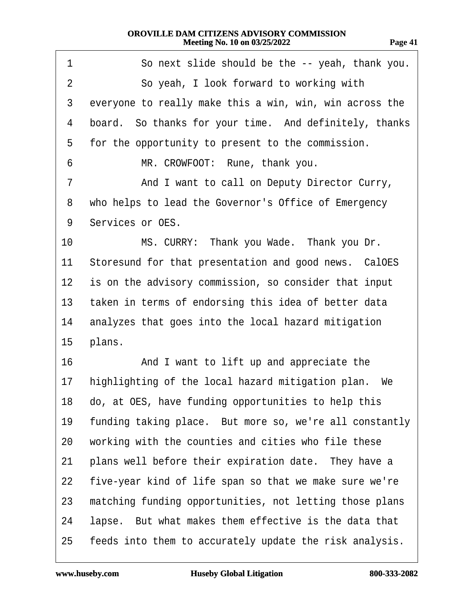| 1  | So next slide should be the -- yeah, thank you.         |  |
|----|---------------------------------------------------------|--|
| 2  | So yeah, I look forward to working with                 |  |
| 3  | everyone to really make this a win, win, win across the |  |
| 4  | board. So thanks for your time. And definitely, thanks  |  |
| 5  | for the opportunity to present to the commission.       |  |
| 6  | MR. CROWFOOT: Rune, thank you.                          |  |
| 7  | And I want to call on Deputy Director Curry,            |  |
| 8  | who helps to lead the Governor's Office of Emergency    |  |
| 9  | Services or OES.                                        |  |
| 10 | MS. CURRY: Thank you Wade. Thank you Dr.                |  |
| 11 | Storesund for that presentation and good news. CalOES   |  |
| 12 | is on the advisory commission, so consider that input   |  |
| 13 | taken in terms of endorsing this idea of better data    |  |
| 14 | analyzes that goes into the local hazard mitigation     |  |
| 15 | plans.                                                  |  |
| 16 | And I want to lift up and appreciate the                |  |
| 17 | highlighting of the local hazard mitigation plan. We    |  |
|    | 18 do, at OES, have funding opportunities to help this  |  |
| 19 | funding taking place. But more so, we're all constantly |  |
| 20 | working with the counties and cities who file these     |  |
| 21 | plans well before their expiration date. They have a    |  |
| 22 | five-year kind of life span so that we make sure we're  |  |
| 23 | matching funding opportunities, not letting those plans |  |
| 24 | lapse. But what makes them effective is the data that   |  |
| 25 | feeds into them to accurately update the risk analysis. |  |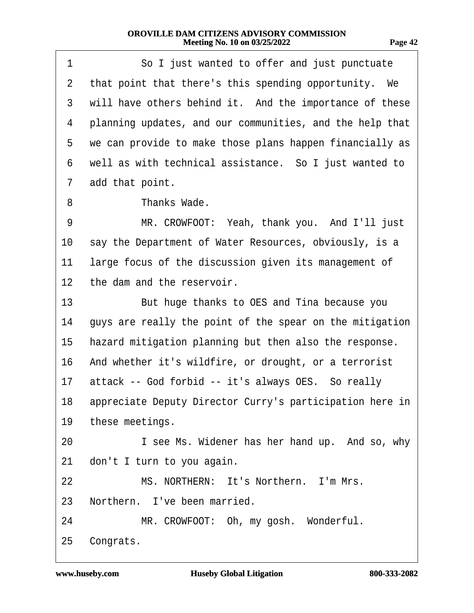| 1              | So I just wanted to offer and just punctuate             |
|----------------|----------------------------------------------------------|
| $\overline{2}$ | that point that there's this spending opportunity. We    |
| 3              | will have others behind it. And the importance of these  |
| 4              | planning updates, and our communities, and the help that |
| 5              | we can provide to make those plans happen financially as |
| 6              | well as with technical assistance. So I just wanted to   |
| 7              | add that point.                                          |
| 8              | Thanks Wade.                                             |
| 9              | MR. CROWFOOT: Yeah, thank you. And I'll just             |
| 10             | say the Department of Water Resources, obviously, is a   |
| 11             | large focus of the discussion given its management of    |
| 12             | the dam and the reservoir.                               |
| 13             | But huge thanks to OES and Tina because you              |
| 14             | guys are really the point of the spear on the mitigation |
| 15             | hazard mitigation planning but then also the response.   |
| 16             | And whether it's wildfire, or drought, or a terrorist    |
| 17             | attack -- God forbid -- it's always OES. So really       |
| 18 -           | appreciate Deputy Director Curry's participation here in |
|                | 19 these meetings.                                       |
| 20             | I see Ms. Widener has her hand up. And so, why           |
| 21             | don't I turn to you again.                               |
| 22             | MS. NORTHERN: It's Northern. I'm Mrs.                    |
|                | 23 Northern. I've been married.                          |
| 24             | MR. CROWFOOT: Oh, my gosh. Wonderful.                    |
| 25             | Congrats.                                                |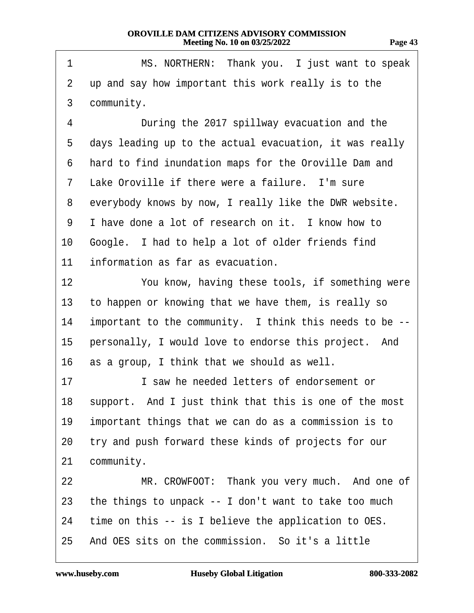| MS. NORTHERN: Thank you. I just want to speak           |
|---------------------------------------------------------|
| up and say how important this work really is to the     |
| community.                                              |
| During the 2017 spillway evacuation and the             |
| days leading up to the actual evacuation, it was really |
| hard to find inundation maps for the Oroville Dam and   |
| Lake Oroville if there were a failure. I'm sure         |
| everybody knows by now, I really like the DWR website.  |
| I have done a lot of research on it. I know how to      |
| Google. I had to help a lot of older friends find       |
| information as far as evacuation.                       |
| You know, having these tools, if something were         |
| to happen or knowing that we have them, is really so    |
| important to the community. I think this needs to be -- |
| personally, I would love to endorse this project. And   |
| as a group, I think that we should as well.             |
| I saw he needed letters of endorsement or               |
| support. And I just think that this is one of the most  |
| important things that we can do as a commission is to   |
| try and push forward these kinds of projects for our    |
| community.                                              |
| MR. CROWFOOT: Thank you very much. And one of           |
| the things to unpack -- I don't want to take too much   |
| time on this -- is I believe the application to OES.    |
| And OES sits on the commission. So it's a little        |
|                                                         |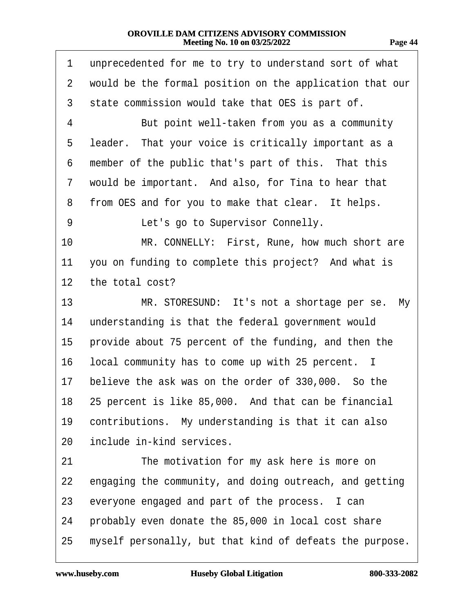| 1               | unprecedented for me to try to understand sort of what   |  |
|-----------------|----------------------------------------------------------|--|
| $\overline{2}$  | would be the formal position on the application that our |  |
| 3               | state commission would take that OES is part of.         |  |
| 4               | But point well-taken from you as a community             |  |
| 5               | leader. That your voice is critically important as a     |  |
| 6               | member of the public that's part of this. That this      |  |
| 7               | would be important. And also, for Tina to hear that      |  |
| 8               | from OES and for you to make that clear. It helps.       |  |
| 9               | Let's go to Supervisor Connelly.                         |  |
| 10              | MR. CONNELLY: First, Rune, how much short are            |  |
| 11              | you on funding to complete this project? And what is     |  |
| 12 <sub>2</sub> | the total cost?                                          |  |
| 13              | MR. STORESUND: It's not a shortage per se. My            |  |
| 14              | understanding is that the federal government would       |  |
| 15              | provide about 75 percent of the funding, and then the    |  |
| 16              | local community has to come up with 25 percent. I        |  |
| 17              | believe the ask was on the order of 330,000. So the      |  |
|                 | 18 25 percent is like 85,000. And that can be financial  |  |
| 19              | contributions. My understanding is that it can also      |  |
| 20              | include in-kind services.                                |  |
| 21              | The motivation for my ask here is more on                |  |
| 22              | engaging the community, and doing outreach, and getting  |  |
| 23              | everyone engaged and part of the process. I can          |  |
| 24              | probably even donate the 85,000 in local cost share      |  |
| 25              | myself personally, but that kind of defeats the purpose. |  |

 $\sqrt{ }$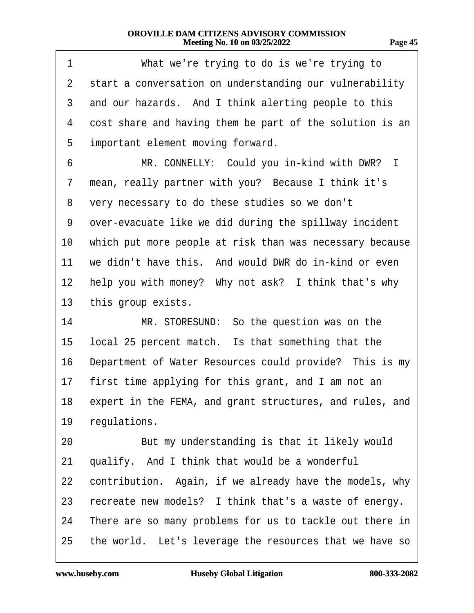| 1               | What we're trying to do is we're trying to                  |
|-----------------|-------------------------------------------------------------|
| 2               | start a conversation on understanding our vulnerability     |
| 3               | and our hazards. And I think alerting people to this        |
| 4               | cost share and having them be part of the solution is an    |
| 5               | important element moving forward.                           |
| 6               | MR. CONNELLY: Could you in-kind with DWR? I                 |
| 7               | mean, really partner with you? Because I think it's         |
| 8               | very necessary to do these studies so we don't              |
| 9               | over-evacuate like we did during the spillway incident      |
| 10              | which put more people at risk than was necessary because    |
| 11              | we didn't have this. And would DWR do in-kind or even       |
| 12 <sub>2</sub> | help you with money? Why not ask? I think that's why        |
| 13              | this group exists.                                          |
| 14              | MR. STORESUND: So the question was on the                   |
| 15              | local 25 percent match. Is that something that the          |
| 16              | Department of Water Resources could provide? This is my     |
| 17              | first time applying for this grant, and I am not an         |
|                 | 18 expert in the FEMA, and grant structures, and rules, and |
| 19              | regulations.                                                |
| 20              | But my understanding is that it likely would                |
| 21              | qualify. And I think that would be a wonderful              |
| 22              | contribution. Again, if we already have the models, why     |
| 23              | recreate new models? I think that's a waste of energy.      |
| 24              | There are so many problems for us to tackle out there in    |
| 25              | the world. Let's leverage the resources that we have so     |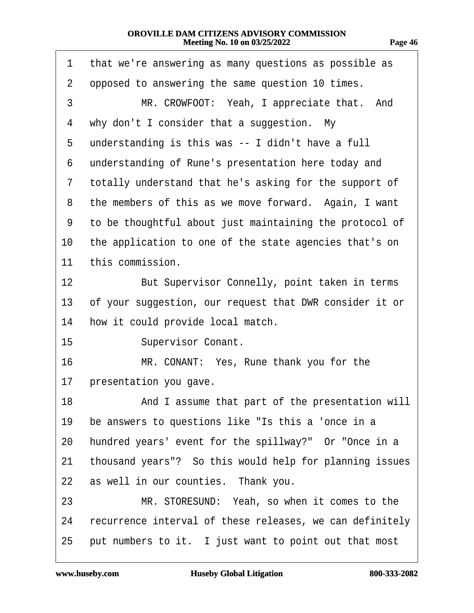| 1              | that we're answering as many questions as possible as    |
|----------------|----------------------------------------------------------|
| $\overline{2}$ | opposed to answering the same question 10 times.         |
| 3              | MR. CROWFOOT: Yeah, I appreciate that. And               |
| 4              | why don't I consider that a suggestion. My               |
| 5              | understanding is this was -- I didn't have a full        |
| 6              | understanding of Rune's presentation here today and      |
| 7              | totally understand that he's asking for the support of   |
| 8              | the members of this as we move forward. Again, I want    |
| 9              | to be thoughtful about just maintaining the protocol of  |
| 10             | the application to one of the state agencies that's on   |
| 11             | this commission.                                         |
| 12             | But Supervisor Connelly, point taken in terms            |
| 13             | of your suggestion, our request that DWR consider it or  |
| 14             | how it could provide local match.                        |
| 15             | <b>Supervisor Conant.</b>                                |
| 16             | MR. CONANT: Yes, Rune thank you for the                  |
| 17             | presentation you gave.                                   |
| 18             | And I assume that part of the presentation will          |
| 19             | be answers to questions like "Is this a 'once in a       |
| 20             | hundred years' event for the spillway?" Or "Once in a    |
| 21             | thousand years"? So this would help for planning issues  |
| 22             | as well in our counties. Thank you.                      |
| 23             | MR. STORESUND: Yeah, so when it comes to the             |
| 24             | recurrence interval of these releases, we can definitely |
| 25             | put numbers to it. I just want to point out that most    |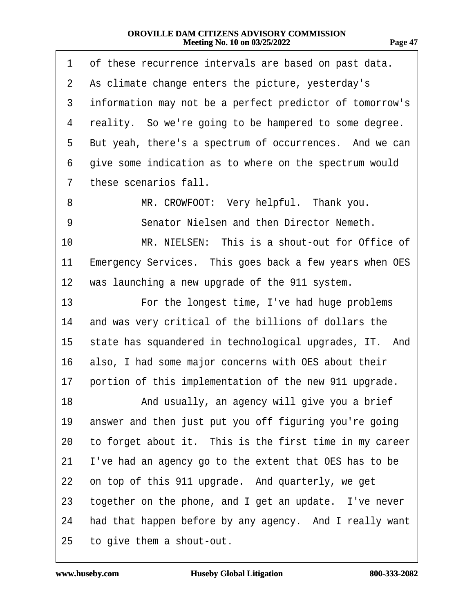| ı<br>г.<br>71<br>н |  |
|--------------------|--|
|                    |  |

| 1              | of these recurrence intervals are based on past data.    |
|----------------|----------------------------------------------------------|
| $\overline{2}$ | As climate change enters the picture, yesterday's        |
| 3              | information may not be a perfect predictor of tomorrow's |
| 4              | reality. So we're going to be hampered to some degree.   |
| 5              | But yeah, there's a spectrum of occurrences. And we can  |
| 6              | give some indication as to where on the spectrum would   |
| 7              | these scenarios fall.                                    |
| 8              | MR. CROWFOOT: Very helpful. Thank you.                   |
| 9              | Senator Nielsen and then Director Nemeth.                |
| 10             | MR. NIELSEN: This is a shout-out for Office of           |
| 11             | Emergency Services. This goes back a few years when OES  |
| 12             | was launching a new upgrade of the 911 system.           |
| 13             | For the longest time, I've had huge problems             |
| 14             | and was very critical of the billions of dollars the     |
| 15             | state has squandered in technological upgrades, IT. And  |
| 16             | also, I had some major concerns with OES about their     |
| 17             | portion of this implementation of the new 911 upgrade.   |
| 18             | And usually, an agency will give you a brief             |
| 19             | answer and then just put you off figuring you're going   |
| 20             | to forget about it. This is the first time in my career  |
| 21             | I've had an agency go to the extent that OES has to be   |
| 22             | on top of this 911 upgrade. And quarterly, we get        |
| 23             | together on the phone, and I get an update. I've never   |
| 24             | had that happen before by any agency. And I really want  |
| 25             | to give them a shout-out.                                |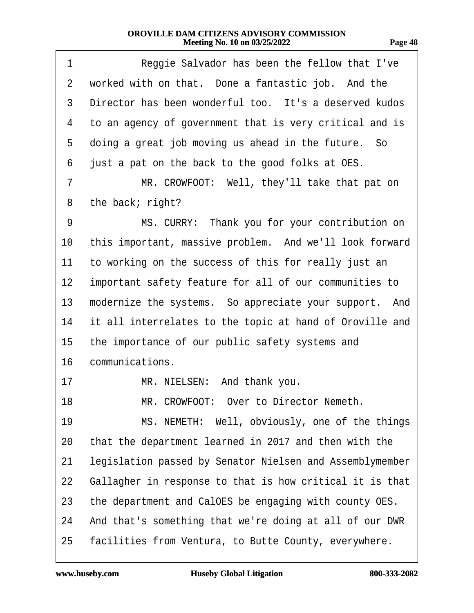| 1              | Reggie Salvador has been the fellow that I've            |  |
|----------------|----------------------------------------------------------|--|
| $\overline{2}$ | worked with on that. Done a fantastic job. And the       |  |
| 3              | Director has been wonderful too. It's a deserved kudos   |  |
| 4              | to an agency of government that is very critical and is  |  |
| 5              | doing a great job moving us ahead in the future. So      |  |
| 6              | just a pat on the back to the good folks at OES.         |  |
| 7              | MR. CROWFOOT: Well, they'll take that pat on             |  |
| 8              | the back; right?                                         |  |
| 9              | MS. CURRY: Thank you for your contribution on            |  |
| 10             | this important, massive problem. And we'll look forward  |  |
| 11             | to working on the success of this for really just an     |  |
| 12             | important safety feature for all of our communities to   |  |
| 13             | modernize the systems. So appreciate your support. And   |  |
| 14             | it all interrelates to the topic at hand of Oroville and |  |
| 15             | the importance of our public safety systems and          |  |
| 16             | communications.                                          |  |
| 17             | MR. NIELSEN: And thank you.                              |  |
| 18             | MR. CROWFOOT: Over to Director Nemeth.                   |  |
| 19             | MS. NEMETH: Well, obviously, one of the things           |  |
| 20             | that the department learned in 2017 and then with the    |  |
| 21             | legislation passed by Senator Nielsen and Assemblymember |  |
| 22             | Gallagher in response to that is how critical it is that |  |
| 23             | the department and CalOES be engaging with county OES.   |  |
| 24             | And that's something that we're doing at all of our DWR  |  |
| 25             | facilities from Ventura, to Butte County, everywhere.    |  |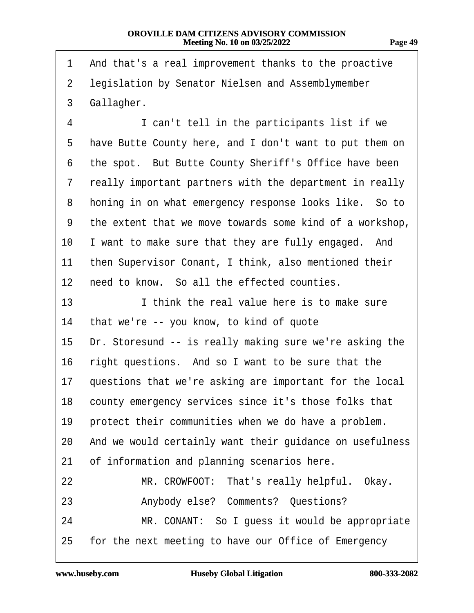| 1               | And that's a real improvement thanks to the proactive    |
|-----------------|----------------------------------------------------------|
| $\overline{2}$  | legislation by Senator Nielsen and Assemblymember        |
| 3               | Gallagher.                                               |
| 4               | I can't tell in the participants list if we              |
| 5               | have Butte County here, and I don't want to put them on  |
| 6               | the spot. But Butte County Sheriff's Office have been    |
| 7               | really important partners with the department in really  |
| 8               | honing in on what emergency response looks like. So to   |
| 9               | the extent that we move towards some kind of a workshop, |
| 10              | I want to make sure that they are fully engaged. And     |
| 11              | then Supervisor Conant, I think, also mentioned their    |
| 12 <sub>2</sub> | need to know. So all the effected counties.              |
| 13              | I think the real value here is to make sure              |
| 14              | that we're -- you know, to kind of quote                 |
| 15              | Dr. Storesund -- is really making sure we're asking the  |
| 16              | right questions. And so I want to be sure that the       |
| 17              | questions that we're asking are important for the local  |
| 18              | county emergency services since it's those folks that    |
| 19              | protect their communities when we do have a problem.     |
| 20              | And we would certainly want their guidance on usefulness |
| 21              | of information and planning scenarios here.              |
| 22              | MR. CROWFOOT: That's really helpful. Okay.               |
| 23              | Anybody else? Comments? Questions?                       |
| 24              | MR. CONANT: So I guess it would be appropriate           |
| 25              | for the next meeting to have our Office of Emergency     |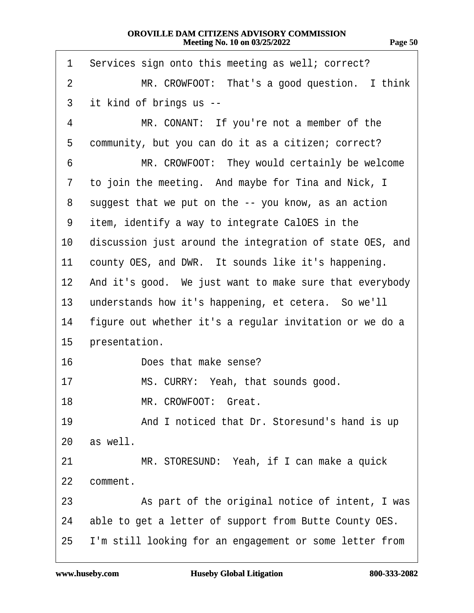| 1               | Services sign onto this meeting as well; correct?        |
|-----------------|----------------------------------------------------------|
| $\overline{2}$  | MR. CROWFOOT: That's a good question. I think            |
| 3               | it kind of brings us --                                  |
| 4               | MR. CONANT: If you're not a member of the                |
| 5               | community, but you can do it as a citizen; correct?      |
| 6               | MR. CROWFOOT: They would certainly be welcome            |
| 7               | to join the meeting. And maybe for Tina and Nick, I      |
| 8               | suggest that we put on the -- you know, as an action     |
| 9               | item, identify a way to integrate CalOES in the          |
| 10              | discussion just around the integration of state OES, and |
| 11              | county OES, and DWR. It sounds like it's happening.      |
| 12 <sub>2</sub> | And it's good. We just want to make sure that everybody  |
| 13              | understands how it's happening, et cetera. So we'll      |
| 14              | figure out whether it's a regular invitation or we do a  |
| $15\,$          | presentation.                                            |
| 16              | Does that make sense?                                    |
| 17              | MS. CURRY: Yeah, that sounds good.                       |
| 18              | MR. CROWFOOT: Great.                                     |
| 19              | And I noticed that Dr. Storesund's hand is up            |
| 20              | as well.                                                 |
| 21              | MR. STORESUND: Yeah, if I can make a quick               |
| 22              | comment.                                                 |
| 23              | As part of the original notice of intent, I was          |
| 24              | able to get a letter of support from Butte County OES.   |
| 25              | I'm still looking for an engagement or some letter from  |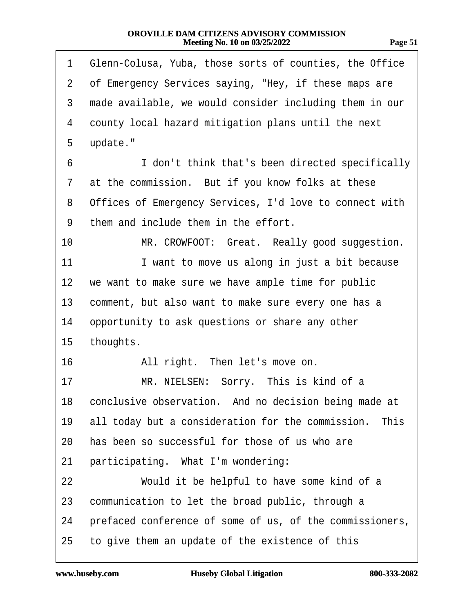| ï<br>π.<br>. . |  |
|----------------|--|
|                |  |

| 1              | Glenn-Colusa, Yuba, those sorts of counties, the Office  |
|----------------|----------------------------------------------------------|
| $\overline{2}$ | of Emergency Services saying, "Hey, if these maps are    |
| 3              | made available, we would consider including them in our  |
| 4              | county local hazard mitigation plans until the next      |
| 5              | update."                                                 |
| 6              | I don't think that's been directed specifically          |
| 7              | at the commission. But if you know folks at these        |
| 8              | Offices of Emergency Services, I'd love to connect with  |
| 9              | them and include them in the effort.                     |
| 10             | MR. CROWFOOT: Great. Really good suggestion.             |
| 11             | I want to move us along in just a bit because            |
| $12 \,$        | we want to make sure we have ample time for public       |
| 13             | comment, but also want to make sure every one has a      |
| 14             | opportunity to ask questions or share any other          |
| 15             | thoughts.                                                |
| 16             | All right. Then let's move on.                           |
| 17             | MR. NIELSEN: Sorry. This is kind of a                    |
|                | 18 conclusive observation. And no decision being made at |
| 19             | all today but a consideration for the commission. This   |
| 20             | has been so successful for those of us who are           |
| 21             | participating. What I'm wondering:                       |
| 22             | Would it be helpful to have some kind of a               |
| 23             | communication to let the broad public, through a         |
| 24             | prefaced conference of some of us, of the commissioners, |
| 25             | to give them an update of the existence of this          |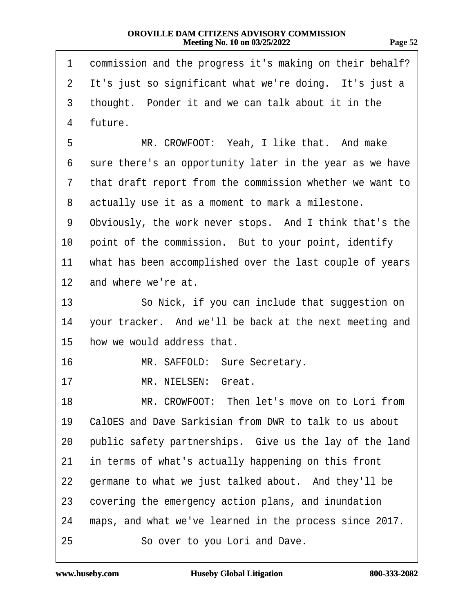| π. |  |
|----|--|
|    |  |

| 1              | commission and the progress it's making on their behalf? |
|----------------|----------------------------------------------------------|
| $\overline{2}$ | It's just so significant what we're doing. It's just a   |
| 3              | thought. Ponder it and we can talk about it in the       |
| 4              | future.                                                  |
| 5              | MR. CROWFOOT: Yeah, I like that. And make                |
| 6              | sure there's an opportunity later in the year as we have |
| 7              | that draft report from the commission whether we want to |
| 8              | actually use it as a moment to mark a milestone.         |
| 9              | Obviously, the work never stops. And I think that's the  |
| 10             | point of the commission. But to your point, identify     |
| 11             | what has been accomplished over the last couple of years |
| 12             | and where we're at.                                      |
| 13             | So Nick, if you can include that suggestion on           |
| 14             | your tracker. And we'll be back at the next meeting and  |
| 15             | how we would address that.                               |
| 16             | MR. SAFFOLD: Sure Secretary.                             |
| 17             | MR. NIELSEN: Great.                                      |
| 18             | MR. CROWFOOT: Then let's move on to Lori from            |
| 19             | CalOES and Dave Sarkisian from DWR to talk to us about   |
| 20             | public safety partnerships. Give us the lay of the land  |
| 21             | in terms of what's actually happening on this front      |
| 22             | germane to what we just talked about. And they'll be     |
| 23             | covering the emergency action plans, and inundation      |
| 24             | maps, and what we've learned in the process since 2017.  |
| 25             | So over to you Lori and Dave.                            |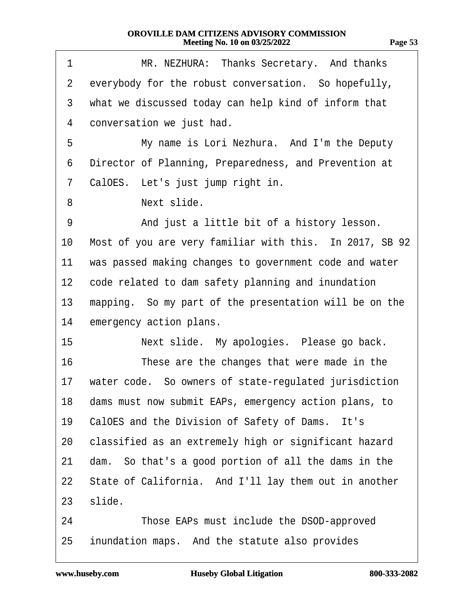| v r<br>. . |  |
|------------|--|
|            |  |

| 1               | MR. NEZHURA: Thanks Secretary. And thanks               |
|-----------------|---------------------------------------------------------|
| $\overline{2}$  | everybody for the robust conversation. So hopefully,    |
| 3               | what we discussed today can help kind of inform that    |
| 4               | conversation we just had.                               |
| 5               | My name is Lori Nezhura. And I'm the Deputy             |
| 6               | Director of Planning, Preparedness, and Prevention at   |
| 7               | CalOES. Let's just jump right in.                       |
| 8               | Next slide.                                             |
| 9               | And just a little bit of a history lesson.              |
| 10              | Most of you are very familiar with this. In 2017, SB 92 |
| 11              | was passed making changes to government code and water  |
| 12 <sub>2</sub> | code related to dam safety planning and inundation      |
| 13              | mapping. So my part of the presentation will be on the  |
| 14              | emergency action plans.                                 |
| 15              | Next slide. My apologies. Please go back.               |
| 16              | These are the changes that were made in the             |
| 17              | water code. So owners of state-regulated jurisdiction   |
| 18              | dams must now submit EAPs, emergency action plans, to   |
| 19              | CalOES and the Division of Safety of Dams. It's         |
| 20              | classified as an extremely high or significant hazard   |
| 21              | dam. So that's a good portion of all the dams in the    |
| 22              | State of California. And I'll lay them out in another   |
| 23              | slide.                                                  |
| 24              | Those EAPs must include the DSOD-approved               |
| 25              | inundation maps. And the statute also provides          |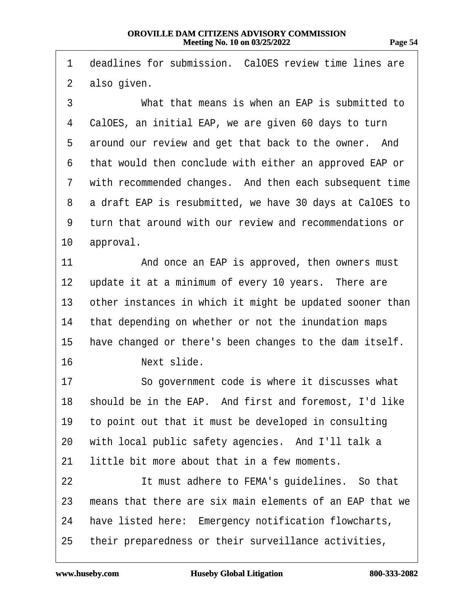1 deadlines for submission. CalOES review time lines are

2 also given. 3 **What that means is when an EAP is submitted to** 4 CalOES, an initial EAP, we are given 60 days to turn 5 around our review and get that back to the owner. And 6 that would then conclude with either an approved EAP or 7 with recommended changes. And then each subsequent time 8 a draft EAP is resubmitted, we have 30 days at CalOES to ·9· ·turn that around with our review and recommendations or 10 approval. 11 And once an EAP is approved, then owners must 12 update it at a minimum of every 10 years. There are 13 other instances in which it might be updated sooner than 14 that depending on whether or not the inundation maps 15 have changed or there's been changes to the dam itself. 16 · · · Next slide. 17 · · So government code is where it discusses what 18 should be in the EAP. And first and foremost, I'd like 19 to point out that it must be developed in consulting 20 with local public safety agencies. And I'll talk a 21 little bit more about that in a few moments. 22 **It must adhere to FEMA's quidelines.** So that 23 means that there are six main elements of an EAP that we 24 have listed here: Emergency notification flowcharts, 25 their preparedness or their surveillance activities,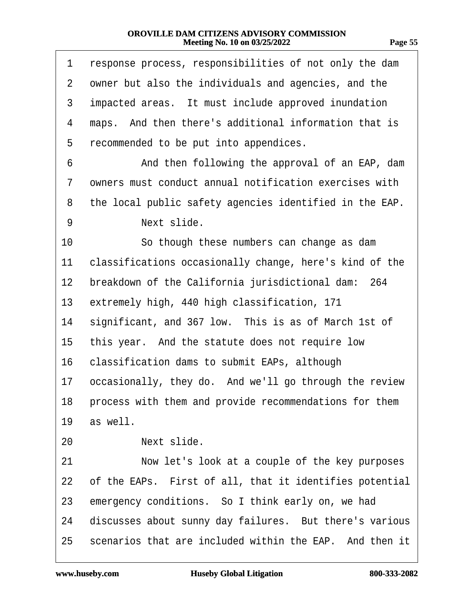| 1  | response process, responsibilities of not only the dam  |
|----|---------------------------------------------------------|
| 2  | owner but also the individuals and agencies, and the    |
| 3  | impacted areas. It must include approved inundation     |
| 4  | maps. And then there's additional information that is   |
| 5  | recommended to be put into appendices.                  |
| 6  | And then following the approval of an EAP, dam          |
| 7  | owners must conduct annual notification exercises with  |
| 8  | the local public safety agencies identified in the EAP. |
| 9  | Next slide.                                             |
| 10 | So though these numbers can change as dam               |
| 11 | classifications occasionally change, here's kind of the |
| 12 | breakdown of the California jurisdictional dam: 264     |
| 13 | extremely high, 440 high classification, 171            |
| 14 | significant, and 367 low. This is as of March 1st of    |
| 15 | this year. And the statute does not require low         |
| 16 | classification dams to submit EAPs, although            |
| 17 | occasionally, they do. And we'll go through the review  |
| 18 | process with them and provide recommendations for them  |
| 19 | as well.                                                |
| 20 | Next slide.                                             |
| 21 | Now let's look at a couple of the key purposes          |
| 22 | of the EAPs. First of all, that it identifies potential |
| 23 | emergency conditions. So I think early on, we had       |
| 24 | discusses about sunny day failures. But there's various |
| 25 | scenarios that are included within the EAP. And then it |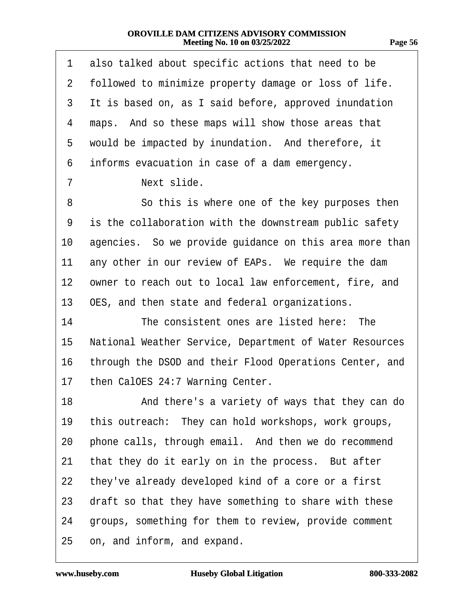| 77<br>., | ı |
|----------|---|
|          | ۱ |

| 1               | also talked about specific actions that need to be      |
|-----------------|---------------------------------------------------------|
| $\overline{2}$  | followed to minimize property damage or loss of life.   |
| 3               | It is based on, as I said before, approved inundation   |
| 4               | maps. And so these maps will show those areas that      |
| 5               | would be impacted by inundation. And therefore, it      |
| 6               | informs evacuation in case of a dam emergency.          |
| 7               | Next slide.                                             |
| 8               | So this is where one of the key purposes then           |
| 9               | is the collaboration with the downstream public safety  |
| 10              | agencies. So we provide guidance on this area more than |
| 11              | any other in our review of EAPs. We require the dam     |
| 12              | owner to reach out to local law enforcement, fire, and  |
| 13              | OES, and then state and federal organizations.          |
| 14              | The consistent ones are listed here: The                |
| 15 <sub>2</sub> | National Weather Service, Department of Water Resources |
| 16              | through the DSOD and their Flood Operations Center, and |
| 17              | then CalOES 24:7 Warning Center.                        |
| 18              | And there's a variety of ways that they can do          |
| 19              | this outreach: They can hold workshops, work groups,    |
| 20              | phone calls, through email. And then we do recommend    |
| 21              | that they do it early on in the process. But after      |
| 22              | they've already developed kind of a core or a first     |
| 23              | draft so that they have something to share with these   |
| 24              | groups, something for them to review, provide comment   |
| 25              | on, and inform, and expand.                             |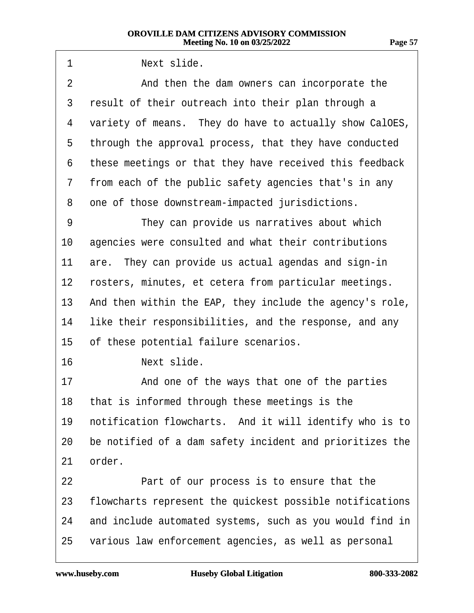| 1  | Next slide.                                              |
|----|----------------------------------------------------------|
| 2  | And then the dam owners can incorporate the              |
| 3  | result of their outreach into their plan through a       |
| 4  | variety of means. They do have to actually show CalOES,  |
| 5  | through the approval process, that they have conducted   |
| 6  | these meetings or that they have received this feedback  |
| 7  | from each of the public safety agencies that's in any    |
| 8  | one of those downstream-impacted jurisdictions.          |
| 9  | They can provide us narratives about which               |
| 10 | agencies were consulted and what their contributions     |
| 11 | are. They can provide us actual agendas and sign-in      |
| 12 | rosters, minutes, et cetera from particular meetings.    |
| 13 | And then within the EAP, they include the agency's role, |
| 14 | like their responsibilities, and the response, and any   |
| 15 | of these potential failure scenarios.                    |
| 16 | Next slide.                                              |
| 17 | And one of the ways that one of the parties              |
|    | 18 that is informed through these meetings is the        |
| 19 | notification flowcharts. And it will identify who is to  |
| 20 | be notified of a dam safety incident and prioritizes the |
| 21 | order.                                                   |
| 22 | Part of our process is to ensure that the                |
| 23 | flowcharts represent the quickest possible notifications |
| 24 | and include automated systems, such as you would find in |
| 25 | various law enforcement agencies, as well as personal    |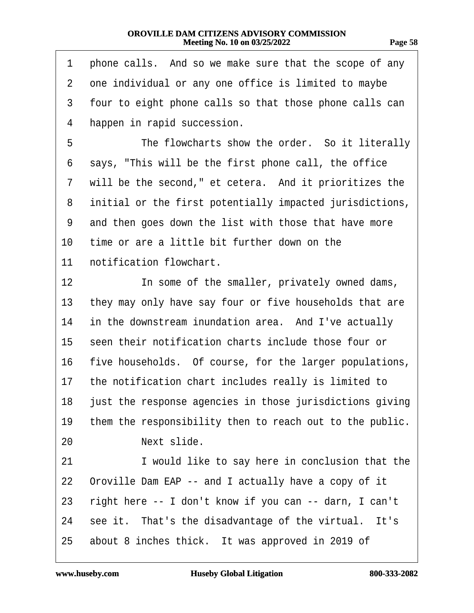| 71<br>r. |
|----------|
|----------|

| 1               | phone calls. And so we make sure that the scope of any      |
|-----------------|-------------------------------------------------------------|
| $\overline{2}$  | one individual or any one office is limited to maybe        |
| 3               | four to eight phone calls so that those phone calls can     |
| 4               | happen in rapid succession.                                 |
| 5               | The flowcharts show the order. So it literally              |
| 6               | says, "This will be the first phone call, the office        |
| 7               | will be the second," et cetera. And it prioritizes the      |
| 8               | initial or the first potentially impacted jurisdictions,    |
| 9               | and then goes down the list with those that have more       |
| 10              | time or are a little bit further down on the                |
| 11              | notification flowchart.                                     |
| 12 <sub>2</sub> | In some of the smaller, privately owned dams,               |
| 13 <sup>°</sup> | they may only have say four or five households that are     |
| 14              | in the downstream inundation area. And I've actually        |
|                 | 15 seen their notification charts include those four or     |
|                 | 16 five households. Of course, for the larger populations,  |
|                 | 17 the notification chart includes really is limited to     |
|                 | 18 just the response agencies in those jurisdictions giving |
| 19              | them the responsibility then to reach out to the public.    |
| 20              | Next slide.                                                 |
| 21              | I would like to say here in conclusion that the             |
| 22              | Oroville Dam EAP -- and I actually have a copy of it        |
| 23              | right here -- I don't know if you can -- darn, I can't      |
| 24              | see it. That's the disadvantage of the virtual. It's        |
| 25              | about 8 inches thick. It was approved in 2019 of            |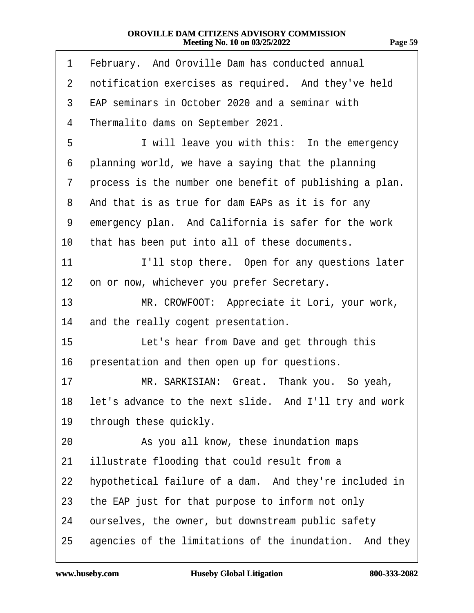| π. |  |
|----|--|
|    |  |

| 1              | February. And Oroville Dam has conducted annual           |
|----------------|-----------------------------------------------------------|
| $\overline{2}$ | notification exercises as required. And they've held      |
| 3              | EAP seminars in October 2020 and a seminar with           |
| 4              | Thermalito dams on September 2021.                        |
| 5              | I will leave you with this: In the emergency              |
| 6              | planning world, we have a saying that the planning        |
| 7              | process is the number one benefit of publishing a plan.   |
| 8              | And that is as true for dam EAPs as it is for any         |
| 9              | emergency plan. And California is safer for the work      |
| 10             | that has been put into all of these documents.            |
| 11             | I'll stop there. Open for any questions later             |
| 12             | on or now, whichever you prefer Secretary.                |
| 13             | MR. CROWFOOT: Appreciate it Lori, your work,              |
| 14             | and the really cogent presentation.                       |
| 15             | Let's hear from Dave and get through this                 |
| 16             | presentation and then open up for questions.              |
| 17             | MR. SARKISIAN: Great. Thank you. So yeah,                 |
|                | 18 let's advance to the next slide. And I'll try and work |
| 19             | through these quickly.                                    |
| 20             | As you all know, these inundation maps                    |
| 21             | illustrate flooding that could result from a              |
| 22             | hypothetical failure of a dam. And they're included in    |
| 23             | the EAP just for that purpose to inform not only          |
| 24             | ourselves, the owner, but downstream public safety        |
| 25             | agencies of the limitations of the inundation. And they   |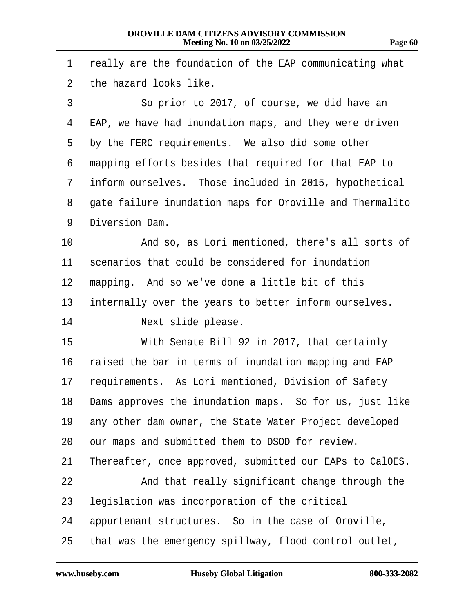| 1              | really are the foundation of the EAP communicating what    |
|----------------|------------------------------------------------------------|
| $\overline{2}$ | the hazard looks like.                                     |
| 3              | So prior to 2017, of course, we did have an                |
| 4              | EAP, we have had inundation maps, and they were driven     |
| 5              | by the FERC requirements. We also did some other           |
| 6              | mapping efforts besides that required for that EAP to      |
| 7              | inform ourselves. Those included in 2015, hypothetical     |
| 8              | gate failure inundation maps for Oroville and Thermalito   |
| 9              | Diversion Dam.                                             |
| 10             | And so, as Lori mentioned, there's all sorts of            |
| 11             | scenarios that could be considered for inundation          |
| 12             | mapping. And so we've done a little bit of this            |
| 13             | internally over the years to better inform ourselves.      |
| 14             | Next slide please.                                         |
| 15             | With Senate Bill 92 in 2017, that certainly                |
| 16             | raised the bar in terms of inundation mapping and EAP      |
| 17             | requirements. As Lori mentioned, Division of Safety        |
|                | 18 Dams approves the inundation maps. So for us, just like |
| 19             | any other dam owner, the State Water Project developed     |
| 20             | our maps and submitted them to DSOD for review.            |
| 21             | Thereafter, once approved, submitted our EAPs to CalOES.   |
| 22             | And that really significant change through the             |
| 23             | legislation was incorporation of the critical              |
| 24             | appurtenant structures. So in the case of Oroville,        |
| 25             | that was the emergency spillway, flood control outlet,     |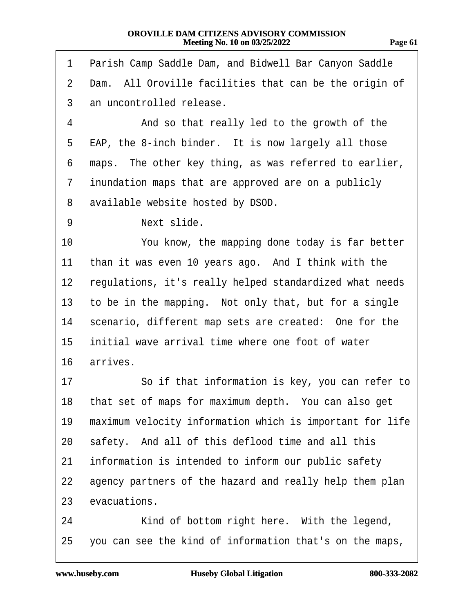| <br>., | ш |
|--------|---|
|        |   |

| 1  | Parish Camp Saddle Dam, and Bidwell Bar Canyon Saddle    |
|----|----------------------------------------------------------|
| 2  | Dam. All Oroville facilities that can be the origin of   |
| 3  | an uncontrolled release.                                 |
| 4  | And so that really led to the growth of the              |
| 5  | EAP, the 8-inch binder. It is now largely all those      |
| 6  | maps. The other key thing, as was referred to earlier,   |
| 7  | inundation maps that are approved are on a publicly      |
| 8  | available website hosted by DSOD.                        |
| 9  | Next slide.                                              |
| 10 | You know, the mapping done today is far better           |
| 11 | than it was even 10 years ago. And I think with the      |
| 12 | regulations, it's really helped standardized what needs  |
| 13 | to be in the mapping. Not only that, but for a single    |
| 14 | scenario, different map sets are created: One for the    |
| 15 | initial wave arrival time where one foot of water        |
| 16 | arrives.                                                 |
| 17 | So if that information is key, you can refer to          |
| 18 | that set of maps for maximum depth. You can also get     |
| 19 | maximum velocity information which is important for life |
| 20 | safety. And all of this deflood time and all this        |
| 21 | information is intended to inform our public safety      |
| 22 | agency partners of the hazard and really help them plan  |
| 23 | evacuations.                                             |
| 24 | Kind of bottom right here. With the legend,              |
| 25 | you can see the kind of information that's on the maps,  |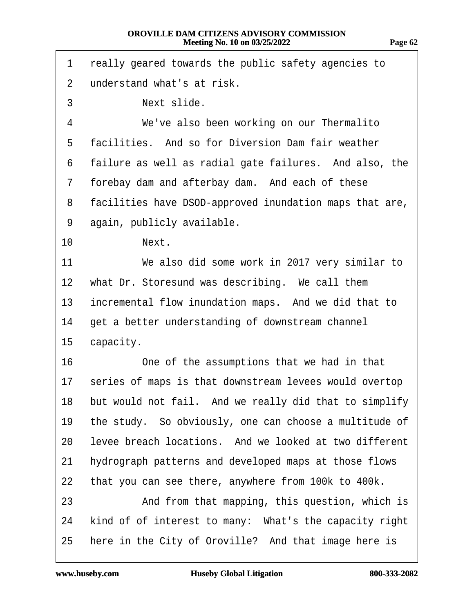1 really geared towards the public safety agencies to

- 2 understand what's at risk.
- 3 **Next slide.**
- 4 We've also been working on our Thermalito
- 5 facilities. And so for Diversion Dam fair weather
- 6 failure as well as radial gate failures. And also, the
- 7 forebay dam and afterbay dam. And each of these
- 8 facilities have DSOD-approved inundation maps that are,
- 9 again, publicly available.
- 10 **Next.**
- 11 We also did some work in 2017 very similar to 12 what Dr. Storesund was describing. We call them 13 incremental flow inundation maps. And we did that to 14 get a better understanding of downstream channel
- 15 capacity.
- 16 One of the assumptions that we had in that 17 series of maps is that downstream levees would overtop 18 but would not fail. And we really did that to simplify 19 the study. So obviously, one can choose a multitude of 20 levee breach locations. And we looked at two different 21 hydrograph patterns and developed maps at those flows 22 that you can see there, anywhere from 100k to 400k. 23 • And from that mapping, this question, which is 24 kind of of interest to many: What's the capacity right 25 here in the City of Oroville? And that image here is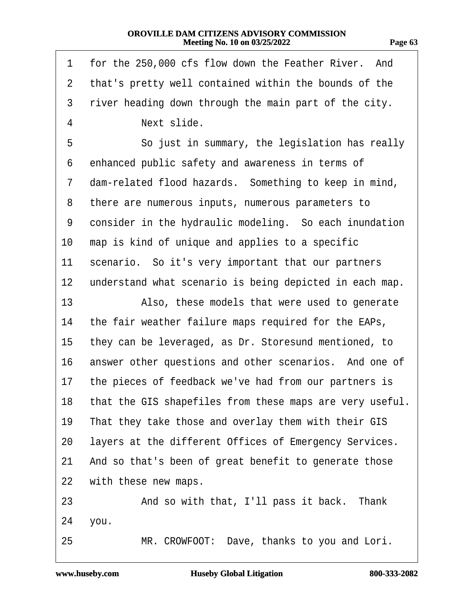| 1              | for the 250,000 cfs flow down the Feather River. And        |
|----------------|-------------------------------------------------------------|
| $\overline{2}$ | that's pretty well contained within the bounds of the       |
| 3              | river heading down through the main part of the city.       |
| 4              | Next slide.                                                 |
| 5              | So just in summary, the legislation has really              |
| 6              | enhanced public safety and awareness in terms of            |
| 7              | dam-related flood hazards. Something to keep in mind,       |
| 8              | there are numerous inputs, numerous parameters to           |
| 9              | consider in the hydraulic modeling. So each inundation      |
| 10             | map is kind of unique and applies to a specific             |
| 11             | scenario. So it's very important that our partners          |
| 12             | understand what scenario is being depicted in each map.     |
| 13             | Also, these models that were used to generate               |
| 14             | the fair weather failure maps required for the EAPs,        |
| 15             | they can be leveraged, as Dr. Storesund mentioned, to       |
| 16             | answer other questions and other scenarios. And one of      |
| $17 \,$        | the pieces of feedback we've had from our partners is       |
|                | 18 that the GIS shapefiles from these maps are very useful. |
| 19             | That they take those and overlay them with their GIS        |
| 20             | layers at the different Offices of Emergency Services.      |
| 21             | And so that's been of great benefit to generate those       |
| 22             | with these new maps.                                        |
| 23             | And so with that, I'll pass it back. Thank                  |
| 24             | you.                                                        |
| 25             | MR. CROWFOOT: Dave, thanks to you and Lori.                 |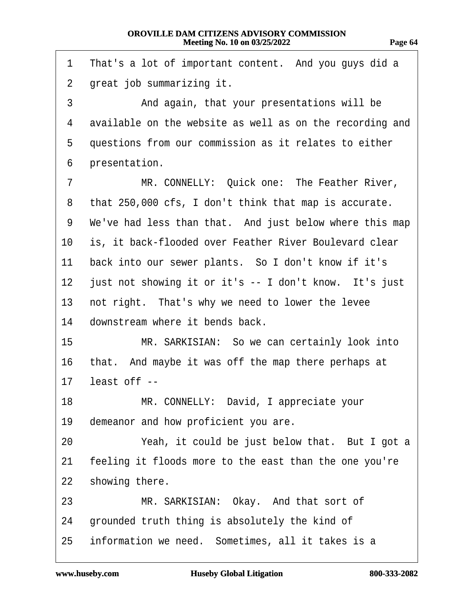| $\mathbf 1$    | That's a lot of important content. And you guys did a     |
|----------------|-----------------------------------------------------------|
| 2 <sup>1</sup> | great job summarizing it.                                 |
| 3              | And again, that your presentations will be                |
| 4              | available on the website as well as on the recording and  |
| 5              | questions from our commission as it relates to either     |
| 6              | presentation.                                             |
| 7              | MR. CONNELLY: Quick one: The Feather River,               |
| 8              | that 250,000 cfs, I don't think that map is accurate.     |
|                | 9 We've had less than that. And just below where this map |
|                | 10 is, it back-flooded over Feather River Boulevard clear |
| 11             | back into our sewer plants. So I don't know if it's       |
| 12             | just not showing it or it's -- I don't know. It's just    |
| 13             | not right. That's why we need to lower the levee          |
| 14             | downstream where it bends back.                           |
| 15             | MR. SARKISIAN: So we can certainly look into              |
| 16             | that. And maybe it was off the map there perhaps at       |
| 17             | least off --                                              |
| 18 —           | MR. CONNELLY: David, I appreciate your                    |
| 19             | demeanor and how proficient you are.                      |
| 20             | Yeah, it could be just below that. But I got a            |
| 21             | feeling it floods more to the east than the one you're    |
| 22             | showing there.                                            |
| 23             | MR. SARKISIAN: Okay. And that sort of                     |
| 24             | grounded truth thing is absolutely the kind of            |
| 25             | information we need. Sometimes, all it takes is a         |

 $17$ 

 $22$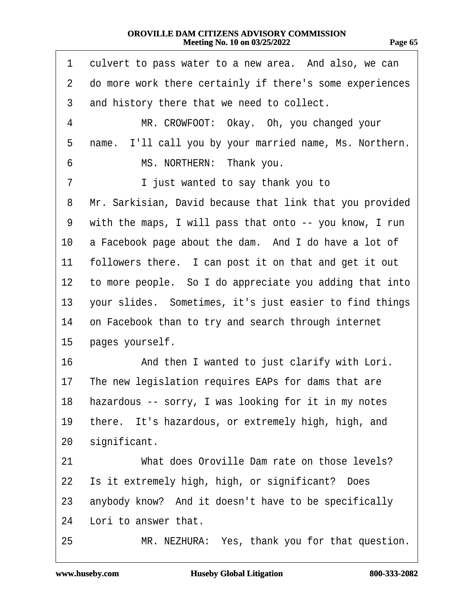| 1              | culvert to pass water to a new area. And also, we can    |
|----------------|----------------------------------------------------------|
| $\overline{2}$ | do more work there certainly if there's some experiences |
| 3              | and history there that we need to collect.               |
| 4              | MR. CROWFOOT: Okay. Oh, you changed your                 |
| 5              | name. I'll call you by your married name, Ms. Northern.  |
| 6              | MS. NORTHERN: Thank you.                                 |
| 7              | I just wanted to say thank you to                        |
| 8              | Mr. Sarkisian, David because that link that you provided |
| 9              | with the maps, I will pass that onto -- you know, I run  |
| 10             | a Facebook page about the dam. And I do have a lot of    |
| 11             | followers there. I can post it on that and get it out    |
| 12             | to more people. So I do appreciate you adding that into  |
| 13             | your slides. Sometimes, it's just easier to find things  |
| 14             | on Facebook than to try and search through internet      |
| 15             | pages yourself.                                          |
| 16             | And then I wanted to just clarify with Lori.             |
| 17             | The new legislation requires EAPs for dams that are      |
| 18             | hazardous -- sorry, I was looking for it in my notes     |
| 19             | there. It's hazardous, or extremely high, high, and      |
| 20             | significant.                                             |
| 21             | What does Oroville Dam rate on those levels?             |
| 22             | Is it extremely high, high, or significant? Does         |
| 23             | anybody know? And it doesn't have to be specifically     |
| 24             | Lori to answer that.                                     |
| 25             | MR. NEZHURA: Yes, thank you for that question.           |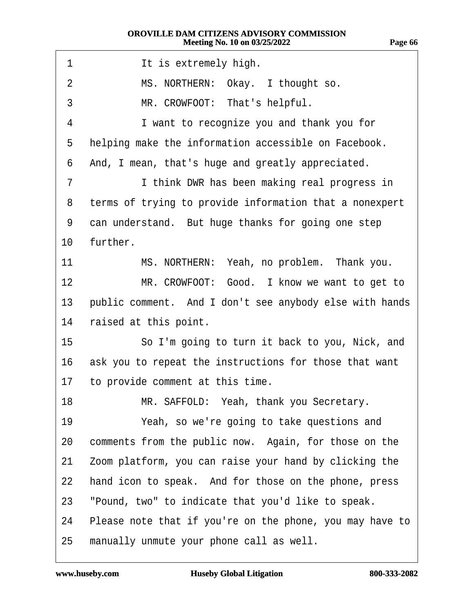| 1               | It is extremely high.                                    |
|-----------------|----------------------------------------------------------|
| 2               | MS. NORTHERN: Okay. I thought so.                        |
| 3               | MR. CROWFOOT: That's helpful.                            |
| 4               | I want to recognize you and thank you for                |
| 5               | helping make the information accessible on Facebook.     |
| 6               | And, I mean, that's huge and greatly appreciated.        |
| 7               | I think DWR has been making real progress in             |
| 8               | terms of trying to provide information that a nonexpert  |
| 9               | can understand. But huge thanks for going one step       |
| 10 <sup>°</sup> | further.                                                 |
| 11              | MS. NORTHERN: Yeah, no problem. Thank you.               |
| 12 <sup>2</sup> | MR. CROWFOOT: Good. I know we want to get to             |
| 13              | public comment. And I don't see anybody else with hands  |
| 14              | raised at this point.                                    |
| 15 <sub>2</sub> | So I'm going to turn it back to you, Nick, and           |
| 16              | ask you to repeat the instructions for those that want   |
| 17              | to provide comment at this time.                         |
| 18              | MR. SAFFOLD: Yeah, thank you Secretary.                  |
| 19              | Yeah, so we're going to take questions and               |
| 20              | comments from the public now. Again, for those on the    |
| 21              | Zoom platform, you can raise your hand by clicking the   |
| 22              | hand icon to speak. And for those on the phone, press    |
| 23              | "Pound, two" to indicate that you'd like to speak.       |
| 24              | Please note that if you're on the phone, you may have to |
| 25              | manually unmute your phone call as well.                 |

**Page 66**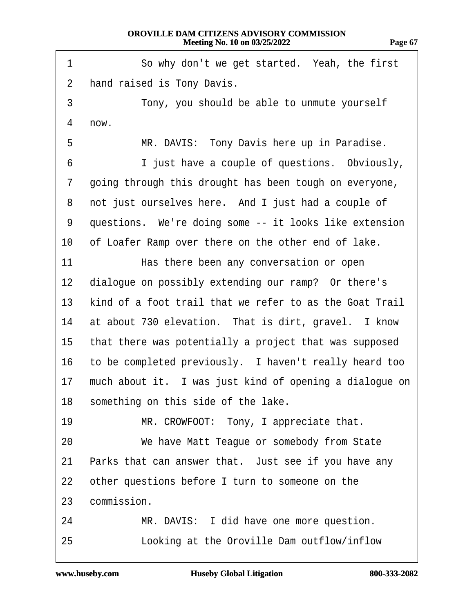1 So why don't we get started. Yeah, the first 2 hand raised is Tony Davis. 3 Tony, you should be able to unmute yourself 4 now. 5 MR. DAVIS: Tony Davis here up in Paradise. 6 **I** just have a couple of questions. Obviously, 7 going through this drought has been tough on everyone, 8 not just ourselves here. And I just had a couple of 9 questions. We're doing some -- it looks like extension 10 of Loafer Ramp over there on the other end of lake. 11 • **Has there been any conversation or open** 12 dialogue on possibly extending our ramp? Or there's 13 kind of a foot trail that we refer to as the Goat Trail 14 at about 730 elevation. That is dirt, gravel. I know 15 that there was potentially a project that was supposed 16 to be completed previously. I haven't really heard too 17 much about it. I was just kind of opening a dialogue on 18 something on this side of the lake. 19 MR. CROWFOOT: Tony, I appreciate that. 20 We have Matt Teague or somebody from State 21 Parks that can answer that. Just see if you have any 22 other questions before I turn to someone on the 23 commission. 24 MR. DAVIS: I did have one more question. 25 **Looking at the Oroville Dam outflow/inflow**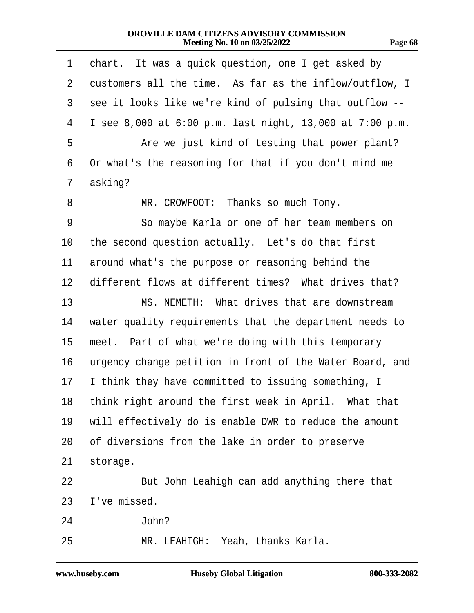| - 11<br>.,<br>,, | <br>ı<br>. . |
|------------------|--------------|
|                  |              |

| 1                 | chart. It was a quick question, one I get asked by       |
|-------------------|----------------------------------------------------------|
| $\overline{2}$    | customers all the time. As far as the inflow/outflow, I  |
| 3                 | see it looks like we're kind of pulsing that outflow --  |
| 4                 | I see 8,000 at 6:00 p.m. last night, 13,000 at 7:00 p.m. |
| 5                 | Are we just kind of testing that power plant?            |
| 6                 | Or what's the reasoning for that if you don't mind me    |
| 7                 | asking?                                                  |
| 8                 | MR. CROWFOOT: Thanks so much Tony.                       |
| 9                 | So maybe Karla or one of her team members on             |
| 10                | the second question actually. Let's do that first        |
| 11                | around what's the purpose or reasoning behind the        |
| $12 \overline{ }$ | different flows at different times? What drives that?    |
| 13                | MS. NEMETH: What drives that are downstream              |
| 14                | water quality requirements that the department needs to  |
| 15                | meet. Part of what we're doing with this temporary       |
| 16                | urgency change petition in front of the Water Board, and |
| 17                | I think they have committed to issuing something, I      |
|                   | 18 think right around the first week in April. What that |
| 19                | will effectively do is enable DWR to reduce the amount   |
| 20                | of diversions from the lake in order to preserve         |
| 21                | storage.                                                 |
| 22                | But John Leahigh can add anything there that             |
| 23                | I've missed.                                             |
| 24                | John?                                                    |
| 25                | MR. LEAHIGH: Yeah, thanks Karla.                         |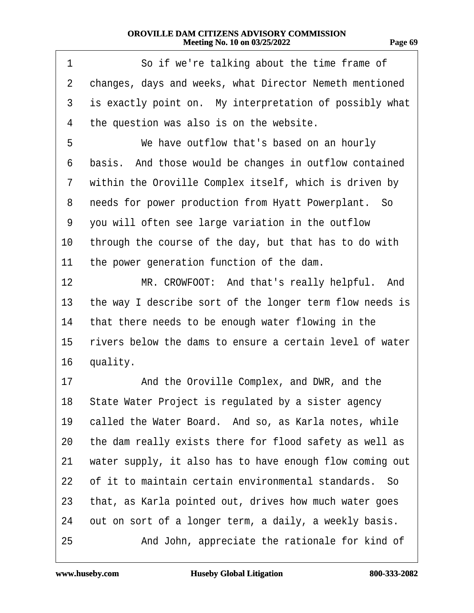| 90 P | Ы |
|------|---|
|      |   |

| 1              | So if we're talking about the time frame of              |
|----------------|----------------------------------------------------------|
| $\overline{2}$ | changes, days and weeks, what Director Nemeth mentioned  |
| 3              | is exactly point on. My interpretation of possibly what  |
| 4              | the question was also is on the website.                 |
| 5              | We have outflow that's based on an hourly                |
| 6              | basis. And those would be changes in outflow contained   |
| 7              | within the Oroville Complex itself, which is driven by   |
| 8              | needs for power production from Hyatt Powerplant. So     |
| 9              | you will often see large variation in the outflow        |
| 10             | through the course of the day, but that has to do with   |
| 11             | the power generation function of the dam.                |
| 12             | MR. CROWFOOT: And that's really helpful. And             |
| 13             | the way I describe sort of the longer term flow needs is |
| 14             | that there needs to be enough water flowing in the       |
| 15             | rivers below the dams to ensure a certain level of water |
| 16             | quality.                                                 |
| 17             | And the Oroville Complex, and DWR, and the               |
| 18             | State Water Project is regulated by a sister agency      |
| 19             | called the Water Board. And so, as Karla notes, while    |
| 20             | the dam really exists there for flood safety as well as  |
| 21             | water supply, it also has to have enough flow coming out |
| 22             | of it to maintain certain environmental standards. So    |
| 23             | that, as Karla pointed out, drives how much water goes   |
| 24             | out on sort of a longer term, a daily, a weekly basis.   |
| 25             | And John, appreciate the rationale for kind of           |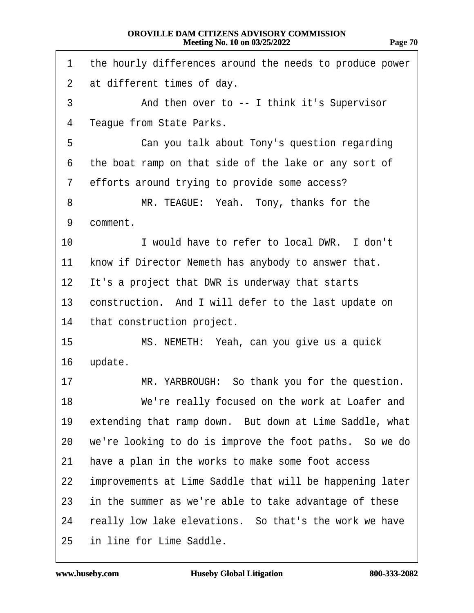| 1              | the hourly differences around the needs to produce power |
|----------------|----------------------------------------------------------|
| $\overline{2}$ | at different times of day.                               |
| 3              | And then over to -- I think it's Supervisor              |
| 4              | Teague from State Parks.                                 |
| 5              | Can you talk about Tony's question regarding             |
| 6              | the boat ramp on that side of the lake or any sort of    |
| 7              | efforts around trying to provide some access?            |
| 8              | MR. TEAGUE: Yeah. Tony, thanks for the                   |
| 9              | comment.                                                 |
| 10             | I would have to refer to local DWR. I don't              |
| 11             | know if Director Nemeth has anybody to answer that.      |
| 12             | It's a project that DWR is underway that starts          |
| 13             | construction. And I will defer to the last update on     |
| 14             | that construction project.                               |
| 15             | MS. NEMETH: Yeah, can you give us a quick                |
| 16             | update.                                                  |
| 17             | MR. YARBROUGH: So thank you for the question.            |
| 18             | We're really focused on the work at Loafer and           |
| 19             | extending that ramp down. But down at Lime Saddle, what  |
| 20             | we're looking to do is improve the foot paths. So we do  |
| 21             | have a plan in the works to make some foot access        |
| 22             | improvements at Lime Saddle that will be happening later |
| 23             | in the summer as we're able to take advantage of these   |
| 24             | really low lake elevations. So that's the work we have   |
| 25             | in line for Lime Saddle.                                 |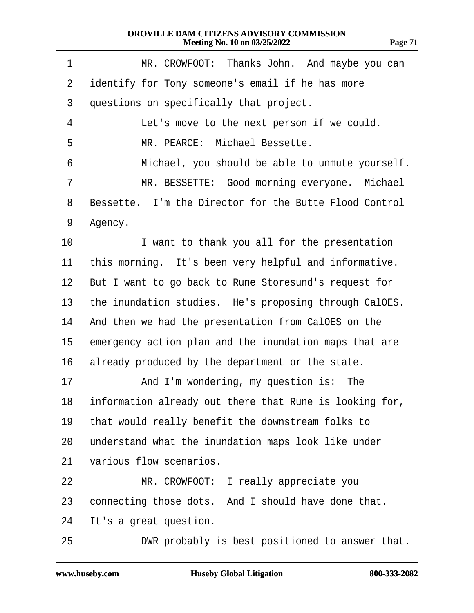| т.<br>r. |  |
|----------|--|
|          |  |

| 1               | MR. CROWFOOT: Thanks John. And maybe you can               |
|-----------------|------------------------------------------------------------|
| $\overline{2}$  | identify for Tony someone's email if he has more           |
| 3               | questions on specifically that project.                    |
| 4               | Let's move to the next person if we could.                 |
| 5               | MR. PEARCE: Michael Bessette.                              |
| 6               | Michael, you should be able to unmute yourself.            |
| 7               | MR. BESSETTE: Good morning everyone. Michael               |
| 8               | Bessette. I'm the Director for the Butte Flood Control     |
| 9               | Agency.                                                    |
| 10              | I want to thank you all for the presentation               |
| 11              | this morning. It's been very helpful and informative.      |
| 12 <sub>2</sub> | But I want to go back to Rune Storesund's request for      |
| 13              | the inundation studies. He's proposing through CalOES.     |
| 14              | And then we had the presentation from CalOES on the        |
| 15              | emergency action plan and the inundation maps that are     |
| 16              | already produced by the department or the state.           |
| 17              | And I'm wondering, my question is: The                     |
|                 | 18 information already out there that Rune is looking for, |
| 19              | that would really benefit the downstream folks to          |
| 20              | understand what the inundation maps look like under        |
| 21              | various flow scenarios.                                    |
| 22              | MR. CROWFOOT: I really appreciate you                      |
| 23              | connecting those dots. And I should have done that.        |
| 24              | It's a great question.                                     |
| 25              | DWR probably is best positioned to answer that.            |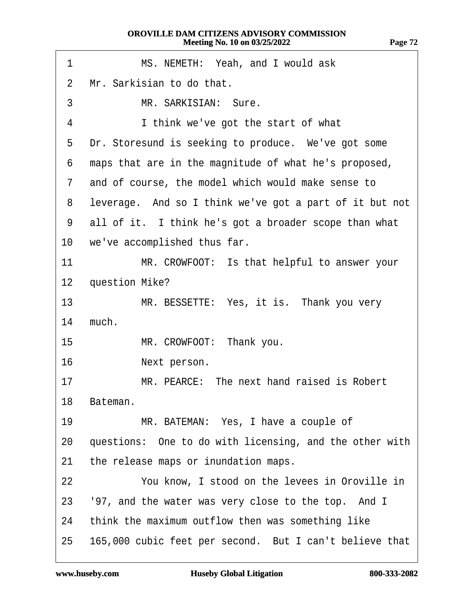| 1                 | MS. NEMETH: Yeah, and I would ask                       |
|-------------------|---------------------------------------------------------|
| 2                 | Mr. Sarkisian to do that.                               |
| 3                 | MR. SARKISIAN: Sure.                                    |
| 4                 | I think we've got the start of what                     |
| 5                 | Dr. Storesund is seeking to produce. We've got some     |
| 6                 | maps that are in the magnitude of what he's proposed,   |
| $\overline{7}$    | and of course, the model which would make sense to      |
| 8                 | leverage. And so I think we've got a part of it but not |
| 9                 | all of it. I think he's got a broader scope than what   |
|                   | 10 we've accomplished thus far.                         |
| 11                | MR. CROWFOOT: Is that helpful to answer your            |
| $12 \overline{ }$ | question Mike?                                          |
| 13                | MR. BESSETTE: Yes, it is. Thank you very                |
| 14                | much.                                                   |
| 15                | MR. CROWFOOT: Thank you.                                |
| 16                | Next person.                                            |
| 17                | MR. PEARCE: The next hand raised is Robert              |
| 18                | Bateman.                                                |
| 19                | MR. BATEMAN: Yes, I have a couple of                    |
| 20                | questions: One to do with licensing, and the other with |
| 21                | the release maps or inundation maps.                    |
| 22                | You know, I stood on the levees in Oroville in          |
| 23                | '97, and the water was very close to the top. And I     |
| 24                | think the maximum outflow then was something like       |
| 25                | 165,000 cubic feet per second. But I can't believe that |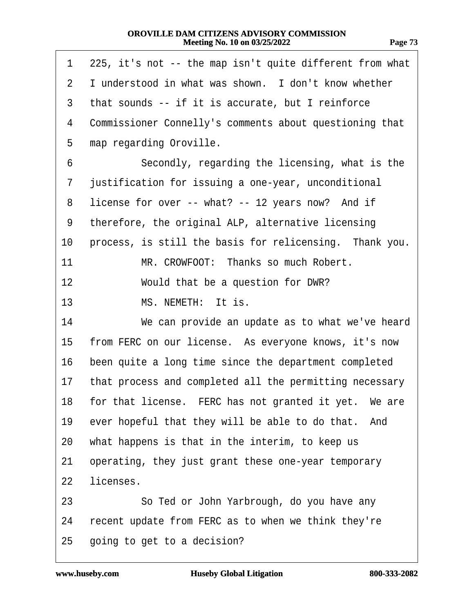<span id="page-72-0"></span>

| 1  | 225, it's not -- the map isn't quite different from what |
|----|----------------------------------------------------------|
| 2  | I understood in what was shown. I don't know whether     |
| 3  | that sounds -- if it is accurate, but I reinforce        |
| 4  | Commissioner Connelly's comments about questioning that  |
| 5  | map regarding Oroville.                                  |
| 6  | Secondly, regarding the licensing, what is the           |
| 7  | justification for issuing a one-year, unconditional      |
| 8  | license for over -- what? -- 12 years now? And if        |
| 9  | therefore, the original ALP, alternative licensing       |
| 10 | process, is still the basis for relicensing. Thank you.  |
| 11 | MR. CROWFOOT: Thanks so much Robert.                     |
| 12 | Would that be a question for DWR?                        |
| 13 | MS. NEMETH: It is.                                       |
| 14 | We can provide an update as to what we've heard          |
| 15 | from FERC on our license. As everyone knows, it's now    |
| 16 | been quite a long time since the department completed    |
| 17 | that process and completed all the permitting necessary  |
|    | 18 for that license. FERC has not granted it yet. We are |
| 19 | ever hopeful that they will be able to do that. And      |
| 20 | what happens is that in the interim, to keep us          |
| 21 | operating, they just grant these one-year temporary      |
| 22 | licenses.                                                |
| 23 | So Ted or John Yarbrough, do you have any                |
| 24 | recent update from FERC as to when we think they're      |
| 25 | going to get to a decision?                              |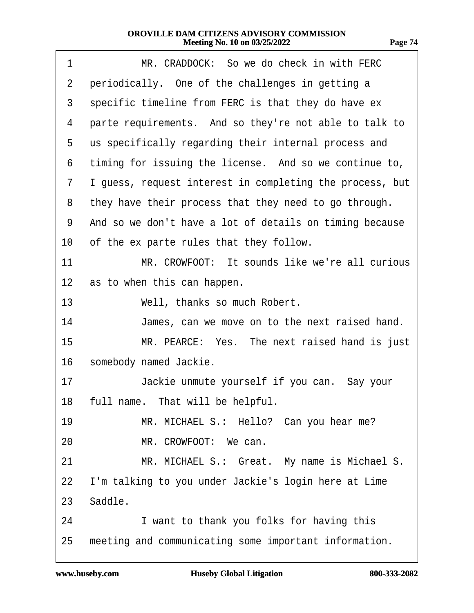<span id="page-73-0"></span>

| 1              | MR. CRADDOCK: So we do check in with FERC                |
|----------------|----------------------------------------------------------|
| $\overline{2}$ | periodically. One of the challenges in getting a         |
| 3              | specific timeline from FERC is that they do have ex      |
| 4              | parte requirements. And so they're not able to talk to   |
| 5              | us specifically regarding their internal process and     |
| 6              | timing for issuing the license. And so we continue to,   |
| 7              | I guess, request interest in completing the process, but |
| 8              | they have their process that they need to go through.    |
| 9              | And so we don't have a lot of details on timing because  |
| 10             | of the ex parte rules that they follow.                  |
| 11             | MR. CROWFOOT: It sounds like we're all curious           |
| 12             | as to when this can happen.                              |
| 13             | Well, thanks so much Robert.                             |
| 14             | James, can we move on to the next raised hand.           |
| 15             | MR. PEARCE: Yes. The next raised hand is just            |
| 16             | somebody named Jackie.                                   |
| 17             | Jackie unmute yourself if you can. Say your              |
|                | 18 full name. That will be helpful.                      |
| 19             | MR. MICHAEL S.: Hello? Can you hear me?                  |
| 20             | MR. CROWFOOT: We can.                                    |
| 21             | MR. MICHAEL S.: Great. My name is Michael S.             |
| 22             | I'm talking to you under Jackie's login here at Lime     |
|                | 23 Saddle.                                               |
| 24             | I want to thank you folks for having this                |
| 25             | meeting and communicating some important information.    |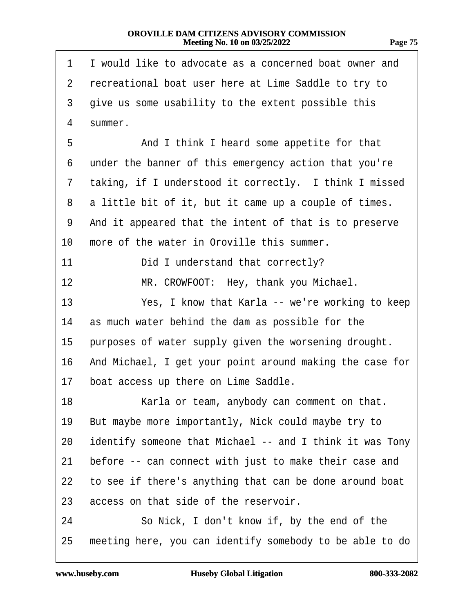<span id="page-74-0"></span>

| 1            | I would like to advocate as a concerned boat owner and   |
|--------------|----------------------------------------------------------|
| $\mathbf{2}$ | recreational boat user here at Lime Saddle to try to     |
| 3            | give us some usability to the extent possible this       |
| 4            | summer.                                                  |
| 5            | And I think I heard some appetite for that               |
| 6            | under the banner of this emergency action that you're    |
| 7            | taking, if I understood it correctly. I think I missed   |
| 8            | a little bit of it, but it came up a couple of times.    |
| 9            | And it appeared that the intent of that is to preserve   |
| 10           | more of the water in Oroville this summer.               |
| 11           | Did I understand that correctly?                         |
| 12           | MR. CROWFOOT: Hey, thank you Michael.                    |
| 13           | Yes, I know that Karla -- we're working to keep          |
| 14           | as much water behind the dam as possible for the         |
| 15           | purposes of water supply given the worsening drought.    |
| 16           | And Michael, I get your point around making the case for |
| 17           | boat access up there on Lime Saddle.                     |
| 18           | Karla or team, anybody can comment on that.              |
| 19           | But maybe more importantly, Nick could maybe try to      |
| 20           | identify someone that Michael -- and I think it was Tony |
| 21           | before -- can connect with just to make their case and   |
| 22           | to see if there's anything that can be done around boat  |
| 23           | access on that side of the reservoir.                    |
| 24           | So Nick, I don't know if, by the end of the              |
| 25           | meeting here, you can identify somebody to be able to do |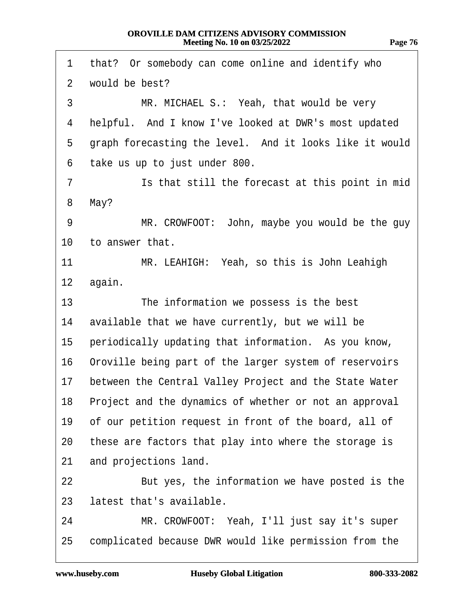<span id="page-75-0"></span>

| 1               | that? Or somebody can come online and identify who        |
|-----------------|-----------------------------------------------------------|
| $\overline{2}$  | would be best?                                            |
| 3               | MR. MICHAEL S.: Yeah, that would be very                  |
| 4               | helpful. And I know I've looked at DWR's most updated     |
| 5               | graph forecasting the level. And it looks like it would   |
| 6               | take us up to just under 800.                             |
| 7               | Is that still the forecast at this point in mid           |
| 8               | May?                                                      |
| 9               | MR. CROWFOOT: John, maybe you would be the guy            |
| 10              | to answer that.                                           |
| 11              | MR. LEAHIGH: Yeah, so this is John Leahigh                |
| 12 <sub>2</sub> | again.                                                    |
| 13              | The information we possess is the best                    |
| 14              | available that we have currently, but we will be          |
| 15              | periodically updating that information. As you know,      |
| 16              | Oroville being part of the larger system of reservoirs    |
| 17              | between the Central Valley Project and the State Water    |
|                 | 18 Project and the dynamics of whether or not an approval |
| 19              | of our petition request in front of the board, all of     |
| 20              | these are factors that play into where the storage is     |
| 21              | and projections land.                                     |
| 22              | But yes, the information we have posted is the            |
| 23              | latest that's available.                                  |
| 24              | MR. CROWFOOT: Yeah, I'll just say it's super              |
| 25              | complicated because DWR would like permission from the    |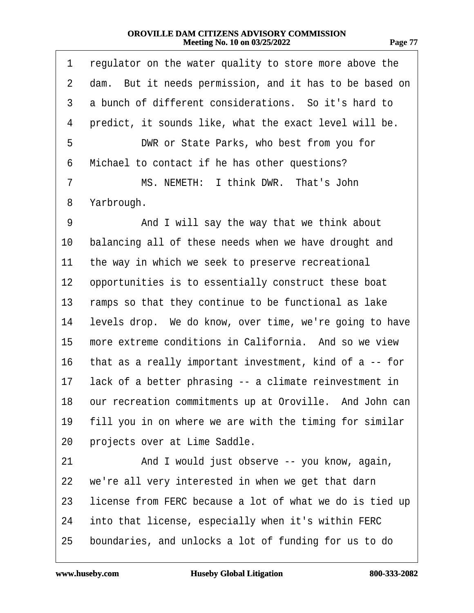<span id="page-76-0"></span>

| 1              | regulator on the water quality to store more above the     |
|----------------|------------------------------------------------------------|
| $\overline{2}$ | dam. But it needs permission, and it has to be based on    |
| 3              | a bunch of different considerations. So it's hard to       |
| 4              | predict, it sounds like, what the exact level will be.     |
| 5              | DWR or State Parks, who best from you for                  |
| 6              | Michael to contact if he has other questions?              |
| 7              | MS. NEMETH: I think DWR. That's John                       |
| 8              | Yarbrough.                                                 |
| 9              | And I will say the way that we think about                 |
| 10             | balancing all of these needs when we have drought and      |
| 11             | the way in which we seek to preserve recreational          |
| 12             | opportunities is to essentially construct these boat       |
| 13             | ramps so that they continue to be functional as lake       |
| 14             | levels drop. We do know, over time, we're going to have    |
| 15             | more extreme conditions in California. And so we view      |
| 16             | that as a really important investment, kind of a -- for    |
| 17             | lack of a better phrasing -- a climate reinvestment in     |
|                | 18 our recreation commitments up at Oroville. And John can |
| 19             | fill you in on where we are with the timing for similar    |
| 20             | projects over at Lime Saddle.                              |
| 21             | And I would just observe -- you know, again,               |
| 22             | we're all very interested in when we get that darn         |
| 23             | license from FERC because a lot of what we do is tied up   |
| 24             | into that license, especially when it's within FERC        |
| 25             | boundaries, and unlocks a lot of funding for us to do      |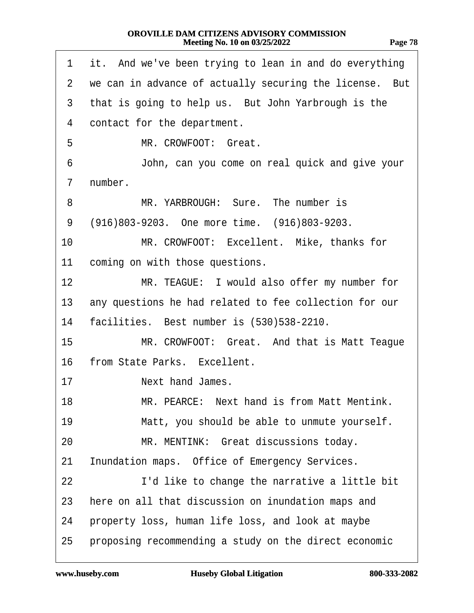<span id="page-77-0"></span>

| 1                 | it. And we've been trying to lean in and do everything    |
|-------------------|-----------------------------------------------------------|
|                   | 2 we can in advance of actually securing the license. But |
| 3                 | that is going to help us. But John Yarbrough is the       |
| 4                 | contact for the department.                               |
| 5                 | MR. CROWFOOT: Great.                                      |
| 6                 | John, can you come on real quick and give your            |
| 7                 | number.                                                   |
| 8                 | MR. YARBROUGH: Sure. The number is                        |
| 9                 | (916)803-9203. One more time. (916)803-9203.              |
| 10                | MR. CROWFOOT: Excellent. Mike, thanks for                 |
| 11                | coming on with those questions.                           |
| $12 \overline{ }$ | MR. TEAGUE: I would also offer my number for              |
| 13                | any questions he had related to fee collection for our    |
| 14                | facilities. Best number is (530)538-2210.                 |
| 15                | MR. CROWFOOT: Great. And that is Matt Teague              |
| 16                | from State Parks. Excellent.                              |
| 17                | Next hand James.                                          |
| 18                | MR. PEARCE: Next hand is from Matt Mentink.               |
| 19                | Matt, you should be able to unmute yourself.              |
| 20                | MR. MENTINK: Great discussions today.                     |
| 21                | Inundation maps. Office of Emergency Services.            |
| 22                | I'd like to change the narrative a little bit             |
| 23                | here on all that discussion on inundation maps and        |
| 24                | property loss, human life loss, and look at maybe         |
| 25                | proposing recommending a study on the direct economic     |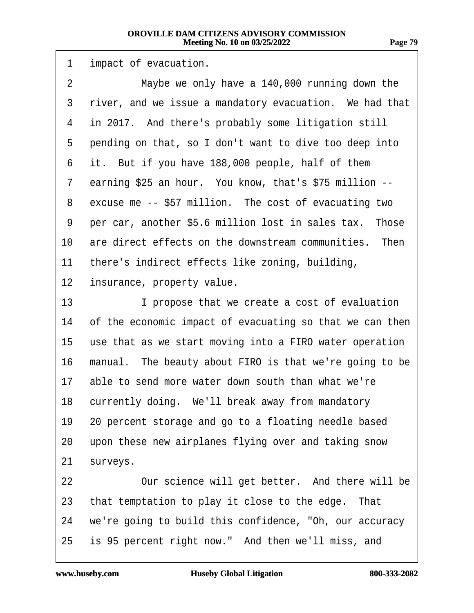|  | н |  |
|--|---|--|
|--|---|--|

<span id="page-78-0"></span>

| 1              | impact of evacuation.                                    |  |
|----------------|----------------------------------------------------------|--|
| $\overline{2}$ | Maybe we only have a 140,000 running down the            |  |
| 3              | river, and we issue a mandatory evacuation. We had that  |  |
| 4              | in 2017. And there's probably some litigation still      |  |
| 5              | pending on that, so I don't want to dive too deep into   |  |
| 6              | it. But if you have 188,000 people, half of them         |  |
| 7              | earning \$25 an hour. You know, that's \$75 million --   |  |
| 8              | excuse me -- \$57 million. The cost of evacuating two    |  |
| 9              | per car, another \$5.6 million lost in sales tax. Those  |  |
| 10             | are direct effects on the downstream communities. Then   |  |
| 11             | there's indirect effects like zoning, building,          |  |
| 12             | insurance, property value.                               |  |
| 13             | I propose that we create a cost of evaluation            |  |
| 14             | of the economic impact of evacuating so that we can then |  |
| 15             | use that as we start moving into a FIRO water operation  |  |
| 16             | manual. The beauty about FIRO is that we're going to be  |  |
| 17             | able to send more water down south than what we're       |  |
|                | 18 currently doing. We'll break away from mandatory      |  |
| 19             | 20 percent storage and go to a floating needle based     |  |
| 20             | upon these new airplanes flying over and taking snow     |  |
| 21             | surveys.                                                 |  |
| 22             | Our science will get better. And there will be           |  |
| 23             | that temptation to play it close to the edge. That       |  |
| 24             | we're going to build this confidence, "Oh, our accuracy  |  |
| 25             | is 95 percent right now." And then we'll miss, and       |  |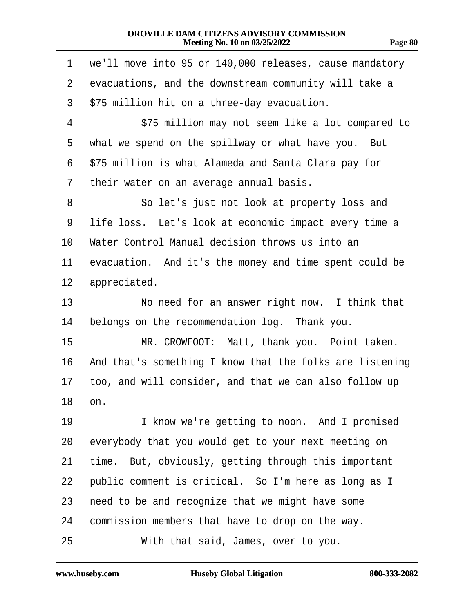| -906 | D<br>χı |
|------|---------|
|      |         |

<span id="page-79-0"></span>

| 1              | we'll move into 95 or 140,000 releases, cause mandatory  |
|----------------|----------------------------------------------------------|
| $\overline{2}$ | evacuations, and the downstream community will take a    |
| 3              | \$75 million hit on a three-day evacuation.              |
| 4              | \$75 million may not seem like a lot compared to         |
| 5              | what we spend on the spillway or what have you. But      |
| 6              | \$75 million is what Alameda and Santa Clara pay for     |
| 7              | their water on an average annual basis.                  |
| 8              | So let's just not look at property loss and              |
| 9              | life loss. Let's look at economic impact every time a    |
| 10             | Water Control Manual decision throws us into an          |
| 11             | evacuation. And it's the money and time spent could be   |
| 12             | appreciated.                                             |
| 13             | No need for an answer right now. I think that            |
| 14             | belongs on the recommendation log. Thank you.            |
| 15             | MR. CROWFOOT: Matt, thank you. Point taken.              |
| 16             | And that's something I know that the folks are listening |
| 17             | too, and will consider, and that we can also follow up   |
| 18             | on.                                                      |
| 19             | I know we're getting to noon. And I promised             |
| 20             | everybody that you would get to your next meeting on     |
| 21             | time. But, obviously, getting through this important     |
| 22             | public comment is critical. So I'm here as long as I     |
| 23             | need to be and recognize that we might have some         |
| 24             | commission members that have to drop on the way.         |
| 25             | With that said, James, over to you.                      |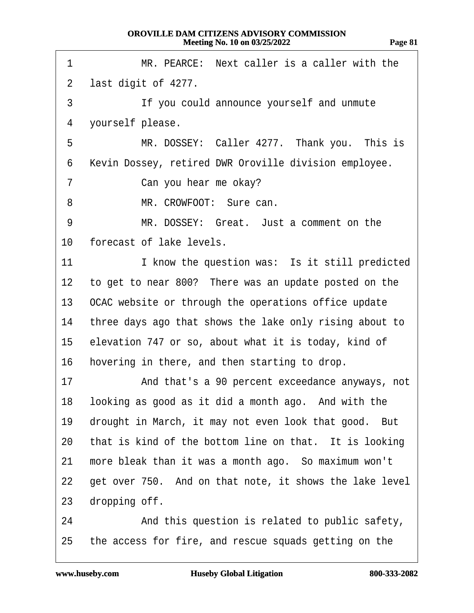<span id="page-80-0"></span>

| 1               | MR. PEARCE: Next caller is a caller with the            |
|-----------------|---------------------------------------------------------|
| $\overline{2}$  | last digit of 4277.                                     |
| 3               | If you could announce yourself and unmute               |
| 4               | yourself please.                                        |
| 5               | MR. DOSSEY: Caller 4277. Thank you. This is             |
| 6               | Kevin Dossey, retired DWR Oroville division employee.   |
| 7               | Can you hear me okay?                                   |
| 8               | MR. CROWFOOT: Sure can.                                 |
| 9               | MR. DOSSEY: Great. Just a comment on the                |
| 10              | forecast of lake levels.                                |
| 11              | I know the question was: Is it still predicted          |
| 12 <sub>2</sub> | to get to near 800? There was an update posted on the   |
|                 | 13 OCAC website or through the operations office update |
| 14              | three days ago that shows the lake only rising about to |
| 15              | elevation 747 or so, about what it is today, kind of    |
| 16              | hovering in there, and then starting to drop.           |
| 17              | And that's a 90 percent exceedance anyways, not         |
| 18.             | looking as good as it did a month ago. And with the     |
| 19              | drought in March, it may not even look that good. But   |
| 20              | that is kind of the bottom line on that. It is looking  |
| 21              | more bleak than it was a month ago. So maximum won't    |
| 22              | get over 750. And on that note, it shows the lake level |
| 23              | dropping off.                                           |
| 24              | And this question is related to public safety,          |
| 25              | the access for fire, and rescue squads getting on the   |

**Page 81**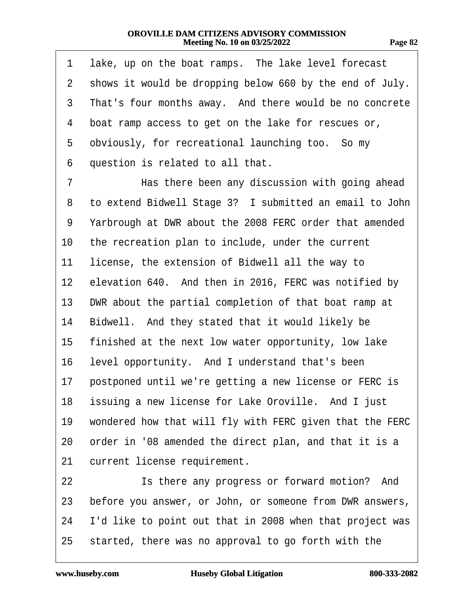| ., |  |
|----|--|
|----|--|

<span id="page-81-0"></span>

| 1               | lake, up on the boat ramps. The lake level forecast      |
|-----------------|----------------------------------------------------------|
| 2               | shows it would be dropping below 660 by the end of July. |
| 3               | That's four months away. And there would be no concrete  |
| 4               | boat ramp access to get on the lake for rescues or,      |
| 5               | obviously, for recreational launching too. So my         |
| 6               | question is related to all that.                         |
| 7               | Has there been any discussion with going ahead           |
| 8               | to extend Bidwell Stage 3? I submitted an email to John  |
| 9               | Yarbrough at DWR about the 2008 FERC order that amended  |
| 10              | the recreation plan to include, under the current        |
| 11              | license, the extension of Bidwell all the way to         |
| 12 <sub>2</sub> | elevation 640. And then in 2016, FERC was notified by    |
| 13              | DWR about the partial completion of that boat ramp at    |
| 14              | Bidwell. And they stated that it would likely be         |
| 15              | finished at the next low water opportunity, low lake     |
| 16              | level opportunity. And I understand that's been          |
| 17              | postponed until we're getting a new license or FERC is   |
| 18              | issuing a new license for Lake Oroville. And I just      |
| 19              | wondered how that will fly with FERC given that the FERC |
| 20              | order in '08 amended the direct plan, and that it is a   |
| 21              | current license requirement.                             |
| 22              | Is there any progress or forward motion? And             |
| 23              | before you answer, or John, or someone from DWR answers, |
| 24              | I'd like to point out that in 2008 when that project was |
| 25              |                                                          |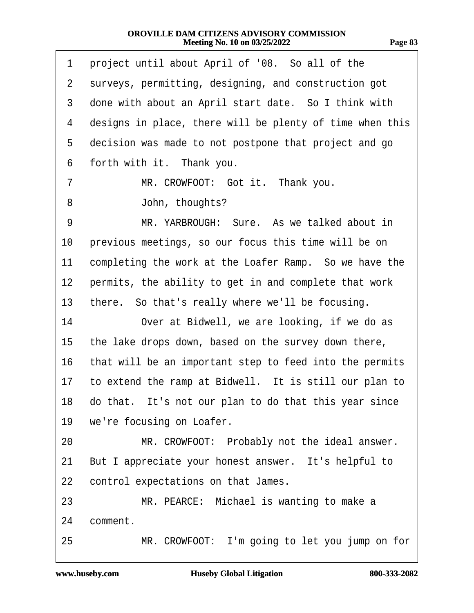<span id="page-82-0"></span>

| 1              | project until about April of '08. So all of the          |
|----------------|----------------------------------------------------------|
| $\overline{2}$ | surveys, permitting, designing, and construction got     |
| 3              | done with about an April start date. So I think with     |
| 4              | designs in place, there will be plenty of time when this |
| 5              | decision was made to not postpone that project and go    |
| 6              | forth with it. Thank you.                                |
| 7              | MR. CROWFOOT: Got it. Thank you.                         |
| 8              | John, thoughts?                                          |
| 9              | MR. YARBROUGH: Sure. As we talked about in               |
| 10             | previous meetings, so our focus this time will be on     |
| 11             | completing the work at the Loafer Ramp. So we have the   |
| 12             | permits, the ability to get in and complete that work    |
| 13             | there. So that's really where we'll be focusing.         |
| 14             | Over at Bidwell, we are looking, if we do as             |
| 15             | the lake drops down, based on the survey down there,     |
| 16             | that will be an important step to feed into the permits  |
| 17             | to extend the ramp at Bidwell. It is still our plan to   |
|                | 18 do that. It's not our plan to do that this year since |
| 19             | we're focusing on Loafer.                                |
| 20             | MR. CROWFOOT: Probably not the ideal answer.             |
| 21             | But I appreciate your honest answer. It's helpful to     |
| 22             | control expectations on that James.                      |
| 23             | MR. PEARCE: Michael is wanting to make a                 |
| 24             | comment.                                                 |
| 25             | MR. CROWFOOT: I'm going to let you jump on for           |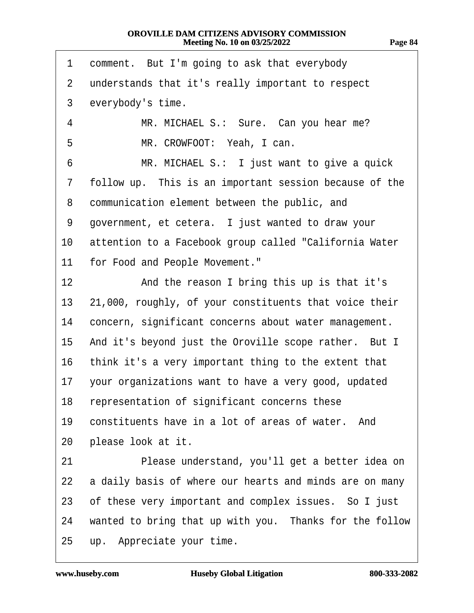<span id="page-83-0"></span>

| 1              | comment. But I'm going to ask that everybody            |
|----------------|---------------------------------------------------------|
| $\overline{2}$ | understands that it's really important to respect       |
| 3              | everybody's time.                                       |
| 4              | MR. MICHAEL S.: Sure. Can you hear me?                  |
| 5              | MR. CROWFOOT: Yeah, I can.                              |
| 6              | MR. MICHAEL S.: I just want to give a quick             |
| 7              | follow up. This is an important session because of the  |
| 8              | communication element between the public, and           |
| 9              | government, et cetera. I just wanted to draw your       |
| 10             | attention to a Facebook group called "California Water  |
| 11             | for Food and People Movement."                          |
| 12             | And the reason I bring this up is that it's             |
| 13             | 21,000, roughly, of your constituents that voice their  |
| 14             | concern, significant concerns about water management.   |
| 15             | And it's beyond just the Oroville scope rather. But I   |
| 16             | think it's a very important thing to the extent that    |
| 17             | your organizations want to have a very good, updated    |
|                | 18 representation of significant concerns these         |
| 19             | constituents have in a lot of areas of water. And       |
| 20             | please look at it.                                      |
| 21             | Please understand, you'll get a better idea on          |
| 22             | a daily basis of where our hearts and minds are on many |
| 23             | of these very important and complex issues. So I just   |
| 24             | wanted to bring that up with you. Thanks for the follow |
| 25             | up. Appreciate your time.                               |

**Page 84**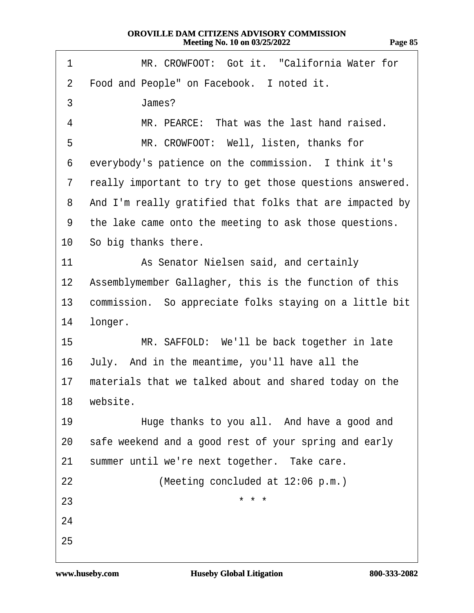<span id="page-84-0"></span>

| 1                | MR. CROWFOOT: Got it. "California Water for              |
|------------------|----------------------------------------------------------|
| $\overline{2}$   | Food and People" on Facebook. I noted it.                |
| 3                | James?                                                   |
| 4                | MR. PEARCE: That was the last hand raised.               |
| 5                | MR. CROWFOOT: Well, listen, thanks for                   |
| 6                | everybody's patience on the commission. I think it's     |
| 7                | really important to try to get those questions answered. |
| 8                | And I'm really gratified that folks that are impacted by |
| 9                | the lake came onto the meeting to ask those questions.   |
|                  | 10 So big thanks there.                                  |
| 11               | As Senator Nielsen said, and certainly                   |
| 12 <sup>1</sup>  | Assemblymember Gallagher, this is the function of this   |
| 13               | commission. So appreciate folks staying on a little bit  |
| 14               | longer.                                                  |
| 15 <sup>15</sup> | MR. SAFFOLD: We'll be back together in late              |
| 16               | July. And in the meantime, you'll have all the           |
| 17               | materials that we talked about and shared today on the   |
|                  | 18 website.                                              |
| 19               | Huge thanks to you all. And have a good and              |
| 20               | safe weekend and a good rest of your spring and early    |
| 21               | summer until we're next together. Take care.             |
| 22               | (Meeting concluded at 12:06 p.m.)                        |
| 23               | * * *                                                    |
| 24               |                                                          |
| 25               |                                                          |
|                  |                                                          |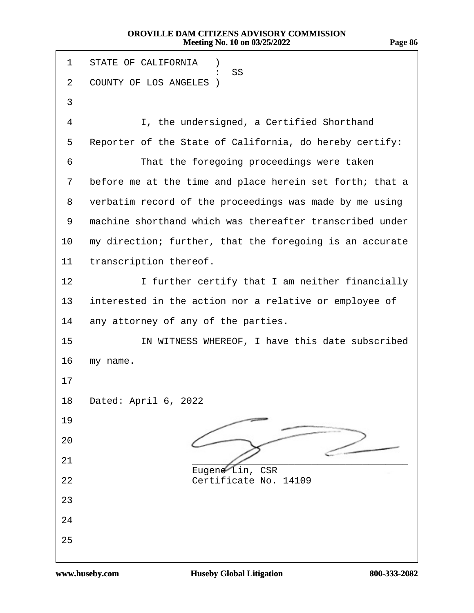| STATE OF CALIFORNIA )<br>1                                         |  |
|--------------------------------------------------------------------|--|
| 55<br>COUNTY OF LOS ANGELES)<br>$\overline{2}$                     |  |
| 3                                                                  |  |
| I, the undersigned, a Certified Shorthand<br>4                     |  |
| Reporter of the State of California, do hereby certify:<br>5       |  |
| That the foregoing proceedings were taken<br>6                     |  |
| before me at the time and place herein set forth; that a<br>7      |  |
| verbatim record of the proceedings was made by me using<br>8       |  |
| machine shorthand which was thereafter transcribed under<br>9      |  |
| my direction; further, that the foregoing is an accurate<br>10     |  |
| transcription thereof.<br>11                                       |  |
| I further certify that I am neither financially<br>12 <sub>2</sub> |  |
| interested in the action nor a relative or employee of<br>13       |  |
| any attorney of any of the parties.<br>14                          |  |
| 15<br>IN WITNESS WHEREOF, I have this date subscribed              |  |
| 16<br>my name.                                                     |  |
| 17                                                                 |  |
| 18<br>Dated: April 6, 2022                                         |  |
| 19                                                                 |  |
| 20                                                                 |  |
| 21<br>Eugene Lin, CSR                                              |  |
| Certificate No. 14109<br>22                                        |  |
| 23                                                                 |  |
| 24                                                                 |  |
| 25                                                                 |  |
|                                                                    |  |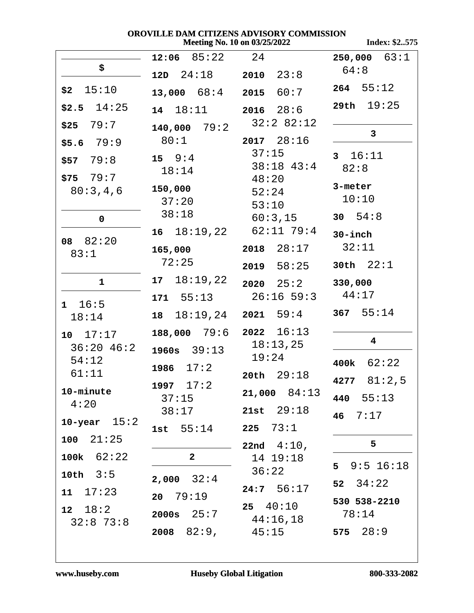Index: \$2..575

| \$                        | $12:06$ $85:22$ 24    |                        | $250,000$ 63:1          |
|---------------------------|-----------------------|------------------------|-------------------------|
|                           | $12D \quad 24:18$     | $2010$ $23:8$          | 64:8                    |
| $$2$ 15:10                | $13,000$ $68:4$       | 2015 60:7              | $264$ 55:12             |
| $$2.5$ 14:25              | 14 18:11              | $2016$ $28:6$          | 29th $19:25$            |
| $$25$ 79:7                | $140,000$ 79:2        | 32:2 82:12             | $\mathbf{3}$            |
| $$5.6$ 79:9               | 80:1                  | $2017$ $28:16$         |                         |
| $$57$ 79:8                | $15 \t 9:4$           | 37:15<br>$38:18$ 43:4  | 3 16:11                 |
| $$75$ 79:7                | 18:14                 | 48:20                  | 82:8                    |
| 80:3,4,6                  | 150,000               | 52:24                  | 3-meter                 |
|                           | 37:20                 | 53:10                  | 10:10                   |
| $\mathbf 0$               | 38:18                 | 60:3,15                | 30 $54:8$               |
| 08 82:20                  |                       | 16 18:19,22 62:11 79:4 | $30$ -inch              |
| 83:1                      | 165,000               | $2018$ $28:17$         | 32:11                   |
|                           | 72:25                 | $2019$ $58:25$         | 30th $22:1$             |
| $\mathbf{1}$              | $17 \quad 18:19,22$   | $2020 \quad 25:2$      | 330,000                 |
| $1 \quad 16:5$            | $171 \quad 55:13$     | $26:16$ 59:3 $44:17$   |                         |
| 18:14                     | 18 18:19,24 2021 59:4 |                        | 367 $55:14$             |
| 10 17:17                  | $188,000$ 79:6        | $2022 \quad 16:13$     | $\overline{\mathbf{4}}$ |
| $36:20$ 46:2              | $1960s$ $39:13$       | 18:13,25<br>19:24      |                         |
| 54:12<br>61:11            | $1986 \quad 17:2$     | $20th$ $29:18$         | 62:22<br>400k           |
| 10-minute                 | 1997 17:2             |                        | 81:2,5<br>4277          |
| 4:20                      | 37:15                 | $21,000$ $84:13$       | 440 55:13               |
| 10-year $15:2$            | 38:17                 | 21st $29:18$           | 7:17<br>46 <sup>°</sup> |
| $100 \quad 21:25$         | 1st $55:14$           | 225 $73:1$             |                         |
| 100 $k$ 62:22             | $\mathbf{2}$          | 22nd $4:10$ ,          | 5                       |
| 10th $3:5$                |                       | 14 19:18<br>36:22      | $5$ $9:5$ $16:18$       |
|                           | $2,000$ $32:4$        | 24:7 56:17             | 52 $34:22$              |
| 17:23<br>11               | 20 79:19              | $25 \quad 40:10$       | 530 538-2210            |
| 18:2<br>12<br>$32:8$ 73:8 | 2000s $25:7$          | 44:16,18               | 78:14                   |
|                           | $2008$ $82:9,$        | 45:15                  | 28:9<br>575             |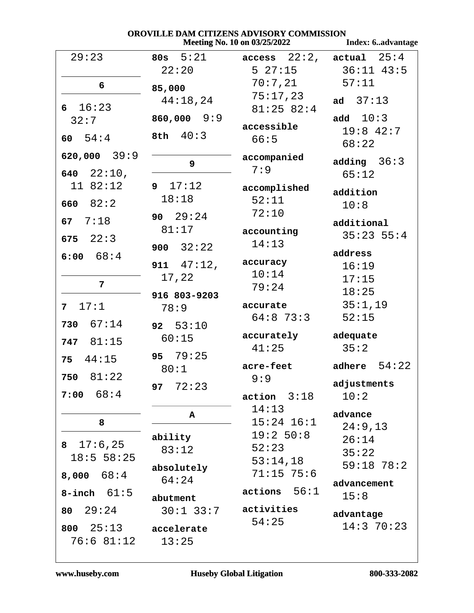Index: 6..advantage

| 29:23                 | 80s $5:21$      | $access$ 22:2, $actual$ 25:4 |                    |
|-----------------------|-----------------|------------------------------|--------------------|
|                       | 22:20           |                              | 5 27:15 36:11 43:5 |
| 6                     | 85,000          | 70:7,21                      | 57:11              |
| 6 16:23               | 44:18,24        | 75:17,23<br>$81:25$ 82:4     | ad $37:13$         |
| 32:7                  | $860,000$ $9:9$ |                              | add $10:3$         |
|                       |                 | accessible                   | $19:8$ 42:7        |
| 60 $54:4$             | 8th 40:3        | 66:5                         | 68:22              |
| 620,000 39:9          |                 | accompanied                  | adding $36:3$      |
| 640 $22:10,$          | 9               | 7:9                          | 65:12              |
| 11 82:12              | 9 17:12         | accomplished                 |                    |
|                       | 18:18           | 52:11                        | addition           |
| 82:2<br>660           |                 | 72:10                        | 10:8               |
| 7:18<br>67            | 90 $29:24$      |                              | additional         |
|                       | 81:17           | accounting                   | $35:23$ $55:4$     |
| 675 $22:3$            | 900 $32:22$     | 14:13                        |                    |
| 6:00 68:4             |                 |                              | address            |
|                       | 911 $47:12,$    | accuracy                     | 16:19              |
|                       | 17,22           | 10:14                        | 17:15              |
| 7                     |                 | 79:24                        | 18:25              |
|                       | 916 803-9203    |                              |                    |
| 17:1<br>7             | 78:9            | accurate                     | 35:1,19            |
| 67:14<br>730          | 92 53:10        | $64:8$ 73:3                  | 52:15              |
|                       |                 | accurately                   | adequate           |
| 747 81:15             | 60:15           | 41:25                        | 35:2               |
| $75 \quad 44:15$      | 95 79:25        |                              |                    |
|                       | 80:1            | acre-feet                    | adhere $54:22$     |
| 750 81:22             | 97 $72:23$      | 9:9                          | adjustments        |
| 7:00 68:4             |                 | action<br>3:18               | 10:2               |
|                       | Α               | 14:13                        | advance            |
| 8                     |                 | $15:24$ $16:1$               | 24:9,13            |
|                       | ability         | 19:2 50:8                    | 26:14              |
| 17:6,25<br>8          | 83:12           | 52:23                        |                    |
| 18:5 58:25            |                 | 53:14,18                     | 35:22              |
|                       | absolutely      | $71:15$ 75:6                 | $59:18$ $78:2$     |
| 68:4<br>8,000         | 64:24           |                              | advancement        |
| 61:5<br><b>8-inch</b> |                 | 56:1<br>actions              | 15:8               |
|                       | abutment        |                              |                    |
| 29:24<br>80           | $30:1$ 33:7     | activities                   | advantage          |
| 25:13<br>800          | accelerate      | 54:25                        | 14:370:23          |
| 76:681:12             | 13:25           |                              |                    |
|                       |                 |                              |                    |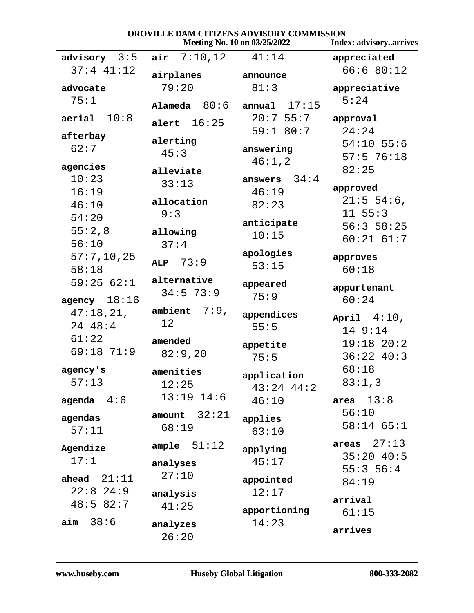#### OROVILLE DAM CITIZENS ADVISORY COMMISSION Meeting No. 10 on 03/25/2022 **Index: advisory..arrives** advisory  $3:5$ air  $7:10,12$  $41:14$ appreciated  $37:4$   $41:12$  $66:680:12$ airplanes announce  $79:20$  $81:3$ advocate appreciative  $75:1$  $5:24$ Alameda  $80:6$ annual  $17:15$  $aerial 10:8$  $20:7$  55:7 approval alert  $16:25$  $59:180:7$  $24:24$ afterbay alerting  $54:10$  55:6  $62:7$ answering  $45:3$  $57:576:18$  $46:1,2$ agencies  $82:25$ alleviate  $10:23$ answers  $34:4$  $33:13$ approved  $16:19$  $46:19$  $21:5$  54:6, allocation  $46:10$  $82:23$  $11 55:3$  $9:3$  $54:20$ anticipate  $56:358:25$  $55:2,8$ allowing  $10:15$  $60:21$   $61:7$  $56:10$  $37:4$ apologies  $57:7,10,25$ approves ALP  $73:9$  $53:15$  $58:18$  $60:18$ alternative  $59:2562:1$ appeared appurtenant  $34:5$  73:9  $75:9$ agency  $18:16$  $60:24$ ambient  $7:9$ ,  $47:18,21,$ appendices April  $4:10$ ,  $12$ 24 48:4  $55:5$  $149:14$  $61:22$ amended  $19:18$   $20:2$ appetite  $69:18$   $71:9$  $82:9,20$  $75:5$  $36:22$  40:3  $68:18$ agency's amenities application  $57:13$  $83:1,3$  $12:25$  $43:24$   $44:2$  $13:19$   $14:6$ area  $13:8$ agenda  $4:6$  $46:10$  $56:10$ amount  $32:21$ agendas applies  $58:14$  65:1  $68:19$  $57:11$  $63:10$ areas  $27:13$ ample  $51:12$ Agendize applying  $35:20$  40:5  $17:1$  $45:17$ analyses  $55:356:4$  $27:10$ ahead  $21:11$ appointed  $84:19$  $22:8$  24:9  $12:17$ analysis arrival  $48:582:7$  $41:25$ apportioning  $61:15$  $aim 38:6$  $14:23$ analyzes arrives  $26:20$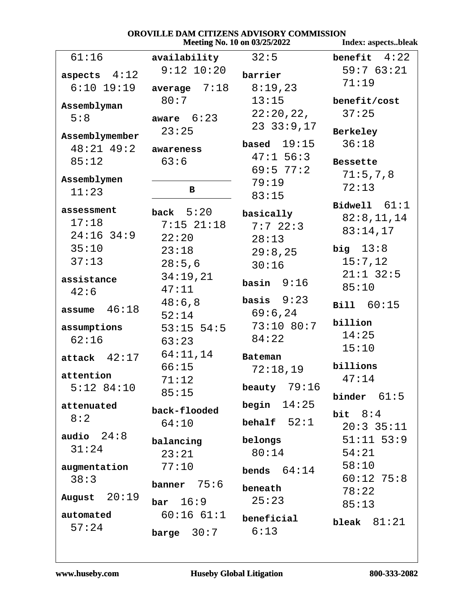|                                     |                                        | OROVILLE DAM CITIZENS ADVISORY COMMISSION<br>Meeting No. 10 on 03/25/2022 | Index: aspectsbleak                      |
|-------------------------------------|----------------------------------------|---------------------------------------------------------------------------|------------------------------------------|
| 61:16                               | availability                           | 32:5                                                                      | benefit $4:22$                           |
| aspects $4:12$<br>$6:10$ 19:19      | $9:12$ $10:20$<br>average $7:18$       | barrier<br>8:19,23                                                        | 59:763:21<br>71:19                       |
| Assemblyman<br>5:8                  | 80:7<br>aware $6:23$                   | 13:15<br>22:20,22,                                                        | benefit/cost<br>37:25                    |
| Assemblymember<br>$48:21$ $49:2$    | 23:25<br>awareness                     | $23$ $33:9,17$<br>based $19:15$<br>$47:1$ 56:3                            | Berkeley<br>36:18                        |
| 85:12<br>Assemblymen<br>11:23       | 63:6<br>B                              | 69:577:2<br>79:19<br>83:15                                                | <b>Bessette</b><br>71:5,7,8<br>72:13     |
| assessment<br>17:18<br>$24:16$ 34:9 | back $5:20$<br>$7:15$ $21:18$<br>22:20 | basically<br>7:722:3<br>28:13                                             | Bidwell $61:1$<br>82:8,11,14<br>83:14,17 |
| 35:10<br>37:13                      | 23:18<br>28:5,6                        | 29:8,25<br>30:16                                                          | big $13:8$<br>15:7,12<br>$21:1$ 32:5     |
| assistance<br>42:6                  | 34:19,21<br>47:11                      | basin $9:16$                                                              | 85:10                                    |
| assume $46:18$                      | 48:6,8<br>52:14                        | basis $9:23$<br>69:6,24                                                   | <b>Bill</b> 60:15                        |
| assumptions<br>62:16                | $53:15$ 54:5<br>63:23                  | 73:10 80:7<br>84:22                                                       | billion<br>14:25                         |
| $attack$ 42:17                      | 64:11,14<br>66:15                      | Bateman                                                                   | 15:10<br>billions                        |
| attention<br>$5:12$ 84:10           | 71:12<br>85:15                         | 72:18,19<br>beauty $79:16$                                                | 47:14<br>61:5<br>binder                  |
| attenuated<br>8:2                   | back-flooded<br>64:10                  | 14:25<br>begin<br>behalf $52:1$                                           | bit $8:4$<br>$20:3$ 35:11                |
| audio $24:8$<br>31:24               | balancing<br>23:21                     | belongs<br>80:14                                                          | $51:11$ $53:9$<br>54:21                  |
| augmentation<br>38:3                | 77:10<br>75:6<br>banner                | 64:14<br>bends<br>beneath                                                 | 58:10<br>$60:12$ 75:8<br>78:22           |
| 20:19<br>August                     | 16:9<br>bar                            | 25:23                                                                     | 85:13                                    |
| automated<br>57:24                  | 60:1661:1<br>30:7<br>barge             | beneficial<br>6:13                                                        | bleak $81:21$                            |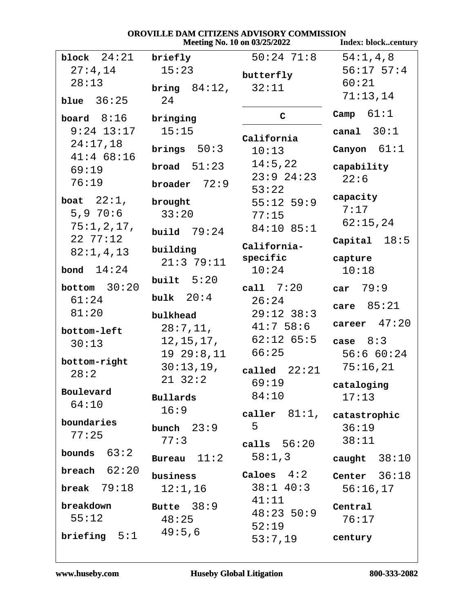|                |                 | Meeting No. 10 on 03/25/2022 | <b>Index: blockcentury</b> |
|----------------|-----------------|------------------------------|----------------------------|
| block $24:21$  | briefly         | 50:24 71:8                   | 54:1, 4, 8                 |
| 27:4,14        | 15:23           | butterfly                    | $56:17$ $57:4$             |
| 28:13          | bring $84:12$ , | 32:11                        | 60:21                      |
| blue $36:25$   | 24              |                              | 71:13,14                   |
| board $8:16$   | bringing        | $\mathsf{C}$                 | 61:1<br>Camp               |
| $9:24$ 13:17   | 15:15           |                              | canal $30:1$               |
| 24:17,18       |                 | California                   |                            |
| $41:4$ 68:16   | brings $50:3$   | 10:13                        | Canyon $61:1$              |
| 69:19          | broad $51:23$   | 14:5,22                      | capability                 |
| 76:19          | broader $72:9$  | $23:9$ $24:23$               | 22:6                       |
| boat $22:1$ ,  | brought         | 53:22<br>$55:12$ 59:9        | capacity                   |
| 5,9,70:6       | 33:20           | 77:15                        | 7:17                       |
| 75:1,2,17,     |                 | 84:10 85:1                   | 62:15,24                   |
| 227:12         | build $79:24$   |                              | 18:5<br>Capital            |
| 82:1,4,13      | building        | California-                  |                            |
|                | 21:379:11       | specific                     | capture                    |
| bond $14:24$   | built $5:20$    | 10:24                        | 10:18                      |
| bottom $30:20$ |                 | call 7:20                    | car $79:9$                 |
| 61:24          | bulk $20:4$     | 26:24                        | 85:21<br>care              |
| 81:20          | bulkhead        | $29:12$ 38:3                 |                            |
| bottom-left    | 28:7,11,        | 41:758:6                     | career $47:20$             |
| 30:13          | 12, 15, 17,     | $62:12$ $65:5$               | case $8:3$                 |
| bottom-right   | 1929:8,11       | 66:25                        | 56:660:24                  |
| 28:2           | 30:13,19,       | called $22:21$               | 75:16,21                   |
|                | $21 \t32:2$     | 69:19                        | cataloging                 |
| Boulevard      | <b>Bullards</b> | 84:10                        | 17:13                      |
| 64:10          | 16:9            | caller $81:1$ , catastrophic |                            |
| boundaries     | bunch $23:9$    | 5                            | 36:19                      |
| 77:25          | 77:3            |                              | 38:11                      |
| bounds $63:2$  |                 | calls $56:20$                |                            |
| breach $62:20$ | Bureau $11:2$   | 58:1,3                       | caught $38:10$             |
|                | business        | Caloes $4:2$                 | Center $36:18$             |
| break $79:18$  | 12:1,16         | $38:1$ 40:3                  | 56:16,17                   |
| breakdown      | Butte $38:9$    | 41:11                        | Central                    |
| 55:12          | 48:25           | $48:23$ 50:9                 | 76:17                      |
| briefing $5:1$ | 49:5,6          | 52:19<br>53:7,19             | century                    |
|                |                 |                              |                            |

# OROVILLE DAM CITIZENS ADVISORY COMMISSION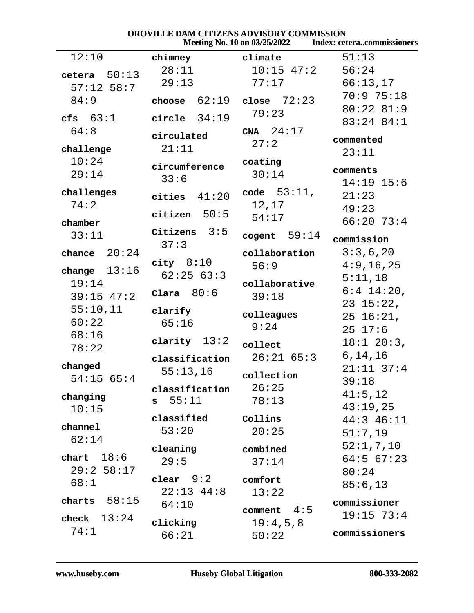| OROVILLE DAM CITIZENS ADVISORY COMMISSION<br><b>Index: ceteracommissioners</b><br>Meeting No. 10 on 03/25/2022 |                                        |                      |                         |  |
|----------------------------------------------------------------------------------------------------------------|----------------------------------------|----------------------|-------------------------|--|
| 12:10                                                                                                          | chimney                                | climate              | 51:13                   |  |
| 50:13<br>cetera                                                                                                | 28:11                                  | $10:15$ $47:2$       | 56:24                   |  |
| $57:12$ 58:7                                                                                                   | 29:13                                  | 77:17                | 66:13,17                |  |
| 84:9                                                                                                           | 62:19<br>choose                        | close $72:23$        | 70:975:18               |  |
| cfs $63:1$                                                                                                     | circle $34:19$                         | 79:23                | 80:22 81:9              |  |
| 64:8                                                                                                           |                                        | CNA $24:17$          | 83:24 84:1              |  |
|                                                                                                                | circulated                             | 27:2                 | commented               |  |
| challenge                                                                                                      | 21:11                                  |                      | 23:11                   |  |
| 10:24                                                                                                          | circumference                          | coating              | comments                |  |
| 29:14                                                                                                          | 33:6                                   | 30:14                | $14:19$ 15:6            |  |
| challenges                                                                                                     | cities $41:20$                         | code $53:11$ ,       | 21:23                   |  |
| 74:2                                                                                                           |                                        | 12,17                | 49:23                   |  |
| chamber                                                                                                        | citizen $50:5$                         | 54:17                | $66:20$ 73:4            |  |
| 33:11                                                                                                          | Citizens $3:5$                         | cogent $59:14$       |                         |  |
|                                                                                                                | 37:3                                   |                      | commission              |  |
| 20:24<br>chance                                                                                                | city $8:10$                            | collaboration        | 3:3,6,20                |  |
| change $13:16$                                                                                                 | 62:2563:3                              | 56:9                 | 4:9,16,25               |  |
| 19:14                                                                                                          |                                        | collaborative        | 5:11,18<br>$6:4$ 14:20, |  |
| $39:15$ 47:2                                                                                                   | Clara $80:6$                           | 39:18                | $23 \t15:22$ ,          |  |
| 55:10,11                                                                                                       | clarify                                | colleagues           | $25\;16:21$ ,           |  |
| 60:22                                                                                                          | 65:16                                  | 9:24                 | $25 \t17:6$             |  |
| 68:16                                                                                                          | clarity $13:2$                         |                      | $18:1$ 20:3,            |  |
| 78:22                                                                                                          |                                        | collect<br>26:2165:3 | 6, 14, 16               |  |
| changed                                                                                                        | classification                         |                      | $21:11$ $37:4$          |  |
| $54:15$ 65:4                                                                                                   | 55:13,16                               | collection           | 39:18                   |  |
| changing                                                                                                       | classification                         | 26:25                | 41:5,12                 |  |
| 10:15                                                                                                          | $s$ 55:11                              | 78:13                | 43:19,25                |  |
|                                                                                                                | classified                             | Collins              | $44:3$ $46:11$          |  |
| channel                                                                                                        | 53:20                                  | 20:25                | 51:7,19                 |  |
| 62:14                                                                                                          | cleaning                               | combined             | 52:1,7,10               |  |
| chart $18:6$                                                                                                   | 29:5                                   | 37:14                | $64:5$ $67:23$          |  |
| 29:258:17                                                                                                      |                                        |                      | 80:24                   |  |
| 68:1                                                                                                           | $\texttt{clear}$ $9:2$<br>$22:13$ 44:8 | comfort              | 85:6,13                 |  |
| charts $58:15$                                                                                                 | 64:10                                  | 13:22                | commissioner            |  |
| check $13:24$                                                                                                  |                                        | comment $4:5$        | $19:15$ 73:4            |  |
| 74:1                                                                                                           | clicking                               | 19:4,5,8             |                         |  |
|                                                                                                                | 66:21                                  | 50:22                | commissioners           |  |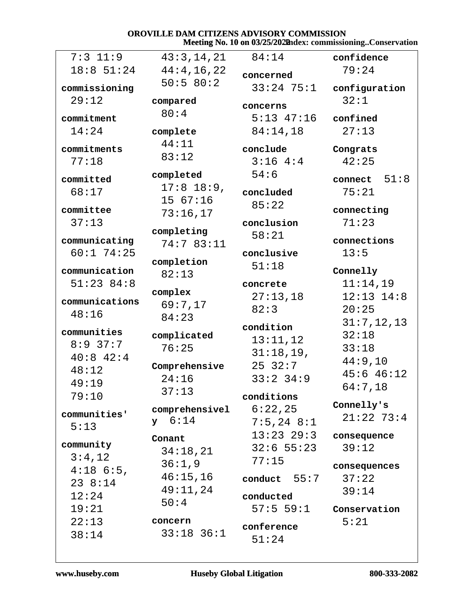## OROVILLE DAM CITIZENS ADVISORY COMMISSION Meeting No. 10 on 03/25/2022hdex: commissioning..Conservation

| $7:3$ 11:9     | 43:3,14,21                       | 84:14          | confidence      |
|----------------|----------------------------------|----------------|-----------------|
| 18:8 51:24     | 44:4,16,22                       | concerned      | 79:24           |
| commissioning  | 50:580:2                         | $33:24$ 75:1   | configuration   |
| 29:12          | compared                         |                | 32:1            |
|                | 80:4                             | concerns       |                 |
| commitment     |                                  | $5:13$ $47:16$ | confined        |
| 14:24          | complete                         | 84:14,18       | 27:13           |
| commitments    | 44:11                            | conclude       | Congrats        |
| 77:18          | 83:12                            | 3:164:3        | 42:25           |
|                | completed                        | 54:6           |                 |
| committed      | $17:8$ 18:9,                     |                | 51:8<br>connect |
| 68:17          | 15 67:16                         | concluded      | 75:21           |
| committee      | 73:16,17                         | 85:22          | connecting      |
| 37:13          |                                  | conclusion     | 71:23           |
|                | completing                       | 58:21          |                 |
| communicating  | 74:7 83:11                       |                | connections     |
| $60:1$ 74:25   | completion                       | conclusive     | 13:5            |
| communication  | 82:13                            | 51:18          | Connelly        |
| 51:23 84:8     |                                  | concrete       | 11:14,19        |
|                | complex                          | 27:13,18       | $12:13$ $14:8$  |
| communications | 69:7,17                          | 82:3           | 20:25           |
| 48:16          | 84:23                            |                | 31:7,12,13      |
| communities    | complicated                      | condition      | 32:18           |
| $8:9$ 37:7     | 76:25                            | 13:11,12       | 33:18           |
| $40:8$ $42:4$  |                                  | 31:18,19,      |                 |
| 48:12          | Comprehensive                    | 2532:7         | 44:9,10         |
| 49:19          | 24:16                            | $33:2$ $34:9$  | $45:6$ $46:12$  |
| 79:10          | 37:13                            | conditions     | 64:7,18         |
|                |                                  | 6:22,25        | Connelly's      |
| communities'   | comprehensivel<br>$y \quad 6:14$ |                | $21:22$ 73:4    |
| 5:13           |                                  | $7:5,24$ 8:1   |                 |
| community      | Conant                           | $13:23$ $29:3$ | consequence     |
| 3:4,12         | 34:18,21                         | $32:6$ 55:23   | 39:12           |
| $4:18$ 6:5,    | 36:1,9                           | 77:15          | consequences    |
| 238:14         | 46:15,16                         | conduct $55:7$ | 37:22           |
|                | 49:11,24                         |                | 39:14           |
| 12:24          | 50:4                             | conducted      |                 |
| 19:21          |                                  | 57:559:1       | Conservation    |
| 22:13          | concern                          | conference     | 5:21            |
| 38:14          | $33:18$ $36:1$                   | 51:24          |                 |
|                |                                  |                |                 |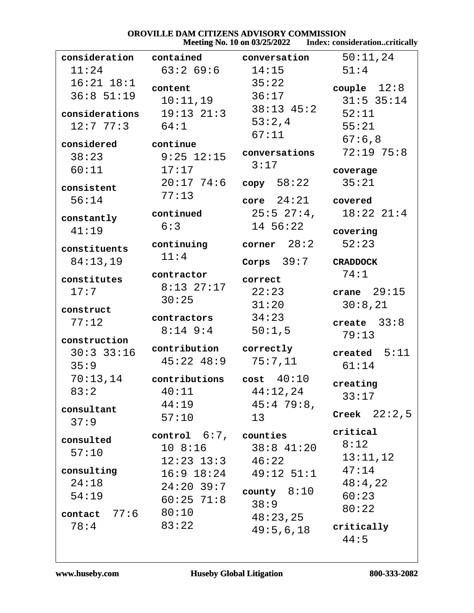# **OROVILLE DAM CITIZENS ADVISORY COMMISSION<br>Meeting No. 10 on 03/25/2022** Index: consideration..critically

|                                      |                                                    | <b>IVICCUILE 190. TO OIL 03/23/2022</b>        | THUCA, CONSIQUE AUVIL. CENTRAIL  |
|--------------------------------------|----------------------------------------------------|------------------------------------------------|----------------------------------|
| consideration                        | contained                                          | conversation                                   | 50:11,24                         |
| 11:24                                | $63:2$ 69:6                                        | 14:15                                          | 51:4                             |
| $16:21$ $18:1$<br>$36:8$ 51:19       | content<br>10:11,19                                | 35:22<br>36:17                                 | couple $12:8$<br>$31:5$ 35:14    |
| considerations<br>12:777:3           | $19:13$ $21:3$<br>64:1                             | $38:13$ 45:2<br>53:2,4<br>67:11                | 52:11<br>55:21                   |
| considered<br>38:23<br>60:11         | continue<br>$9:25$ 12:15<br>17:17                  | conversations<br>3:17                          | 67:6,8<br>72:1975:8<br>coverage  |
| consistent<br>56:14                  | $20:17$ 74:6<br>77:13                              | copy 58:22<br>$core$ $24:21$                   | 35:21<br>covered                 |
| constantly                           | continued                                          | $25:5$ $27:4$ ,                                | $18:22$ $21:4$                   |
| 41:19                                | 6:3                                                | 14 56:22                                       | covering                         |
| constituents                         | continuing<br>11:4                                 | corner $28:2$                                  | 52:23                            |
| 84:13,19                             |                                                    | Corps $39:7$                                   | <b>CRADDOCK</b>                  |
| constitutes<br>17:7                  | contractor<br>$8:13$ 27:17<br>30:25                | correct<br>22:23<br>31:20                      | 74:1<br>crane $29:15$<br>30:8,21 |
| construct<br>77:12                   | contractors<br>$8:14$ 9:4                          | 34:23<br>50:1,5                                | create $33:8$<br>79:13           |
| construction<br>$30:3$ 33:16<br>35:9 | contribution<br>$45:22$ $48:9$                     | correctly<br>75:7,11                           | created $5:11$<br>61:14          |
| 70:13,14<br>83:2                     | contributions<br>40:11<br>44:19                    | cost 40:10<br>44:12,24<br>45:479:8,            | creating<br>33:17                |
| consultant<br>37:9                   | 57:10                                              | 13                                             | Creek $22:2,5$                   |
| consulted<br>57:10                   | control $6:7$ , counties<br>$12:23$ $13:3$ $46:22$ | 10 8:16 38:8 41:20                             | critical<br>8:12<br>13:11,12     |
| consulting<br>24:18<br>54:19         | $24:20$ 39:7<br>$60:25$ 71:8                       | $16:9$ $18:24$ $49:12$ $51:1$<br>county $8:10$ | 47:14<br>48:4,22<br>60:23        |
| $contact$ $77:6$<br>78:4             | 80:10<br>83:22                                     | 38:9<br>48:23,25                               | 80:22<br>critically              |
|                                      |                                                    | 49:5,6,18                                      | 44:5                             |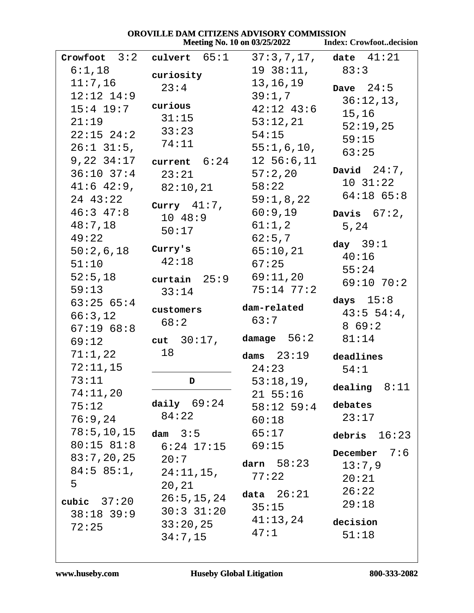| OROVILLE DAM CITIZENS ADVISORY COMMISSION |                                                          |                                     |                                |
|-------------------------------------------|----------------------------------------------------------|-------------------------------------|--------------------------------|
|                                           |                                                          | <b>Meeting No. 10 on 03/25/2022</b> | <b>Index: Crowfootdecision</b> |
|                                           | Crowfoot $3:2$ culvert $65:1$ $37:3,7,17$ , date $41:21$ |                                     |                                |
| 6:1,18                                    | curiosity                                                | $19 \t38:11, \t83:3$                |                                |
| 11:7,16                                   | 23:4                                                     | 13,16,19                            | Dave $24:5$                    |
| $12:12$ $14:9$                            |                                                          | 39:1,7                              | 36:12,13,                      |
| $15:4$ $19:7$                             | curious                                                  | $42:12$ $43:6$                      | 15,16                          |
| 21:19                                     | 31:15                                                    | 53:12,21                            | 52:19,25                       |
| $22:15$ $24:2$                            | 33:23                                                    | 54:15                               | 59:15                          |
| $26:1$ 31:5,                              | 74:11                                                    | 55:1,6,10,                          | 63:25                          |
| $9,22$ $34:17$                            | current 6:24                                             | $12\;\;56:6,11$                     |                                |
| $36:10$ $37:4$                            | 23:21                                                    | 57:2,20                             | David $24:7$ ,                 |
| $41:6$ $42:9$ ,                           | 82:10,21                                                 | 58:22                               | 10.31:22                       |
| 24 43:22                                  | Curry $41:7$ ,                                           | 59:1,8,22                           | $64:18$ $65:8$                 |
| $46:3$ $47:8$                             | 10 48:9                                                  | 60:9,19                             | Davis $67:2$ ,                 |
| 48:7,18                                   | 50:17                                                    | 61:1,2                              | 5,24                           |
| 49:22                                     |                                                          | 62:5,7                              | day $39:1$                     |
| 50:2,6,18                                 | Curry's                                                  | 65:10,21                            | 40:16                          |
| 51:10                                     | 42:18                                                    | 67:25                               | 55:24                          |
| 52:5,18                                   | curtain 25:9                                             | 69:11,20                            | $69:10$ $70:2$                 |
| 59:13                                     | 33:14                                                    | $75:14$ $77:2$                      |                                |
| 63:2565:4                                 |                                                          | dam-related                         | days $15:8$                    |
| 66:3,12                                   | customers                                                | 63:7                                | 43:554:4                       |
| 67:1968:8                                 | 68:2                                                     |                                     | 869:2                          |
| 69:12                                     | cut $30:17$ ,                                            | $\mathtt{damage}$ 56:2              | 81:14                          |
| 71:1,22                                   | 18                                                       | dams $23:19$                        | deadlines                      |
| 72:11,15                                  |                                                          | 24:23                               | 54:1                           |
| 73:11                                     | D                                                        | 53:18,19,                           | dealing $8:11$                 |
| 74:11,20                                  |                                                          | $21\;\;55:16$                       |                                |
| 75:12                                     | daily $69:24$                                            | $58:12$ 59:4                        | debates                        |
| 76:9,24                                   | 84:22                                                    | 60:18                               | 23:17                          |
| 78:5, 10, 15                              | dam $3:5$                                                | 65:17                               | debris $16:23$                 |
| 80:15 81:8                                | $6:24$ $17:15$                                           | 69:15                               | 7:6                            |
| 83:7,20,25                                | 20:7                                                     | darn $58:23$                        | December                       |
| 84:5 85:1,                                | $24:11,15$ ,                                             | 77:22                               | 13:7,9                         |
| 5                                         | 20, 21                                                   |                                     | 20:21                          |
| cubic $37:20$                             | 26:5, 15, 24                                             | data $26:21$                        | 26:22                          |
| $38:18$ 39:9                              | $30:3$ $31:20$                                           | 35:15                               | 29:18                          |
| 72:25                                     | 33:20,25                                                 | 41:13,24                            | decision                       |
|                                           | 34:7,15                                                  | 47:1                                | 51:18                          |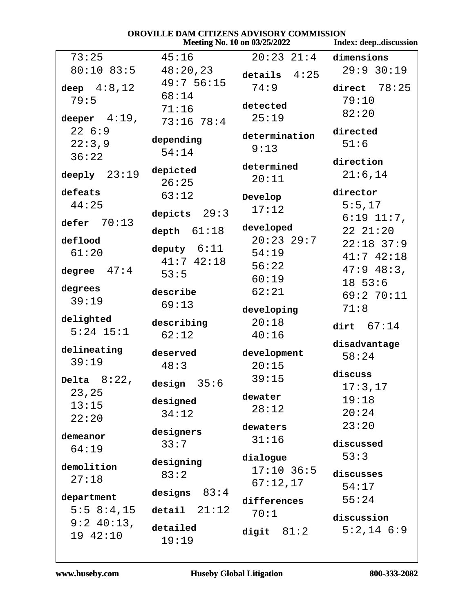| <b>OROVILLE DAM CITIZENS ADVISORY COMMISSION</b><br>Meeting No. 10 on 03/25/2022<br>Index: deepdiscussion |                       |                 |                 |  |
|-----------------------------------------------------------------------------------------------------------|-----------------------|-----------------|-----------------|--|
| 73:25                                                                                                     | 45:16                 | $20:23$ $21:4$  | dimensions      |  |
| 80:10 83:5                                                                                                | 48:20,23<br>49:756:15 | 4:25<br>details | 29:9 30:19      |  |
| deep $4:8,12$                                                                                             |                       | 74:9            | 78:25<br>direct |  |
| 79:5                                                                                                      | 68:14                 | detected        | 79:10           |  |
| deeper $4:19$ ,                                                                                           | 71:16                 | 25:19           | 82:20           |  |
| 226:9                                                                                                     | 73:16 78:4            |                 | directed        |  |
| 22:3,9                                                                                                    | depending             | determination   | 51:6            |  |
| 36:22                                                                                                     | 54:14                 | 9:13            |                 |  |
|                                                                                                           | depicted              | determined      | direction       |  |
| deeply $23:19$                                                                                            | 26:25                 | 20:11           | 21:6,14         |  |
| defeats                                                                                                   | 63:12                 | Develop         | director        |  |
| 44:25                                                                                                     |                       | 17:12           | 5:5,17          |  |
| defer $70:13$                                                                                             | 29:3<br>depicts       |                 | $6:19$ $11:7$ , |  |
|                                                                                                           | 61:18<br>depth        | developed       | 2221:20         |  |
| deflood                                                                                                   | deputy $6:11$         | $20:23$ 29:7    | $22:18$ 37:9    |  |
| 61:20                                                                                                     | $41:7$ $42:18$        | 54:19           | $41:7$ $42:18$  |  |
| 47:4<br>degree                                                                                            | 53:5                  | 56:22           | $47:9$ $48:3$ , |  |
|                                                                                                           |                       | 60:19           | 1853:6          |  |
| degrees                                                                                                   | describe              | 62:21           | 69:270:11       |  |
| 39:19                                                                                                     | 69:13                 | developing      | 71:8            |  |
| delighted                                                                                                 | describing            | 20:18           | dirt $67:14$    |  |
| $5:24$ 15:1                                                                                               | 62:12                 | 40:16           |                 |  |
| delineating                                                                                               | deserved              | development     | disadvantage    |  |
| 39:19                                                                                                     | 48:3                  | 20:15           | 58:24           |  |
| Delta $8:22$ ,                                                                                            |                       | 39:15           | discuss         |  |
| 23,25                                                                                                     | design $35:6$         |                 | 17:3,17         |  |
| 13:15                                                                                                     | designed              | dewater         | 19:18           |  |
| 22:20                                                                                                     | 34:12                 | 28:12           | 20:24           |  |
|                                                                                                           | designers             | dewaters        | 23:20           |  |
| demeanor                                                                                                  | 33:7                  | 31:16           | discussed       |  |
| 64:19                                                                                                     |                       | dialogue        | 53:3            |  |
| demolition                                                                                                | designing             | $17:10$ 36:5    |                 |  |
| 27:18                                                                                                     | 83:2                  | 67:12,17        | discusses       |  |
|                                                                                                           | 83:4<br>designs       |                 | 54:17           |  |
| department<br>5:5 8:4,15                                                                                  | 21:12                 | differences     | 55:24           |  |
|                                                                                                           | detail                | 70:1            | discussion      |  |
| $9:2$ 40:13,<br>19 42:10                                                                                  | detailed<br>19:19     | digit $81:2$    | $5:2,14$ $6:9$  |  |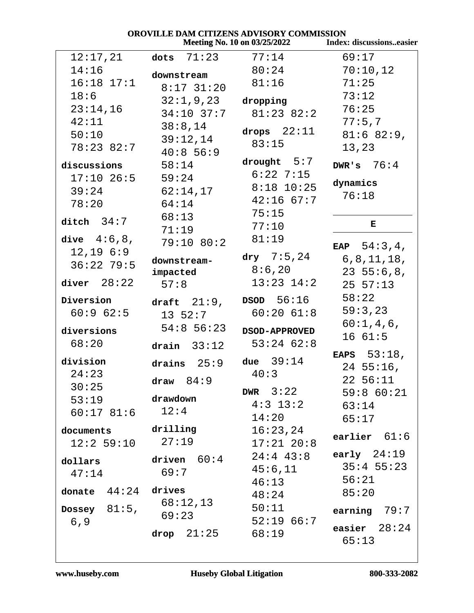| OROVILLE DAM CITIZENS ADVISORY COMMISSION                |                    |                        |                 |  |  |
|----------------------------------------------------------|--------------------|------------------------|-----------------|--|--|
| Index: discussionseasier<br>Meeting No. 10 on 03/25/2022 |                    |                        |                 |  |  |
| 12:17,21                                                 | dots $71:23$       | 77:14                  | 69:17           |  |  |
| 14:16                                                    | downstream         | 80:24                  | 70:10,12        |  |  |
| $16:18$ $17:1$                                           | $8:17$ 31:20       | 81:16                  | 71:25           |  |  |
| 18:6                                                     | 32:1,9,23          | dropping               | 73:12           |  |  |
| 23:14,16                                                 | $34:10$ 37:7       | $81:23$ $82:2$         | 76:25           |  |  |
| 42:11                                                    | 38:8,14            |                        | 77:5,7          |  |  |
| 50:10                                                    | 39:12,14           | drops $22:11$          | 81:6 82:9,      |  |  |
| 78:23 82:7                                               | 40:856:9           | 83:15                  | 13,23           |  |  |
| discussions                                              | 58:14              | drought $5:7$          | DWR's $76:4$    |  |  |
| $17:10$ 26:5                                             | 59:24              | $6:22$ 7:15            |                 |  |  |
| 39:24                                                    | 62:14,17           | $8:18$ 10:25           | dynamics        |  |  |
| 78:20                                                    | 64:14              | $42:16$ 67:7           | 76:18           |  |  |
|                                                          | 68:13              | 75:15                  |                 |  |  |
| ditch $34:7$                                             | 71:19              | 77:10                  | Е               |  |  |
| dive $4:6,8$ ,                                           | 79:10 80:2         | 81:19                  |                 |  |  |
| 12, 19, 6:9                                              |                    | $\frac{dry}{T}$ 7:5,24 | EAP $54:3,4$ ,  |  |  |
| $36:22$ 79:5                                             | downstream-        | 8:6,20                 | 6, 8, 11, 18,   |  |  |
| diver $28:22$                                            | impacted           | $13:23$ $14:2$         | $23\;\;55:6,8,$ |  |  |
|                                                          | 57:8               |                        | 25 57:13        |  |  |
| Diversion                                                | draft $21:9$ ,     | DSOD 56:16             | 58:22           |  |  |
| 60:962:5                                                 | $13\;\;52:7$       | $60:20$ $61:8$         | 59:3,23         |  |  |
| diversions                                               | $54:8$ 56:23       | <b>DSOD-APPROVED</b>   | 60:1,4,6,       |  |  |
| 68:20                                                    | drain $33:12$      | $53:24$ $62:8$         | 1661:5          |  |  |
| division                                                 |                    | due $39:14$            | EAPS $53:18$ ,  |  |  |
| 24:23                                                    | 25:9<br>drains     | 40:3                   | $24\;\;55:16$ , |  |  |
| 30:25                                                    | draw $84:9$        |                        | 22 56:11        |  |  |
| 53:19                                                    | drawdown           | DWR $3:22$             | 59:8 60:21      |  |  |
| $60:17$ 81:6 12:4                                        |                    | $4:3$ 13:2             | 63:14           |  |  |
|                                                          |                    | 14:20                  | 65:17           |  |  |
| documents drilling                                       |                    | 16:23,24               | earlier $61:6$  |  |  |
| $12:2$ 59:10                                             | 27:19              | $17:21$ $20:8$         |                 |  |  |
| dollars                                                  | driven 60:4        | $24:4$ $43:8$          | early $24:19$   |  |  |
| 47:14                                                    | 69:7               | 45:6,11                | $35:4$ 55:23    |  |  |
| donate $44:24$ drives                                    |                    | 46:13                  | 56:21           |  |  |
|                                                          | 68:12,13           | 48:24                  | 85:20           |  |  |
| Dossey $81:5$ ,                                          | 69:23              | 50:11                  | earning $79:7$  |  |  |
| 6, 9                                                     |                    | 52:1966:7              | easier $28:24$  |  |  |
|                                                          | $drop \quad 21:25$ | 68:19                  | 65:13           |  |  |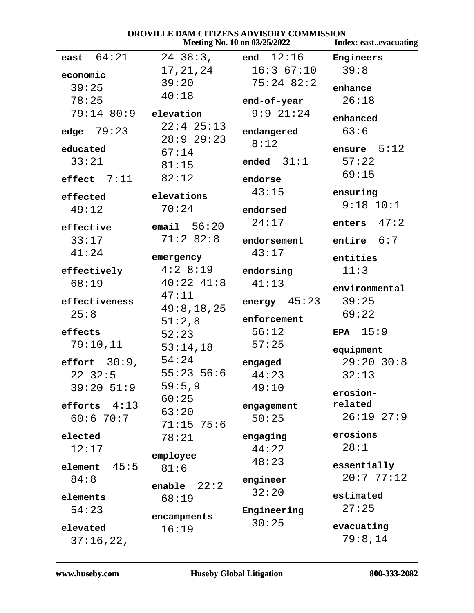| <b>OROVILLE DAM CITIZENS ADVISORY COMMISSION</b><br><b>Meeting No. 10 on 03/25/2022</b><br><b>Index: eastevacuating</b> |                |                   |                |
|-------------------------------------------------------------------------------------------------------------------------|----------------|-------------------|----------------|
|                                                                                                                         |                |                   |                |
| east $64:21$                                                                                                            | $24 \ \ 38:3,$ | end 12:16         | Engineers      |
| economic                                                                                                                | 17,21,24       | 16:367:10         | 39:8           |
| 39:25                                                                                                                   | 39:20          | $75:24$ 82:2      | enhance        |
| 78:25                                                                                                                   | 40:18          | end-of-year       | 26:18          |
| 79:14 80:9                                                                                                              | elevation      | $9:9$ $21:24$     |                |
|                                                                                                                         | $22:4$ $25:13$ |                   | enhanced       |
| edge $79:23$                                                                                                            | 28:929:23      | endangered        | 63:6           |
| educated                                                                                                                | 67:14          | 8:12              | ensure $5:12$  |
| 33:21                                                                                                                   | 81:15          | ended $31:1$      | 57:22          |
| effect $7:11$                                                                                                           | 82:12          | endorse           | 69:15          |
|                                                                                                                         |                | 43:15             | ensuring       |
| effected                                                                                                                | elevations     |                   | $9:18$ $10:1$  |
| 49:12                                                                                                                   | 70:24          | endorsed          |                |
| effective                                                                                                               | email $56:20$  | 24:17             | 47:2<br>enters |
| 33:17                                                                                                                   | 71:282:8       | endorsement       | entire $6:7$   |
| 41:24                                                                                                                   | emergency      | 43:17             | entities       |
| effectively                                                                                                             | 4:28:19        | endorsing         | 11:3           |
| 68:19                                                                                                                   | $40:22$ $41:8$ | 41:13             |                |
|                                                                                                                         | 47:11          |                   | environmental  |
| effectiveness                                                                                                           | 49:8,18,25     | energy $45:23$    | 39:25          |
| 25:8                                                                                                                    | 51:2,8         | enforcement       | 69:22          |
| effects                                                                                                                 | 52:23          | 56:12             | EPA $15:9$     |
| 79:10,11                                                                                                                | 53:14,18       | 57:25             | equipment      |
| effort $30:9$ ,                                                                                                         | 54:24          | engaged           | $29:20$ 30:8   |
| $22 \quad 32:5$                                                                                                         | $55:23$ 56:6   | 44:23             | 32:13          |
| $39:20$ 51:9                                                                                                            | 59:5,9         | 49:10             |                |
|                                                                                                                         | 60:25          |                   | erosion-       |
| efforts $4:13$                                                                                                          | 63:20          | engagement        | related        |
| 60:670:7                                                                                                                | $71:15$ 75:6   | 50:25             | $26:19$ $27:9$ |
| elected                                                                                                                 | 78:21          | engaging          | erosions       |
| 12:17                                                                                                                   |                | 44:22             | 28:1           |
| 45:5<br>element                                                                                                         | employee       | 48:23             | essentially    |
| 84:8                                                                                                                    | 81:6           |                   | 20:777:12      |
|                                                                                                                         | enable $22:2$  | engineer<br>32:20 |                |
| elements                                                                                                                | 68:19          |                   | estimated      |
| 54:23                                                                                                                   | encampments    | Engineering       | 27:25          |
| elevated                                                                                                                | 16:19          | 30:25             | evacuating     |
| 37:16,22,                                                                                                               |                |                   | 79:8,14        |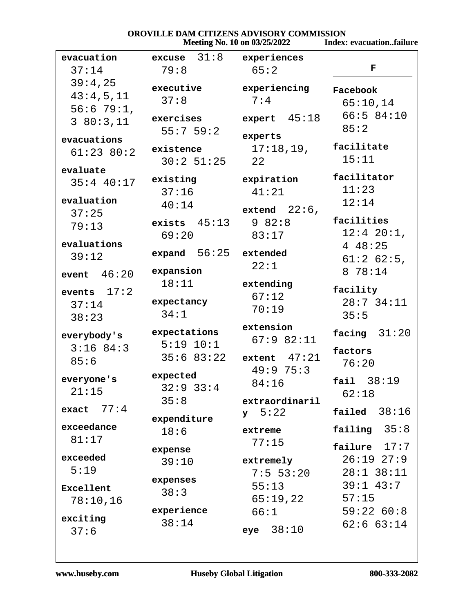# **OROVILLE DAM CITIZENS ADVISORY COMMISSION<br>Meeting No. 10 on 03/25/2022** Index: evacuation..failure

|  |  | <b>Meeting No. 10 on 03/25/2022</b> |  |
|--|--|-------------------------------------|--|
|--|--|-------------------------------------|--|

| evacuation    | $excase$ 31:8 experiences |                      |                 |
|---------------|---------------------------|----------------------|-----------------|
| 37:14         | 79:8                      | 65:2                 | F               |
| 39:4,25       | executive                 | experiencing         | Facebook        |
| 43:4,5,11     | 37:8                      | 7:4                  |                 |
| $56:679:1$ ,  |                           |                      | 65:10,14        |
| 380:3,11      | exercises                 | expert $45:18$       | 66:584:10       |
|               | 55:759:2                  | experts              | 85:2            |
| evacuations   | existence                 | 17:18,19,            | facilitate      |
| $61:23$ 80:2  | $30:2$ 51:25 22           |                      | 15:11           |
| evaluate      |                           |                      |                 |
| $35:4$ 40:17  | existing                  | expiration           | facilitator     |
|               | 37:16                     | 41:21                | 11:23           |
| evaluation    | 40:14                     | extend $22:6$ ,      | 12:14           |
| 37:25         | exists 45:13              | 982:8                | facilities      |
| 79:13         | 69:20                     | 83:17                | $12:4$ $20:1$ , |
| evaluations   |                           |                      | 448:25          |
| 39:12         | $expand 56:25$ extended   |                      | $61:2$ 62:5,    |
|               | expansion                 | 22:1                 | 8 78:14         |
| event $46:20$ | 18:11                     | extending            |                 |
| events $17:2$ |                           | 67:12                | facility        |
| 37:14         | expectancy                | 70:19                | $28:7$ 34:11    |
| 38:23         | 34:1                      |                      | 35:5            |
| everybody's   | expectations              | extension            | facing $31:20$  |
| $3:16$ 84:3   | $5:19$ $10:1$             | 67:982:11            |                 |
|               | $35:6$ $83:22$            | extent $47:21$       | factors         |
| 85:6          |                           | 49:9 75:3            | 76:20           |
| everyone's    | expected                  | 84:16                | fail 38:19      |
| 21:15         | $32:9$ $33:4$             |                      | 62:18           |
| exact $77:4$  | 35:8                      | extraordinaril       |                 |
|               | expenditure               | 5:22<br>$\mathbf{y}$ | 38:16<br>failed |
| exceedance    | 18:6                      | extreme              | failing $35:8$  |
| 81:17         |                           | 77:15                | failure $17:7$  |
| exceeded      | expense                   |                      |                 |
| 5:19          | 39:10                     | extremely            | $26:19$ $27:9$  |
|               | expenses                  | $7:5$ 53:20          | $28:1$ 38:11    |
| Excellent     | 38:3                      | 55:13                | $39:1$ 43:7     |
| 78:10,16      |                           | 65:19,22             | 57:15           |
| exciting      | experience                | 66:1                 | 59:22 60:8      |
| 37:6          | 38:14                     | 38:10<br>eye         | 62:663:14       |
|               |                           |                      |                 |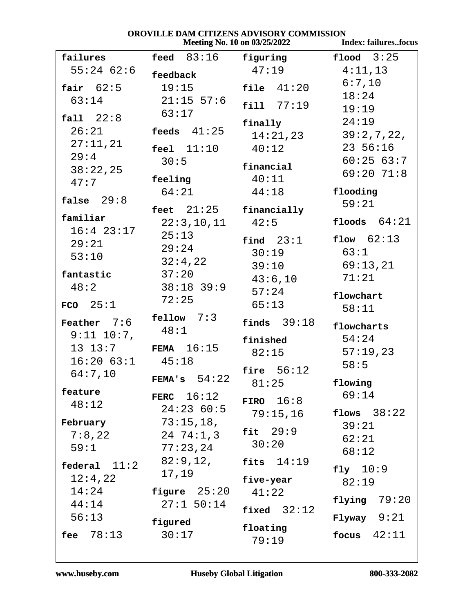**Index: failures..focus** 

| failures        | feed $83:16$ figuring  |                  | flood $3:25$      |
|-----------------|------------------------|------------------|-------------------|
| $55:24$ 62:6    | feedback               | 47:19            | 4:11,13           |
| fair $62:5$     | 19:15                  | file $41:20$     | 6:7,10            |
| 63:14           | $21:15$ 57:6           |                  | 18:24             |
|                 | 63:17                  | fill 77:19       | 19:19             |
| fall $22:8$     |                        | finally          | 24:19             |
| 26:21           | feeds $41:25$          | 14:21,23         | 39:2,7,22,        |
| 27:11,21        | $feel$ $11:10$         | 40:12            | 23 56:16          |
| 29:4            | 30:5                   |                  | 60:2563:7         |
| 38:22,25        |                        | financial        | $69:20$ 71:8      |
| 47:7            | feeling                | 40:11            |                   |
| false $29:8$    | 64:21                  | 44:18            | flooding<br>59:21 |
|                 | feet 21:25 financially |                  |                   |
| familiar        | $22:3,10,11$ $42:5$    |                  | floods $64:21$    |
| $16:4$ 23:17    | 25:13                  | final 23:1       | flow $62:13$      |
| 29:21           | 29:24                  | 30:19            | 63:1              |
| 53:10           | 32:4,22                | $39:10$ 69:13,21 |                   |
| fantastic       | 37:20                  | 43:6,10          | 71:21             |
| 48:2            | $38:18$ 39:9           | 57:24            |                   |
| $FCO$ 25:1      | 72:25                  | 65:13            | flowchart         |
|                 | $\texttt{fellow}$ 7:3  |                  | 58:11             |
| Feather $7:6$   | 48:1                   | finds $39:18$    | flowcharts        |
| $9:11$ $10:7$ , |                        | finished         | 54:24             |
|                 | 13 13:7 FEMA 16:15     | 82:15            | 57:19,23          |
| $16:20$ $63:1$  | 45:18                  |                  | 58:5              |
| 64:7,10         | FEMA's $54:22$         | fire $56:12$     |                   |
| feature         |                        | 81:25            | flowing<br>69:14  |
| 48:12           | FERC $16:12$           | FIRO $16:8$      |                   |
|                 | 24:2360:5              | 79:15,16         | flows $38:22$     |
| February        | 73:15,18,              | fit $29:9$       | 39:21             |
| $7:8$ , $22$    | 24 74:1,3              | 30:20            | 62:21             |
| 59:1            | 77:23,24               |                  | 68:12             |
| federal $11:2$  | 82:9,12,               | fits $14:19$     | fly $10:9$        |
| 12:4,22         | 17,19                  | five-year        | 82:19             |
| 14:24           | figure $25:20$         | 41:22            |                   |
| 44:14           | $27:1$ 50:14           | fixed $32:12$    | flying $79:20$    |
| 56:13           | figured                |                  | $Flyway$ 9:21     |
| 78:13<br>fee    | 30:17                  | floating         | 42:11<br>focus    |
|                 |                        | 79:19            |                   |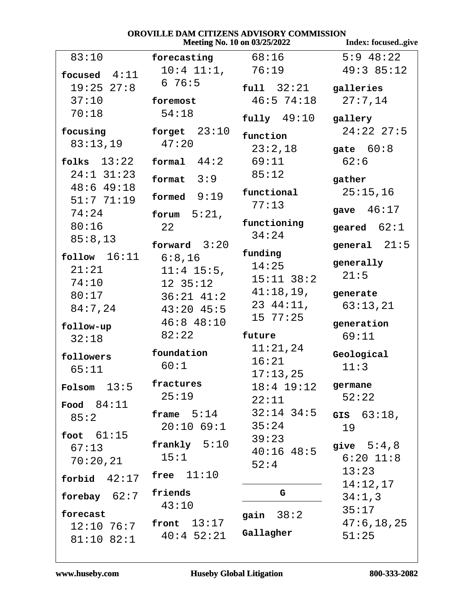|                         | VNV V ILLLE DANI *            | СПИДЕРЬ АР ГЮОЛТ СОММИЯНО<br>Meeting No. 10 on 03/25/2022 | Index: focusedgive |
|-------------------------|-------------------------------|-----------------------------------------------------------|--------------------|
| 83:10                   | forecasting                   | 68:16                                                     | $5:9$ 48:22        |
| focused $4:11$          | $10:4$ $11:1$ ,               | 76:19                                                     | 49:385:12          |
| $19:25$ $27:8$          | 676:5                         | full 32:21                                                | galleries          |
| 37:10                   | foremost                      | $46:5$ 74:18                                              | 27:7,14            |
| 70:18                   | 54:18                         | $fully$ 49:10                                             | gallery            |
| focusing                | forget $23:10$                | function                                                  | $24:22$ $27:5$     |
| 83:13,19                | 47:20                         | 23:2,18                                                   | gate $60:8$        |
| folks $13:22$           | 44:2<br>formal                | 69:11                                                     | 62:6               |
| $24:1$ $31:23$          | 3:9<br>format                 | 85:12                                                     | gather             |
| 48:649:18               | formed $9:19$                 | functional                                                | 25:15,16           |
| 51:771:19<br>74:24      |                               | 77:13                                                     | gave $46:17$       |
| 80:16                   | forum $5:21$ ,<br>22          | functioning                                               | geared $62:1$      |
| 85:8,13                 |                               | 34:24                                                     |                    |
|                         | forward $3:20$                | funding                                                   | general $21:5$     |
| follow $16:11$<br>21:21 | 6:8,16                        | 14:25                                                     | generally          |
| 74:10                   | $11:4$ 15:5,<br>$12 \, 35:12$ | $15:11$ $38:2$                                            | 21:5               |
| 80:17                   | $36:21$ $41:2$                | 41:18,19,                                                 | generate           |
| 84:7,24                 | $43:20$ $45:5$                | 2344:11,                                                  | 63:13,21           |
|                         | $46:8$ $48:10$                | 15 77:25                                                  | generation         |
| follow-up<br>32:18      | 82:22                         | future                                                    | 69:11              |
| followers               | foundation                    | 11:21,24<br>16:21                                         | Geological         |
| 65:11                   | 60:1                          | 17:13,25                                                  | 11:3               |
| Folsom $13:5$           | fractures                     | $18:4$ $19:12$                                            | germane            |
| Food $84:11$            | 25:19                         | 22:11                                                     | 52:22              |
| 85:2                    | frame $5:14$                  | $32:14$ 34:5                                              | 63:18,<br>GIS      |
|                         | $20:10$ 69:1                  | 35:24                                                     | 19                 |
| foot $61:15$<br>67:13   | $frankly$ $5:10$              | 39:23                                                     | give $5:4,8$       |
| 70:20,21                | 15:1                          | $40:16$ $48:5$                                            | $6:20$ $11:8$      |
|                         | free $11:10$                  | 52:4                                                      | 13:23              |
| forbid $42:17$          |                               |                                                           | 14:12,17           |
| forebay $62:7$          | friends<br>43:10              | G                                                         | 34:1,3             |
| forecast                |                               | 38:2<br>gain                                              | 35:17              |
| $12:10$ 76:7            | front $13:17$                 | Gallagher                                                 | 47:6, 18, 25       |
| 81:10 82:1              | $40:4$ 52:21                  |                                                           | 51:25              |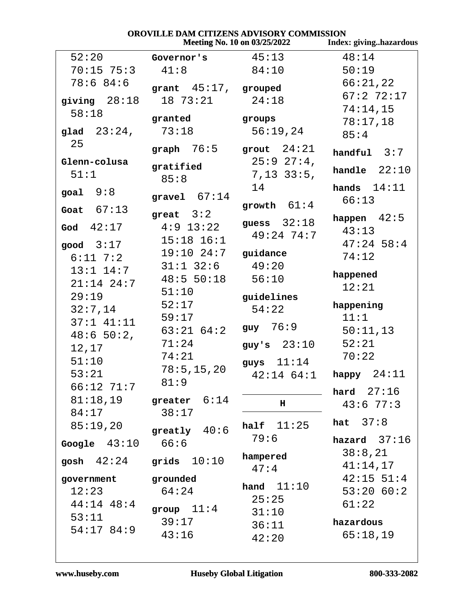# OROVILLE DAM CITIZENS ADVISORY COMMISSION

|                |                         | Meeting No. 10 on 03/25/2022 | Index: givinghazardous   |
|----------------|-------------------------|------------------------------|--------------------------|
| 52:20          | Governor's              | 45:13                        | 48:14                    |
| $70:15$ $75:3$ | 41:8                    | 84:10                        | 50:19                    |
| 78:684:6       | grant $45:17$ , grouped |                              | 66:21,22                 |
| giving $28:18$ | 18 73:21                | 24:18                        | 67:272:17                |
| 58:18          |                         |                              | 74:14,15                 |
|                | granted                 | groups                       | 78:17,18                 |
| glad $23:24$ , | 73:18                   | 56:19,24                     | 85:4                     |
| 25             | graph $76:5$            | grout $24:21$                | handful $3:7$            |
| Glenn-colusa   | gratified               | $25:9$ $27:4$ ,              |                          |
| 51:1           | 85:8                    | $7,13$ 33:5,                 | handle $22:10$           |
| goal $9:8$     |                         | 14                           | hands $14:11$            |
|                | gravel $67:14$          | growth $61:4$                | 66:13                    |
| Goat $67:13$   | great $3:2$             |                              | happen $42:5$            |
| God $42:17$    | $4:9$ 13:22             | guess $32:18$                | 43:13                    |
| good $3:17$    | $15:18$ $16:1$          | $49:24$ 74:7                 | $47:24$ 58:4             |
| $6:11$ 7:2     | $19:10$ $24:7$ guidance |                              | 74:12                    |
| $13:1$ $14:7$  | $31:1$ $32:6$           | 49:20                        |                          |
| $21:14$ $24:7$ | 48:5 50:18              | 56:10                        | happened                 |
| 29:19          | 51:10                   |                              | 12:21                    |
| 32:7,14        | 52:17                   | guidelines<br>54:22          | happening                |
| $37:1$ $41:11$ | 59:17                   |                              | 11:1                     |
| 48:650:2,      | $63:21$ $64:2$          | $guy \t 76:9$                | 50:11,13                 |
| 12,17          | 71:24                   | guy's $23:10$                | 52:21                    |
| 51:10          | 74:21                   | guys $11:14$                 | 70:22                    |
| 53:21          | 78:5, 15, 20            |                              | $42:14$ 64:1 happy 24:11 |
| 66:12 71:7     | 81:9                    |                              |                          |
| 81:18,19       | greater $6:14$          |                              | hard $27:16$             |
| 84:17          | 38:17                   | н                            | 43:677:3                 |
| 85:19,20       |                         | half $11:25$                 | 37:8<br>hat              |
|                | greatly $40:6$          | 79:6                         | hazard $37:16$           |
| Google $43:10$ | 66:6                    |                              | 38:8,21                  |
| gosh $42:24$   | grids $10:10$           | hampered                     | 41:14,17                 |
| government     | grounded                | 47:4                         | $42:15$ 51:4             |
| 12:23          | 64:24                   | hand $11:10$                 | 53:2060:2                |
| 44:14 48:4     |                         | 25:25                        | 61:22                    |
| 53:11          | group $11:4$            | 31:10                        |                          |
| 54:1784:9      | 39:17                   | 36:11                        | hazardous                |
|                | 43:16                   | 42:20                        | 65:18,19                 |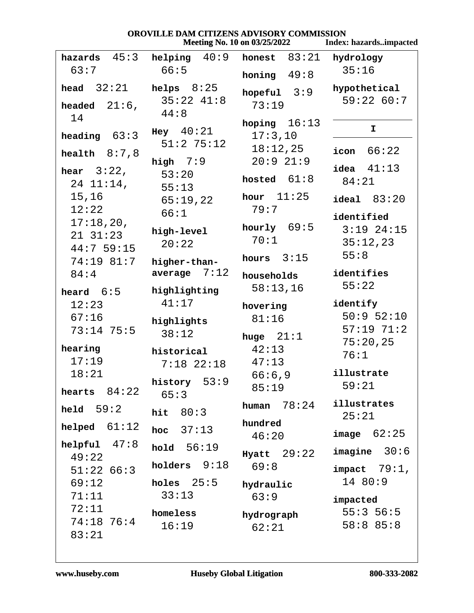|                                            | <b>OROVILLE DAM CITIZENS ADVISORY COMMISSION</b> | Meeting No. 10 on 03/25/2022 | Index: hazardsimpacted                         |
|--------------------------------------------|--------------------------------------------------|------------------------------|------------------------------------------------|
| hazards $45:3$                             | 40:9<br>helping                                  | honest $83:21$               | hydrology                                      |
| 63:7                                       | 66:5                                             | honing $49:8$                | 35:16                                          |
| 32:21<br>head                              | helps $8:25$                                     | hopeful $3:9$                | hypothetical                                   |
| headed $21:6$ ,<br>14                      | $35:22$ $41:8$<br>44:8                           | 73:19                        | 59:2260:7                                      |
| heading $63:3$                             | Hey 40:21<br>$51:2$ 75:12                        | hoping $16:13$<br>17:3,10    | I.                                             |
| health $8:7,8$                             |                                                  | 18:12,25<br>20:921:9         | icon $66:22$                                   |
| hear $3:22$ ,<br>$24$ $11:14$ ,            | high $7:9$<br>53:20<br>55:13                     | hosted $61:8$                | idea $41:13$<br>84:21                          |
| 15,16<br>12:22                             | 65:19,22                                         | hour $11:25$<br>79:7         | ideal 83:20                                    |
| 17:18,20,<br>$21 \quad 31:23$<br>44:759:15 | 66:1<br>high-level<br>20:22                      | hourly $69:5$<br>70:1        | identified<br>$3:19$ 24:15<br>35:12,23<br>55:8 |
| 74:19 81:7<br>84:4                         | higher-than-<br>7:12<br>average                  | hours $3:15$<br>households   | identifies                                     |
| heard $6:5$                                | highlighting                                     | 58:13,16                     | 55:22                                          |
| 12:23                                      | 41:17                                            | hovering                     | identify                                       |
| 67:16                                      | highlights                                       | 81:16                        | $50:9$ $52:10$                                 |
| $73:14$ 75:5                               | 38:12                                            | huge $21:1$                  | $57:19$ $71:2$<br>75:20,25                     |
| hearing<br>17:19                           | historical<br>$7:18$ 22:18                       | 42:13<br>47:13               | 76:1                                           |
| 18:21<br>hearts $84:22$                    | history $53:9$<br>65:3                           | 66:6,9<br>85:19              | illustrate<br>59:21                            |
| held $59:2$                                | hit $80:3$                                       | human $78:24$                | illustrates<br>25:21                           |
| helped $61:12$                             | hoc $37:13$                                      | hundred<br>46:20             | image 62:25                                    |
| helpful $47:8$<br>49:22                    | hold $56:19$                                     | $Hyatt$ 29:22                | image 30:6                                     |
| 51:2266:3                                  | holders $9:18$                                   | 69:8                         | $impect$ 79:1,                                 |
| 69:12                                      | holes $25:5$                                     | hydraulic                    | 14 80:9                                        |
| 71:11                                      | 33:13                                            | 63:9                         | impacted                                       |
| 72:11                                      | homeless                                         | hydrograph                   | 55:356:5                                       |
| 74:18 76:4<br>83:21                        | 16:19                                            | 62:21                        | 58:8 85:8                                      |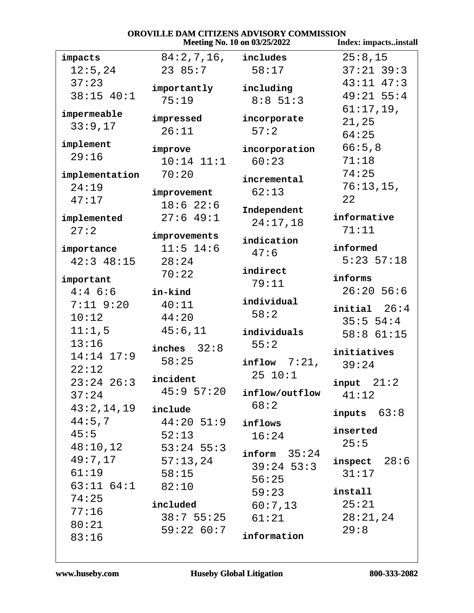| OROVILLE DAM CITIZENS ADVISORY COMMISSION<br>Index: impactsinstall<br>Meeting No. 10 on 03/25/2022 |                        |                         |                    |
|----------------------------------------------------------------------------------------------------|------------------------|-------------------------|--------------------|
| impacts                                                                                            | $84:2,7,16$ , includes |                         | 25:8,15            |
| 12:5,24                                                                                            | 2385:7                 | 58:17                   | $37:21$ 39:3       |
| 37:23                                                                                              |                        |                         | $43:11$ $47:3$     |
| 38:15 40:1                                                                                         | importantly            | including               | $49:21$ 55:4       |
|                                                                                                    | 75:19                  | $8:8$ 51:3              | $61:17,19$ ,       |
| impermeable                                                                                        | impressed              | incorporate             | 21,25              |
| 33:9,17                                                                                            | 26:11                  | 57:2                    | 64:25              |
| implement                                                                                          |                        |                         | 66:5,8             |
| 29:16                                                                                              | improve                | incorporation           | 71:18              |
|                                                                                                    | $10:14$ $11:1$         | 60:23                   | 74:25              |
| implementation                                                                                     | 70:20                  | incremental             |                    |
| 24:19                                                                                              | improvement            | 62:13                   | 76:13,15,          |
| 47:17                                                                                              | $18:6$ 22:6            | Independent             | 22                 |
| implemented                                                                                        | 27:649:1               | 24:17,18                | informative        |
| 27:2                                                                                               | improvements           |                         | 71:11              |
|                                                                                                    | $11:5$ 14:6            | indication              | informed           |
| importance<br>$42:3$ $48:15$                                                                       | 28:24                  | 47:6                    | $5:23$ $57:18$     |
|                                                                                                    | 70:22                  | indirect                |                    |
| important                                                                                          |                        | 79:11                   | informs            |
| $4:4$ 6:6                                                                                          | in-kind                |                         | $26:20$ 56:6       |
| $7:11$ $9:20$                                                                                      | 40:11                  | individual              | initial 26:4       |
| 10:12                                                                                              | 44:20                  | 58:2                    | 35:554:4           |
| 11:1,5                                                                                             | 45:6,11                | individuals             | $58:8$ 61:15       |
| 13:16                                                                                              | inches $32:8$          | 55:2                    |                    |
| 14:14 17:9                                                                                         | 58:25                  |                         | initiatives        |
| 22:12                                                                                              |                        | $\texttt{inflow}$ 7:21, | 39:24              |
| $23:24$ $26:3$                                                                                     | incident               | 25 10:1                 | $input \quad 21:2$ |
| 37:24                                                                                              | 45:957:20              | inflow/outflow          | 41:12              |
| 43:2,14,19                                                                                         | include                | 68:2                    |                    |
| 44:5,7                                                                                             | $44:20$ 51:9           | inflows                 | inputs $63:8$      |
| 45:5                                                                                               | 52:13                  | 16:24                   | inserted           |
| 48:10,12                                                                                           | 53:24 55:3             |                         | 25:5               |
| 49:7,17                                                                                            | 57:13,24               | inform 35:24            | inspect $28:6$     |
| 61:19                                                                                              | 58:15                  | $39:24$ 53:3            | 31:17              |
| $63:11$ $64:1$ $82:10$                                                                             |                        | 56:25                   |                    |
| 74:25                                                                                              |                        | 59:23                   | install            |
| 77:16                                                                                              | included               | 60:7,13                 | 25:21              |
| 80:21                                                                                              | $38:7$ 55:25           | 61:21                   | 28:21,24           |
| 83:16                                                                                              | 59:2260:7              | information             | 29:8               |
|                                                                                                    |                        |                         |                    |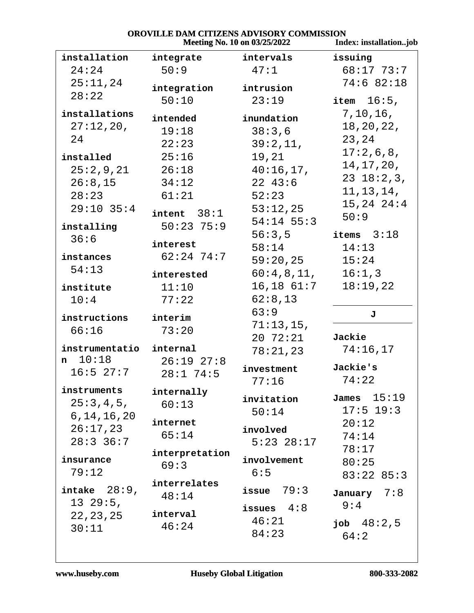|                          | <b>ELLIND IND VIDONNI CONTINUIDENT</b><br>Meeting No. 10 on 03/25/2022 | Index: installationjob |                 |
|--------------------------|------------------------------------------------------------------------|------------------------|-----------------|
| installation             | integrate                                                              | intervals              | issuing         |
| 24:24                    | 50:9                                                                   | 47:1                   | 68:17 73:7      |
| 25:11,24                 | integration                                                            | intrusion              | 74:682:18       |
| 28:22                    | 50:10                                                                  | 23:19                  | item $16:5$ ,   |
| installations            |                                                                        |                        | 7, 10, 16,      |
| 27:12,20,                | intended                                                               | inundation             | 18, 20, 22,     |
| 24                       | 19:18                                                                  | 38:3,6                 | 23,24           |
|                          | 22:23                                                                  | 39:2,11,               | 17:2,6,8,       |
| installed                | 25:16                                                                  | 19,21                  | 14, 17, 20,     |
| 25:2,9,21                | 26:18                                                                  | 40:16,17,              | $23$ $18:2,3$ , |
| 26:8,15                  | 34:12                                                                  | $22 \t43:6$            | 11, 13, 14,     |
| 28:23                    | 61:21                                                                  | 52:23                  | $15, 24$ $24:4$ |
| $29:10$ 35:4             | $intent$ $38:1$                                                        | 53:12,25               | 50:9            |
| installing               | $50:23$ 75:9                                                           | $54:14$ 55:3           |                 |
| 36:6                     | interest                                                               | 56:3,5                 | items $3:18$    |
| instances                | $62:24$ 74:7                                                           | 58:14                  | 14:13           |
| 54:13                    |                                                                        | 59:20,25               | 15:24           |
|                          | interested                                                             | 60:4,8,11,             | 16:1,3          |
| institute                | 11:10                                                                  | $16,18$ $61:7$         | 18:19,22        |
| 10:4                     | 77:22                                                                  | 62:8,13<br>63:9        |                 |
| instructions             | interim                                                                | 71:13,15,              | J               |
| 66:16                    | 73:20                                                                  | $20 \t 72:21$          | Jackie          |
| instrumentatio           | internal                                                               | 78:21,23               | 74:16,17        |
| $n \quad 10:18$          | $26:19$ $27:8$                                                         |                        |                 |
| $16:5$ 27:7              | $28:1$ 74:5                                                            | investment             | Jackie's        |
|                          |                                                                        | 77:16                  | 74:22           |
| instruments<br>25:3,4,5, | internally                                                             | invitation             | James $15:19$   |
| 6, 14, 16, 20            | 60:13                                                                  | 50:14                  | $17:5$ 19:3     |
| 26:17,23                 | internet                                                               | involved               | 20:12           |
| $28:3$ 36:7              | 65:14                                                                  | $5:23$ $28:17$         | 74:14           |
|                          | interpretation                                                         |                        | 78:17           |
| insurance                | 69:3                                                                   | involvement            | 80:25           |
| 79:12                    |                                                                        | 6:5                    | 83:2285:3       |
| intake $28:9$ ,          | interrelates                                                           | issue $79:3$           | January $7:8$   |
| $13\ 29:5,$              | 48:14                                                                  |                        | 9:4             |
| 22, 23, 25               | interval                                                               | issues $4:8$           |                 |
| 30:11                    | 46:24                                                                  | 46:21                  | job $48:2,5$    |
|                          |                                                                        | 84:23                  | 64:2            |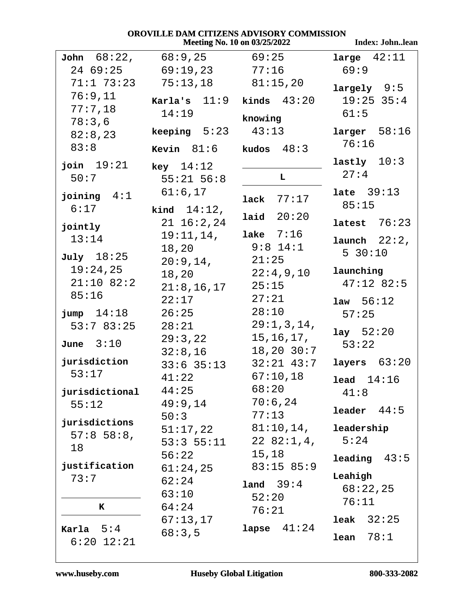|                       | Meeting No. 10 on 03/25/2022 | <b>Index: Johnlean</b> |                    |
|-----------------------|------------------------------|------------------------|--------------------|
| <b>John</b> $68:22$ , | 68:9,25                      | 69:25                  | large $42:11$      |
| 24 69:25              | 69:19,23                     | 77:16                  | 69:9               |
| $71:1$ $73:23$        | 75:13,18                     | 81:15,20               | largely 9:5        |
| 76:9,11               | Karla's $11:9$ kinds $43:20$ |                        | $19:25$ 35:4       |
| 77:7,18               | 14:19                        |                        | 61:5               |
| 78:3,6                |                              | knowing                |                    |
| 82:8,23               | <b>keeping</b> $5:23$        | 43:13                  | larger 58:16       |
| 83:8                  | <b>Kevin</b> $81:6$          | kudos $48:3$           | 76:16              |
| join $19:21$          | $key$ 14:12                  |                        | lastly $10:3$      |
| 50:7                  | $55:21$ $56:8$               | L                      | 27:4               |
| joining $4:1$         | 61:6,17                      |                        | late $39:13$       |
| 6:17                  | kind $14:12$ ,               | lack $77:17$           | 85:15              |
|                       | $21 \t16:2,24$               | laid $20:20$           | latest $76:23$     |
| jointly               | $19:11,14$ ,                 | lake $7:16$            |                    |
| 13:14                 | 18,20                        | $9:8$ 14:1             | $l$ aunch $22:2$ , |
| July 18:25            | 20:9,14,                     | 21:25                  | 5 30:10            |
| 19:24,25              | 18,20                        | 22:4,9,10              | launching          |
| $21:10$ 82:2          | 21:8, 16, 17                 | 25:15                  | $47:12$ 82:5       |
| 85:16                 | 22:17                        | 27:21                  | 1aw 56:12          |
| $jump$ $14:18$        | 26:25                        | 28:10                  | 57:25              |
| 53:783:25             | 28:21                        | 29:1,3,14,             | lay 52:20          |
| June $3:10$           | 29:3,22                      | 15, 16, 17,            | 53:22              |
|                       | 32:8,16                      | $18,20$ $30:7$         |                    |
| jurisdiction          | $33:6$ $35:13$               | $32:21$ $43:7$         | layers $63:20$     |
| 53:17                 | 41:22                        | 67:10,18               | lead 14:16         |
| jurisdictional        | 44:25                        | 68:20                  | 41:8               |
| 55:12                 | 49:9,14                      | 70:6,24                | 44:5<br>leader     |
| jurisdictions         | 50:3                         | 77:13                  |                    |
| $57:8$ 58:8,          | 51:17,22                     | $81:10,14$ ,           | leadership         |
| 18                    | 53:355:11                    | 2282:1,4,              | 5:24               |
| justification         | 56:22                        | 15,18<br>83:1585:9     | leading<br>43:5    |
| 73:7                  | 61:24,25                     |                        | Leahigh            |
|                       | 62:24<br>63:10               | land $39:4$            | 68:22,25           |
| K                     | 64:24                        | 52:20                  | 76:11              |
|                       | 67:13,17                     | 76:21                  | 32:25<br>leak      |
| Karla $5:4$           | 68:3,5                       | lapse $41:24$          |                    |
| $6:20$ $12:21$        |                              |                        | 78:1<br>lean       |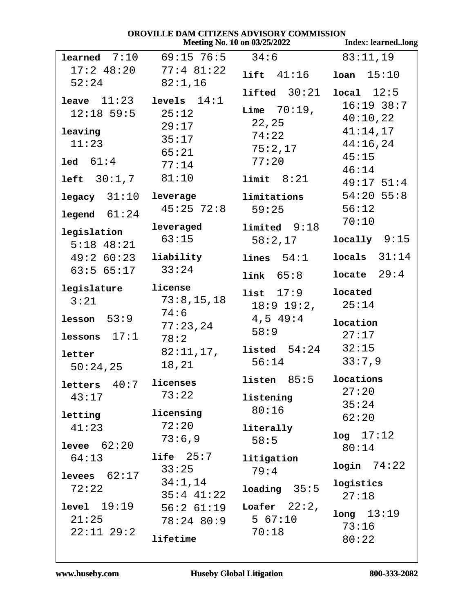|                             | VNV V ILLLE DAM S                           | CH LEENS AD VISONT COMMISSION<br>Meeting No. 10 on 03/25/2022 | <b>Index: learnedlong</b> |
|-----------------------------|---------------------------------------------|---------------------------------------------------------------|---------------------------|
|                             | <b>learned</b> $7:10$ $69:15$ $76:5$ $34:6$ |                                                               | 83:11,19                  |
|                             | $17:2$ 48:20 77:4 81:22                     | lift 41:16                                                    | 10an 15:10                |
| 52:24                       | 82:1,16                                     | lifted $30:21$ local $12:5$                                   |                           |
| leave $11:23$ levels $14:1$ |                                             |                                                               | $16:19$ 38:7              |
| $12:18$ 59:5 $25:12$        |                                             | <b>Lime</b> $70:19$ ,                                         | 40:10,22                  |
| leaving                     | 29:17                                       | 22,25                                                         | 41:14,17                  |
| 11:23                       | 35:17                                       | 74:22                                                         | $44:16$ , $24$            |
|                             | 65:21                                       | 75:2,17                                                       | 45:15                     |
| $1ed \quad 61:4$            | 77:14                                       | 77:20                                                         | 46:14                     |
| $left  30:1,7$ $81:10$      |                                             | limit 8:21                                                    | $49:17$ 51:4              |
| legacy 31:10                | leverage                                    | limitations                                                   | $54:20$ 55:8              |
| legend 61:24                | $45:25$ $72:8$                              | 59:25                                                         | 56:12                     |
|                             | leveraged                                   | $1$ imited $9:18$                                             | 70:10                     |
| legislation<br>$5:18$ 48:21 | 63:15                                       | 58:2,17                                                       | $locally$ 9:15            |
| $49:260:23$ liability       |                                             | lines 54:1                                                    | $locals$ 31:14            |
| $63:5$ $65:17$ $33:24$      |                                             | link 65:8                                                     | locate $29:4$             |
| legislature                 | license                                     | list 17:9                                                     | located                   |
| 3:21                        | 73:8,15,18                                  | $18:9$ $19:2$ ,                                               | 25:14                     |
| lesson $53:9$               | 74:6                                        | $4,5$ $49:4$                                                  | location                  |
| lessons $17:1$              | 77:23,24                                    | 58:9                                                          | 27:17                     |
|                             | 78:2                                        | <b>listed</b> $54:24$ $32:15$                                 |                           |
| letter                      | 82:11,17,<br>18,21                          | 56:14                                                         | 33:7,9                    |
| 50:24,25                    |                                             | $l$ isten $85:5$                                              | locations                 |
| letters $40:7$ licenses     |                                             |                                                               | 27:20                     |
| 43:17                       | 73:22                                       | listening                                                     | 35:24                     |
| letting                     | licensing                                   | 80:16                                                         | 62:20                     |
| 41:23                       | 72:20                                       | literally                                                     |                           |
| <b>levee</b> $62:20$        | 73:6,9                                      | 58:5                                                          | log 17:12                 |
| 64:13                       | $life$ $25:7$                               | litigation                                                    | 80:14                     |
|                             | 33:25                                       | 79:4                                                          | $login$ $74:22$           |
| levees $62:17$              | 34:1,14                                     |                                                               | logistics                 |
| 72:22                       | $35:4$ $41:22$                              | loading 35:5                                                  | 27:18                     |
| level 19:19                 | $56:2$ $61:19$                              | Loafer $22:2$ ,                                               | long 13:19                |
| 21:25                       | $78:24$ 80:9                                | 567:10                                                        | 73:16                     |
| $22:11$ $29:2$              | lifetime                                    | 70:18                                                         | 80:22                     |
|                             |                                             |                                                               |                           |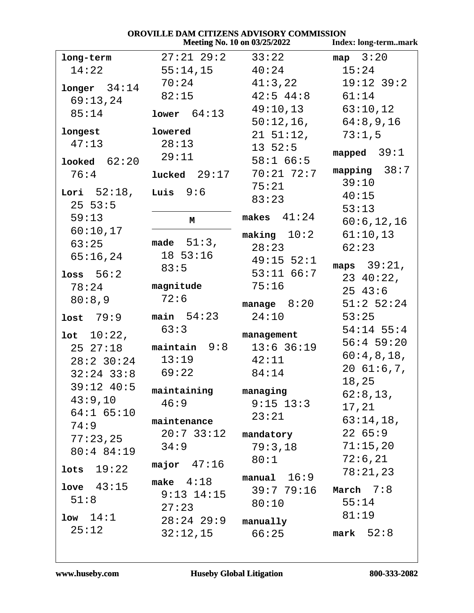| OROVILLE DAM CITIZENS ADVISORY COMMISSION                   |                |                 |                |  |  |
|-------------------------------------------------------------|----------------|-----------------|----------------|--|--|
| <b>Meeting No. 10 on 03/25/2022</b><br>Index: long-termmark |                |                 |                |  |  |
| long-term                                                   | $27:21$ $29:2$ | 33:22           | map $3:20$     |  |  |
| 14:22                                                       | 55:14,15       | 40:24           | 15:24          |  |  |
| $longer$ 34:14                                              | 70:24          | 41:3,22         | $19:12$ 39:2   |  |  |
| 69:13,24                                                    | 82:15          | $42:5$ $44:8$   | 61:14          |  |  |
| 85:14                                                       | lower $64:13$  | 49:10,13        | 63:10,12       |  |  |
|                                                             |                | $50:12,16$ ,    | 64:8,9,16      |  |  |
| longest                                                     | lowered        | $21\;\;51:12$ , | 73:1,5         |  |  |
| 47:13                                                       | 28:13          | $13 \t52:5$     |                |  |  |
| Looked 62:20                                                | 29:11          | 58:166:5        | mapped $39:1$  |  |  |
| 76:4                                                        | lucked $29:17$ | $70:21$ $72:7$  | mapping $38:7$ |  |  |
|                                                             |                | 75:21           | 39:10          |  |  |
| Lori $52:18$ ,                                              | Luis $9:6$     | 83:23           | 40:15          |  |  |
| 25 53:5                                                     |                | makes $41:24$   | 53:13          |  |  |
| 59:13                                                       | M              |                 | 60:6, 12, 16   |  |  |
| 60:10,17                                                    |                | making $10:2$   | 61:10,13       |  |  |
| 63:25                                                       | made $51:3$ ,  | 28:23           | 62:23          |  |  |
| 65:16,24                                                    | 18 53:16       | $49:15$ 52:1    | maps $39:21$ , |  |  |
| loss $56:2$                                                 | 83:5           | $53:11$ 66:7    | $23 \t40:22$ , |  |  |
| 78:24                                                       | magnitude      | 75:16           | $25 \t43:6$    |  |  |
| 80:8,9                                                      | 72:6           | manage $8:20$   | $51:2$ 52:24   |  |  |
| lost $79:9$                                                 | main $54:23$   | 24:10           | 53:25          |  |  |
|                                                             | 63:3           |                 | $54:14$ 55:4   |  |  |
| 10:22,                                                      |                | management      | $56:4$ 59:20   |  |  |
| 2527:18                                                     | $maintain 9:8$ | $13:6$ 36:19    | 60:4,8,18,     |  |  |
| $28:2$ 30:24                                                | 13:19          | 42:11           | 2061:6,7,      |  |  |
| $32:24$ 33:8                                                | 69:22          | 84:14           | 18,25          |  |  |
| $39:12$ 40:5                                                | maintaining    | managing        | 62:8,13,       |  |  |
| 43:9,10                                                     | 46:9           | $9:15$ 13:3     | 17,21          |  |  |
| $64:1$ $65:10$                                              | maintenance    | 23:21           | 63:14,18,      |  |  |
| 74:9                                                        | $20:7$ 33:12   | mandatory       | 2265:9         |  |  |
| $77:23$ , $25$                                              | 34:9           | 79:3,18         | 71:15,20       |  |  |
| 80:4 84:19                                                  |                | 80:1            | 72:6,21        |  |  |
| lots $19:22$                                                | major $47:16$  |                 | 78:21,23       |  |  |
|                                                             | make $4:18$    | $manual$ $16:9$ |                |  |  |
| love $43:15$                                                | $9:13$ $14:15$ | 39:7 79:16      | March $7:8$    |  |  |
| 51:8                                                        | 27:23          | 80:10           | 55:14          |  |  |
| $1$ ow $14:1$                                               | 28:24 29:9     | manually        | 81:19          |  |  |
| 25:12                                                       | 32:12,15       | 66:25           | mark $52:8$    |  |  |
|                                                             |                |                 |                |  |  |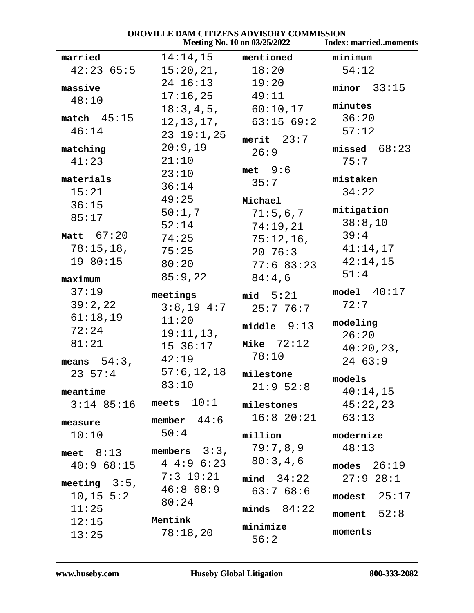|                 |                           | <b>Meeting No. 10 on 03/25/2022</b> | <b>Index: marriedmoments</b> |
|-----------------|---------------------------|-------------------------------------|------------------------------|
| married         | 14:14,15                  | mentioned                           | minimum                      |
| 42:2365:5       | 15:20,21,                 | 18:20                               | 54:12                        |
| massive         | 24 16:13                  | 19:20                               | minor 33:15                  |
| 48:10           | 17:16,25                  | 49:11                               |                              |
|                 |                           | $18:3,4,5,$ 60:10,17                | minutes                      |
| match $45:15$   | 12,13,17,                 | 63:1569:2                           | 36:20                        |
| 46:14           | $23$ $19:1,25$            | merit $23:7$                        | 57:12                        |
| matching        | 20:9,19                   | 26:9                                | missed $68:23$               |
| 41:23           | 21:10                     |                                     | 75:7                         |
| materials       | 23:10                     | $met \t 9:6$                        | mistaken                     |
| 15:21           | 36:14                     | 35:7                                | 34:22                        |
| 36:15           | 49:25                     | Michael                             |                              |
| 85:17           | 50:1,7                    | 71:5,6,7                            | mitigation                   |
|                 | 52:14                     | 74:19,21                            | 38:8,10                      |
| Matt $67:20$    | 74:25                     | 75:12,16,                           | 39:4                         |
| 78:15,18,       | 75:25                     | $20\ \ 76:3$                        | 41:14,17                     |
| 19 80:15        | 80:20                     | 77:6 83:23                          | 42:14,15                     |
| maximum         | 85:9,22                   | 84:4,6                              | 51:4                         |
| 37:19           | meetings                  | mid $5:21$                          | model 40:17                  |
| 39:2,22         | $3:8,19$ $4:7$            | 25:776:7                            | 72:7                         |
| 61:18,19        | 11:20                     |                                     | modeling                     |
| 72:24           | 19:11,13,                 | middle $9:13$                       | 26:20                        |
| 81:21           | 15 36:17                  | Mike $72:12$                        | 40:20,23,                    |
| means $54:3$ ,  | 42:19                     | 78:10                               | 2463:9                       |
| $23 \t57:4$     | 57:6, 12, 18              | milestone                           |                              |
|                 | 83:10                     | 21:952:8                            | models                       |
| meantime        |                           |                                     | 40:14,15                     |
|                 | $3:14$ 85:16 meets $10:1$ | milestones                          | 45:22,23                     |
| measure         | member $44:6$             | $16:8$ $20:21$ $63:13$              |                              |
| 10:10           | 50:4                      | million                             | modernize                    |
| meet $8:13$     | members $3:3$ ,           | 79:7,8,9                            | 48:13                        |
| $40:9$ 68:15    | $4 \t4:9 \t6:23$          | 80:3,4,6                            | modes $26:19$                |
|                 | $7:3$ 19:21               | mind 34:22                          | $27:9$ $28:1$                |
| meeting $3:5$ , | 46:868:9                  | 63:768:6                            |                              |
| 10, 15, 5:2     | 80:24                     |                                     | modest $25:17$               |
| 11:25           |                           | minds $84:22$                       | moment $52:8$                |
| 12:15           | Mentink                   | minimize                            |                              |
| 13:25           | 78:18,20                  | 56:2                                | moments                      |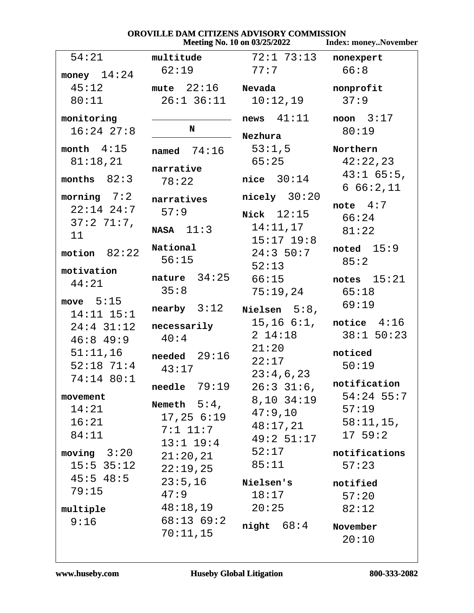| OROVILLE DAM CITIZENS ADVISORY COMMISSION |                       |                                     |                             |
|-------------------------------------------|-----------------------|-------------------------------------|-----------------------------|
|                                           |                       | <b>Meeting No. 10 on 03/25/2022</b> | <b>Index: moneyNovember</b> |
| 54:21                                     | multitude             | 72:1 73:13                          | nonexpert                   |
| money $14:24$                             | 62:19                 | 77:7                                | 66:8                        |
| 45:12                                     | mute $22:16$ Nevada   |                                     | nonprofit                   |
| 80:11                                     | $26:1$ $36:11$        | 10:12,19                            | 37:9                        |
| monitoring                                |                       | news 41:11                          | noon $3:17$                 |
| $16:24$ $27:8$                            | N                     | Nezhura                             | 80:19                       |
| month $4:15$                              | named $74:16$         | 53:1,5                              | Northern                    |
| 81:18,21                                  |                       | 65:25                               | 42:22,23                    |
| months $82:3$                             | narrative             | nice $30:14$                        | $43:1$ 65:5,                |
|                                           | 78:22                 |                                     | 666:2,11                    |
| morning $7:2$                             | narratives            | $nicely$ 30:20                      | note $4:7$                  |
| $22:14$ $24:7$                            | 57:9                  | Nick $12:15$                        | 66:24                       |
| $37:271:7$ ,                              | $NASA$ 11:3           | 14:11,17                            | 81:22                       |
| 11                                        |                       | $15:17$ 19:8                        |                             |
| motion $82:22$                            | National              | 24:350:7                            | noted $15:9$                |
|                                           | 56:15                 | 52:13                               | 85:2                        |
| motivation                                | nature $34:25$        | 66:15                               | notes $15:21$               |
| 44:21                                     | 35:8                  | 75:19,24                            | 65:18                       |
| move $5:15$                               |                       |                                     | 69:19                       |
| $14:11$ $15:1$                            | nearby $3:12$         | Nielsen $5:8$ ,                     |                             |
| $24:4$ 31:12                              | necessarily           | $15, 16 \ 6:1,$                     | notice $4:16$               |
| $46:8$ 49:9                               | 40:4                  | $2\;14:18$                          | $38:1$ 50:23                |
| 51:11,16                                  |                       | 21:20                               | noticed                     |
| $52:18$ 71:4                              | needed $29:16$        | 22:17                               | 50:19                       |
| 74:14 80:1                                | 43:17                 | 23:4,6,23                           |                             |
|                                           | $\bf{neededle}$ 79:19 | $26:3$ 31:6,                        | notification                |
| movement                                  | Nemeth $5:4$ ,        | $8,10$ $34:19$                      | $54:24$ 55:7                |
| 14:21                                     | $17,25$ $6:19$        | 47:9,10                             | 57:19                       |
| 16:21                                     |                       | 48:17,21                            | $58:11,15$ ,                |
| 84:11                                     | $7:1$ $11:7$          | 49:2 51:17                          | $17\;\;59:2$                |
| moving $3:20$                             | $13:1$ $19:4$         | 52:17                               | notifications               |
| $15:5$ 35:12                              | 21:20,21              | 85:11                               | 57:23                       |
| $45:5$ $48:5$                             | 22:19,25              |                                     |                             |
| 79:15                                     | 23:5,16               | Nielsen's                           | notified                    |
|                                           | 47:9                  | 18:17                               | 57:20                       |
| multiple                                  | 48:18,19              | 20:25                               | 82:12                       |
| 9:16                                      | 68:1369:2             | night $68:4$                        | November                    |
|                                           | 70:11,15              |                                     | 20:10                       |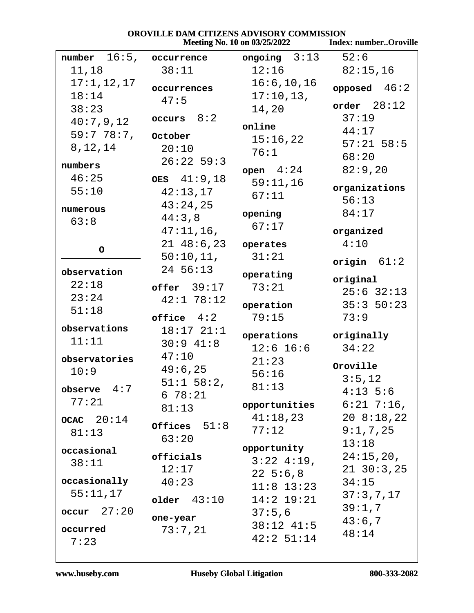|                      |                        | Meeting No. 10 on 03/25/2022 | <b>Index: numberOroville</b> |
|----------------------|------------------------|------------------------------|------------------------------|
| 16:5,<br>number      | occurrence             | ongoing $3:13$               | 52:6                         |
| 11,18                | 38:11                  | 12:16                        | 82:15,16                     |
| 17:1, 12, 17         | occurrences            | 16:6, 10, 16                 | opposed $46:2$               |
| 18:14                | 47:5                   | 17:10,13,                    |                              |
| 38:23                |                        | 14,20                        | order $28:12$                |
| 40:7,9,12            | occurs $8:2$           | online                       | 37:19                        |
| 59:778:7             | October                | 15:16,22                     | 44:17                        |
| 8, 12, 14            | 20:10                  | 76:1                         | $57:21$ 58:5                 |
| numbers              | $26:22$ 59:3           |                              | 68:20                        |
| 46:25                | OES $41:9,18$          | $open \quad 4:24$            | 82:9,20                      |
| 55:10                | 42:13,17               | 59:11,16                     | organizations                |
|                      | 43:24,25               | 67:11                        | 56:13                        |
| numerous             | 44:3,8                 | opening                      | 84:17                        |
| 63:8                 | $47:11,16$ ,           | 67:17                        | organized                    |
|                      | 2148:6,23              | operates                     | 4:10                         |
| $\circ$              | 50:10,11,              | 31:21                        |                              |
|                      | 24 56:13               |                              | origin $61:2$                |
| observation          |                        | operating                    | original                     |
| 22:18                | $offer$ 39:17          | 73:21                        | $25:6$ 32:13                 |
| 23:24                | $42:1$ 78:12           | operation                    | 35:350:23                    |
| 51:18                | $of \texttt{face}$ 4:2 | 79:15                        | 73:9                         |
| observations         | $18:17$ $21:1$         |                              |                              |
| 11:11                | $30:9$ 41:8            | operations<br>$12:6$ 16:6    | originally<br>34:22          |
| observatories        | 47:10                  | 21:23                        |                              |
| 10:9                 | 49:6,25                | 56:16                        | Oroville                     |
|                      | $51:1$ $58:2$ ,        | 81:13                        | 3:5,12                       |
| observe $4:7$        | 678:21                 |                              | $4:13 \; 5:6$                |
| 77:21                | 81:13                  | opportunities                | $6:21$ 7:16,                 |
| $ocac$ $20:14$       | Offices $51:8$         | 41:18,23                     | 208:18,22                    |
| 81:13                | 63:20                  | 77:12                        | 9:1,7,25                     |
| occasional           |                        | opportunity                  | 13:18                        |
| 38:11                | officials              | $3:22$ 4:19,                 | 24:15,20,                    |
|                      | 12:17                  | $22\;\;5:6,8$                | $21 \t30:3,25$               |
| occasionally         | 40:23                  | $11:8$ $13:23$               | 34:15                        |
| 55:11,17             | older $43:10$          | $14:2$ 19:21                 | 37:3,7,17                    |
| $\text{occur}$ 27:20 |                        | 37:5,6                       | 39:1,7                       |
| occurred             | one-year               | $38:12$ 41:5                 | 43:6,7                       |
| 7:23                 | 73:7,21                | 42:2 51:14                   | 48:14                        |
|                      |                        |                              |                              |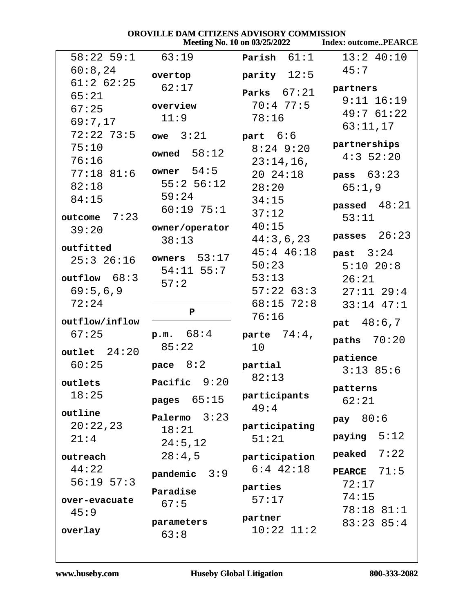| <b>OROVILLE DAM CITIZENS ADVISORY COMMISSION</b> |                |                                     |                             |
|--------------------------------------------------|----------------|-------------------------------------|-----------------------------|
|                                                  |                | <b>Meeting No. 10 on 03/25/2022</b> | <b>Index: outcomePEARCE</b> |
| $58:22$ 59:1                                     | 63:19          | Parish $61:1$                       | $13:2$ 40:10                |
| 60:8,24                                          | overtop        | parity $12:5$                       | 45:7                        |
| $61:2$ $62:25$                                   | 62:17          |                                     | partners                    |
| 65:21                                            |                | Parks $67:21$                       | $9:11$ $16:19$              |
| 67:25                                            | overview       | 70:477:5                            | 49:761:22                   |
| 69:7,17                                          | 11:9           | 78:16                               |                             |
| $72:22$ $73:5$                                   | $owe$ $3:21$   | part $6:6$                          | 63:11,17                    |
| 75:10                                            |                | $8:24$ 9:20                         | partnerships                |
| 76:16                                            | owned $58:12$  | $23:14,16$ ,                        | $4:3$ 52:20                 |
| $77:18$ 81:6                                     | owner $54:5$   | 20 24:18                            | pass $63:23$                |
| 82:18                                            | $55:2$ 56:12   | 28:20                               | 65:1,9                      |
| 84:15                                            | 59:24          | 34:15                               |                             |
| 7:23<br>outcome                                  | $60:19$ 75:1   | 37:12                               | passed $48:21$              |
| 39:20                                            | owner/operator | 40:15                               | 53:11                       |
|                                                  | 38:13          | 44:3,6,23                           | passes $26:23$              |
| outfitted                                        |                | $45:4$ $46:18$                      | past $3:24$                 |
| $25:3$ $26:16$                                   | owners $53:17$ | 50:23                               | $5:10$ 20:8                 |
| outflow 68:3                                     | $54:11$ 55:7   | 53:13                               | 26:21                       |
| 69:5,6,9                                         | 57:2           | $57:22$ 63:3                        | $27:11$ $29:4$              |
| 72:24                                            |                | $68:15$ 72:8                        | $33:14$ $47:1$              |
|                                                  | P              | 76:16                               |                             |
| outflow/inflow                                   |                |                                     | pat $48:6,7$                |
| 67:25                                            | p.m. 68:4      | parte $74:4$ ,                      | paths $70:20$               |
| $outlet$ $24:20$                                 | 85:22          | $10 \,$                             |                             |
| 60:25                                            | 8:2<br>pace    | partial                             | patience                    |
|                                                  |                | 82:13                               | $3:13$ 85:6                 |
| outlets                                          | Pacific 9:20   |                                     | patterns                    |
| 18:25                                            | pages $65:15$  | participants                        | 62:21                       |
| outline                                          | Palermo $3:23$ | 49:4                                |                             |
| 20:22,23                                         | 18:21          | participating                       | pay $80:6$                  |
| 21:4                                             | 24:5,12        | 51:21                               | 5:12<br>paying              |
| outreach                                         | 28:4,5         | participation                       | 7:22<br>peaked              |
| 44:22                                            |                | $6:4$ 42:18                         |                             |
| $56:19$ $57:3$                                   | pandemic $3:9$ |                                     | PEARCE $71:5$               |
|                                                  | Paradise       | parties                             | 72:17                       |
| over-evacuate                                    | 67:5           | 57:17                               | 74:15                       |
| 45:9                                             |                | partner                             | 78:18 81:1                  |
| overlay                                          | parameters     | $10:22$ $11:2$                      | $83:23$ $85:4$              |
|                                                  | 63:8           |                                     |                             |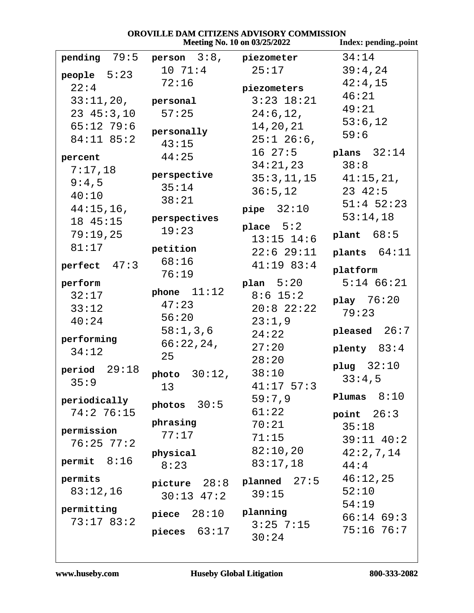| OROVILLE DAM CITIZENS ADVISORY COMMISSION |                           |                              |                     |
|-------------------------------------------|---------------------------|------------------------------|---------------------|
|                                           |                           | Meeting No. 10 on 03/25/2022 | Index: pendingpoint |
| pending 79:5                              | person $3:8$ , piezometer |                              | 34:14               |
| people $5:23$                             | 10 71:4                   | 25:17                        | 39:4,24             |
| 22:4                                      | 72:16                     | piezometers                  | 42:4,15             |
| $33:11,20$ , personal                     |                           | $3:23$ $18:21$               | 46:21               |
| $23 \t45:3,10$                            | 57:25                     | 24:6, 12,                    | 49:21               |
| $65:12$ 79:6                              |                           |                              | 53:6,12             |
| $84:11$ $85:2$                            | personally                | 14,20,21                     | 59:6                |
|                                           | 43:15                     | $25:1$ 26:6,                 |                     |
| percent                                   | 44:25                     | $16\;\;27:5$                 | plans $32:14$       |
| 7:17,18                                   | perspective               | 34:21,23                     | 38:8                |
| 9:4,5                                     | 35:14                     | 35:3,11,15                   | 41:15,21,           |
| 40:10                                     | 38:21                     | 36:5,12                      | $23 \t42:5$         |
| 44:15,16,                                 |                           | pipe $32:10$                 | $51:4$ $52:23$      |
| 18 45:15                                  | perspectives              |                              | 53:14,18            |
| 79:19,25                                  | 19:23                     | place $5:2$                  | plant $68:5$        |
| 81:17                                     | petition                  | $13:15$ $14:6$               |                     |
|                                           | 68:16                     | $22:6$ $29:11$               | plants $64:11$      |
| perfect $47:3$                            | 76:19                     | $41:19$ 83:4                 | platform            |
| perform                                   |                           | plan $5:20$                  | $5:14$ $66:21$      |
| 32:17                                     | phone $11:12$             | $8:6$ 15:2                   |                     |
| 33:12                                     | 47:23                     | $20:8$ 22:22                 | play $76:20$        |
| 40:24                                     | 56:20                     | 23:1,9                       | 79:23               |
|                                           | 58:1,3,6                  | 24:22                        | pleased $26:7$      |
| performing                                | 66:22,24,                 | 27:20                        | plenty $83:4$       |
| 34:12                                     | 25                        | 28:20                        |                     |
| period $29:18$                            |                           | 38:10                        | plug $32:10$        |
| 35:9                                      | photo 30:12,              | $41:17$ 57:3                 | 33:4,5              |
|                                           | 13                        |                              | 8:10<br>Plumas      |
| periodically                              | $photos$ 30:5             | 59:7,9                       |                     |
| 74:276:15                                 | phrasing                  | 61:22                        | point $26:3$        |
| permission                                | 77:17                     | 70:21                        | 35:18               |
| $76:25$ $77:2$                            |                           | 71:15                        | $39:11$ $40:2$      |
|                                           | physical                  | 82:10,20                     | 42:2,7,14           |
| permit $8:16$                             | 8:23                      | 83:17,18                     | 44:4                |
| permits                                   | picture $28:8$            | planed 27:5                  | 46:12,25            |
| 83:12,16                                  | $30:13$ 47:2              | 39:15                        | 52:10               |
| permitting                                |                           |                              | 54:19               |
| 73:1783:2                                 | piece $28:10$             | planning                     | $66:14$ $69:3$      |
|                                           | pieces $63:17$            | $3:25$ 7:15                  | $75:16$ $76:7$      |
|                                           |                           | 30:24                        |                     |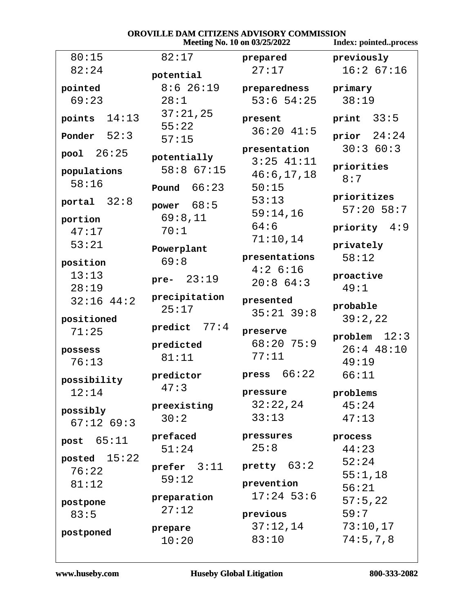|                  |              |                        | Meeting No. 10 on 03/25/2022   | <b>Index: pointedprocess</b> |
|------------------|--------------|------------------------|--------------------------------|------------------------------|
| 80:15            |              | 82:17                  | prepared                       | previously                   |
| 82:24            |              | potential              | 27:17                          | 16:267:16                    |
| pointed          |              | $8:6$ 26:19            | preparedness                   | primary                      |
| 69:23            |              | 28:1                   | $53:6$ $54:25$                 | 38:19                        |
| points           | 14:13        | 37:21,25<br>55:22      | present                        | print $33:5$                 |
| Ponder $52:3$    |              | 57:15                  | $36:20$ 41:5                   | prior $24:24$                |
| pool $26:25$     |              | potentially            | presentation<br>$3:25$ $41:11$ | 30:360:3                     |
| populations      |              | 58:8 67:15             | 46:6, 17, 18                   | priorities                   |
| 58:16            |              | Pound $66:23$          | 50:15                          | 8:7                          |
| portal $32:8$    |              | power $68:5$           | 53:13<br>59:14,16              | prioritizes<br>$57:20$ 58:7  |
| portion<br>47:17 |              | 69:8,11<br>70:1        | 64:6                           | priority $4:9$               |
| 53:21            |              | Powerplant             | 71:10,14                       | privately                    |
| position         |              | 69:8                   | presentations                  | 58:12                        |
| 13:13<br>28:19   |              | pre- $23:19$           | 4:26:16<br>20:864:3            | proactive<br>49:1            |
|                  | $32:16$ 44:2 | precipitation<br>25:17 | presented                      | probable                     |
| positioned       |              |                        | $35:21$ $39:8$                 | 39:2,22                      |
| 71:25            |              | predict $77:4$         | preserve                       | problem $12:3$               |
| possess          |              | predicted              | $68:20$ 75:9                   | $26:4$ 48:10                 |
| 76:13            |              | 81:11                  | 77:11                          | 49:19                        |
| possibility      |              | predictor              | press $66:22$                  | 66:11                        |
| 12:14            |              | 47:3                   | pressure                       | problems                     |
| possibly         |              | preexisting            | 32:22,24                       | 45:24                        |
|                  | $67:12$ 69:3 | 30:2                   | 33:13                          | 47:13                        |
| post $65:11$     |              | prefaced               | pressures                      | process                      |
| posted $15:22$   |              | 51:24                  | 25:8                           | 44:23                        |
| 76:22            |              | prefer $3:11$          | pretty $63:2$                  | 52:24                        |
| 81:12            |              | 59:12                  | prevention                     | 55:1,18                      |
|                  |              | preparation            | $17:24$ 53:6                   | 56:21<br>57:5,22             |
| postpone<br>83:5 |              | 27:12                  | previous                       | 59:7                         |
|                  |              | prepare                | 37:12,14                       | 73:10,17                     |
| postponed        |              | 10:20                  | 83:10                          | 74:5, 7, 8                   |
|                  |              |                        |                                |                              |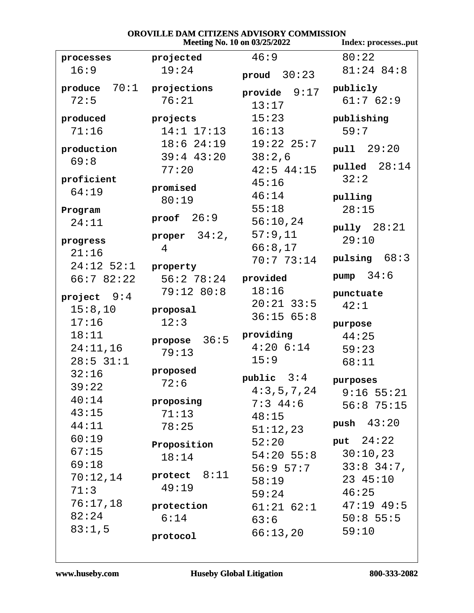| OROVILLE DAM CITIZENS ADVISORY COMMISSION<br>Meeting No. 10 on 03/25/2022 |                     |                |                               |
|---------------------------------------------------------------------------|---------------------|----------------|-------------------------------|
|                                                                           | Index: processesput |                |                               |
| processes                                                                 | projected           | 46:9           | 80:22                         |
| 16:9                                                                      | 19:24               | proud $30:23$  | $81:24$ $84:8$                |
| produce $70:1$ projections                                                |                     | provide $9:17$ | publicly                      |
| 72:5                                                                      | 76:21               | 13:17          | 61:762:9                      |
| produced                                                                  | projects            | 15:23          | publishing                    |
| 71:16                                                                     | $14:1$ $17:13$      | 16:13          | 59:7                          |
| production                                                                | $18:6$ $24:19$      | $19:22$ $25:7$ | pull 29:20                    |
| 69:8                                                                      | $39:4$ $43:20$      | 38:2,6         |                               |
|                                                                           | 77:20               | $42:5$ $44:15$ | pulled $28:14$                |
| proficient                                                                | promised            | 45:16          | 32:2                          |
| 64:19                                                                     | 80:19               | 46:14          | pulling                       |
| Program                                                                   |                     | 55:18          | 28:15                         |
| 24:11                                                                     | proof $26:9$        | 56:10,24       |                               |
|                                                                           | proper $34:2$ ,     | 57:9,11        | pully $28:21$                 |
| progress                                                                  | 4                   | 66:8,17        | 29:10                         |
| 21:16                                                                     |                     | 70:773:14      | pulsing $68:3$                |
| $24:12$ 52:1                                                              | property            |                | pump $34:6$                   |
| 66:782:22                                                                 | $56:2$ $78:24$      | provided       |                               |
| project $9:4$                                                             | 79:12 80:8          | 18:16          | punctuate                     |
| 15:8,10                                                                   | proposal            | $20:21$ 33:5   | 42:1                          |
| 17:16                                                                     | 12:3                | 36:1565:8      | purpose                       |
| 18:11                                                                     | propose $36:5$      | providing      | 44:25                         |
| 24:11,16                                                                  | 79:13               | $4:20$ $6:14$  | 59:23                         |
| $28:5$ 31:1                                                               |                     | 15:9           | 68:11                         |
| 32:16                                                                     | proposed            | public $3:4$   |                               |
| 39:22                                                                     | 72:6                | 4:3,5,7,24     | purposes                      |
| 40:14                                                                     | proposing           | $7:3$ 44:6     | $9:16$ 55:21                  |
| 43:15                                                                     | 71:13               | 48:15          | $56:8$ 75:15                  |
| 44:11                                                                     | 78:25               | 51:12,23       | push $43:20$                  |
| 60:19                                                                     |                     | 52:20          | put $24:22$                   |
| 67:15                                                                     | Proposition         | $54:20$ 55:8   | 30:10,23                      |
| 69:18                                                                     | 18:14               | 56:9 57:7      | $33:8$ 34:7,                  |
| 70:12,14                                                                  | protect $8:11$      | 58:19          | 23 45:10                      |
| 71:3                                                                      | 49:19               | 59:24          | 46:25                         |
| 76:17,18                                                                  | protection          |                | $61:21$ $62:1$ $47:19$ $49:5$ |
| 82:24                                                                     | 6:14                | 63:6           | $50:8$ 55:5                   |
| 83:1,5                                                                    |                     | 66:13,20       | 59:10                         |
|                                                                           | protocol            |                |                               |

## www.huseby.com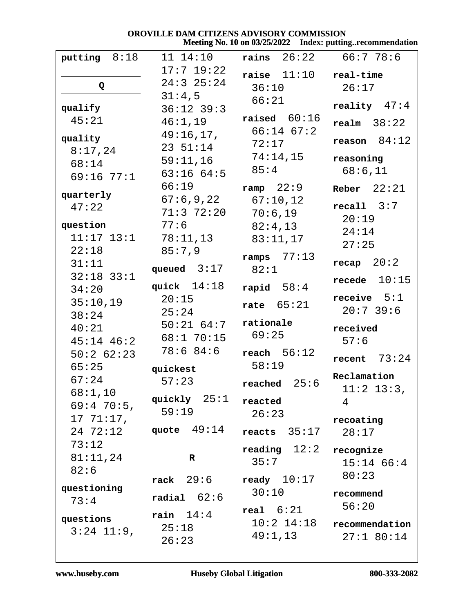#### OROVILLE DAM CITIZENS ADVISORY COMMISSION Meeting No. 10 on 03/25/2022 Index: putting..recommendation

| putting $8:18$ | 11 14:10                                 | rains $26:22$ $66:778:6$ |                        |
|----------------|------------------------------------------|--------------------------|------------------------|
|                | $17:7$ 19:22                             | raise 11.10              | real-time              |
| Q              | $24:3$ $25:24$                           | 36:10                    | 26:17                  |
| qualify        | 31:4,5                                   | 66:21                    | reality $47:4$         |
| 45:21          | $36:12$ $39:3$<br>46:1,19                | raised $60:16$           |                        |
|                | 49:16,17,                                | $66:14$ $67:2$           | $\texttt{realm}$ 38:22 |
| quality        | $23 \t 51:14$                            | 72:17                    | reason 84:12           |
| 8:17,24        | 59:11,16                                 | 74:14,15                 | reasoning              |
| 68:14          | 63:1664:5                                | 85:4                     | 68:6,11                |
| 69:16 77:1     | 66:19                                    |                          |                        |
| quarterly      |                                          | ramp $22:9$              | Reber $22:21$          |
| 47:22          | $67:6,9,22$ $67:10,12$<br>$71:3$ $72:20$ |                          | recall 3:7             |
| question       | 77:6                                     | 70:6,19                  | 20:19                  |
| $11:17$ $13:1$ | 78:11,13                                 | 82:4,13                  | 24:14                  |
| 22:18          | 85:7,9                                   | 83:11,17                 | 27:25                  |
| 31:11          |                                          | ramps $77:13$            | recap $20:2$           |
| $32:18$ $33:1$ | queued $3:17$                            | 82:1                     |                        |
| 34:20          | quick $14:18$                            | rapid $58:4$             | recede $10:15$         |
| 35:10,19       | 20:15                                    | rate $65:21$             | receive $5:1$          |
| 38:24          | 25:24                                    |                          | $20:7$ 39:6            |
| 40:21          | $50:21$ $64:7$                           | rationale                | received               |
| $45:14$ $46:2$ | $68:1$ 70:15                             | 69:25                    | 57:6                   |
| $50:2$ 62:23   | 78:684:6                                 | reach $56:12$            |                        |
| 65:25          | quickest                                 | 58:19                    | recent $73:24$         |
| 67:24          | 57:23                                    | reached $25:6$           | Reclamation            |
| $68:1$ , 10    |                                          |                          | $11:2$ 13:3,           |
| $69:4$ 70:5,   | quickly $25:1$                           | reacted                  | 4                      |
| $1771:17$ ,    | 59:19                                    | 26:23                    | recoating              |
| 24 72:12       | quote $49:14$                            | reacts $35:17$           | 28:17                  |
| 73:12          |                                          | reading $12:2$           | recognize              |
| 81:11,24       | R                                        | 35:7                     | $15:14$ 66:4           |
| 82:6           |                                          |                          | 80:23                  |
| questioning    | 29:6<br>rack                             | ready $10:17$            |                        |
| 73:4           | radial $62:6$                            | 30:10                    | recommend              |
|                | rain $14:4$                              | real $6:21$              | 56:20                  |
| questions      | 25:18                                    | $10:2$ $14:18$           | recommendation         |
| $3:24$ 11:9,   | 26:23                                    | 49:1,13                  | $27:1$ 80:14           |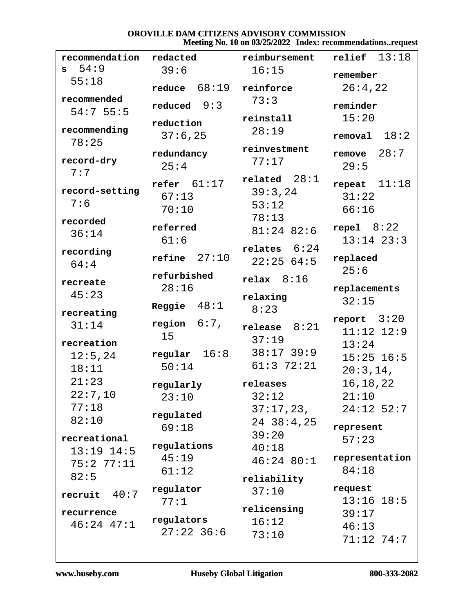### OROVILLE DAM CITIZENS ADVISORY COMMISSION Meeting No. 10 on 03/25/2022 Index: recommendations..request

| recommendation          | redacted                        | reimbursement                                | $relief$ $13:18$                  |
|-------------------------|---------------------------------|----------------------------------------------|-----------------------------------|
| 54:9<br>s               | 39:6                            | 16:15                                        | remember                          |
| 55:18                   | 68:19<br>reduce                 | reinforce                                    | 26:4,22                           |
| recommended<br>54:755:5 | 9:3<br>reduced                  | 73:3                                         | reminder                          |
| recommending            | reduction                       | reinstall                                    | 15:20                             |
| 78:25                   | 37:6,25                         | 28:19                                        | 18:2<br>removal                   |
| record-dry<br>7:7       | redundancy<br>25:4              | reinvestment<br>77:17                        | 28:7<br>remove<br>29:5            |
| record-setting<br>7:6   | refer $61:17$<br>67:13<br>70:10 | 28:1<br>related<br>39:3,24<br>53:12<br>78:13 | 11:18<br>repeat<br>31:22<br>66:16 |
| recorded<br>36:14       | referred<br>61:6                | $81:24$ 82:6                                 | repel $8:22$<br>$13:14$ $23:3$    |
| recording<br>64:4       | $refine$ 27:10                  | relates $6:24$<br>22:2564:5                  | replaced                          |
| recreate                | refurbished                     | relax $8:16$                                 | 25:6                              |
| 45:23                   | 28:16                           | relaxing                                     | replacements<br>32:15             |
| recreating              | Reggie $48:1$                   | 8:23                                         |                                   |
| 31:14                   | $6:7$ ,<br>region               | 8:21<br>release                              | report $3:20$                     |
| recreation              | 15                              | 37:19                                        | $11:12$ $12:9$<br>13:24           |
| 12:5,24                 | regular $16:8$                  | $38:17$ 39:9                                 | $15:25$ 16:5                      |
| 18:11                   | 50:14                           | $61:3$ 72:21                                 | 20:3,14,                          |
| 21:23                   | regularly                       | releases                                     | 16, 18, 22                        |
| 22:7,10                 | 23:10                           | 32:12                                        | 21:10                             |
| 77:18                   | regulated                       | 37:17,23,                                    | $24:12$ 52:7                      |
| 82:10                   | 69:18                           | 24 38:4,25                                   | represent                         |
| recreational            |                                 | 39:20                                        | 57:23                             |
| $13:19$ $14:5$          | regulations                     | 40:18                                        | representation                    |
| 75:277:11               | 45:19<br>61:12                  | $46:24$ 80:1                                 | 84:18                             |
| 82:5                    |                                 | reliability                                  |                                   |
| 40:7<br>recruit         | regulator                       | 37:10                                        | request                           |
| recurrence              | 77:1                            | relicensing                                  | $13:16$ $18:5$                    |
| $46:24$ $47:1$          | regulators                      | 16:12                                        | 39:17<br>46:13                    |
|                         | $27:22$ 36:6                    | 73:10                                        | $71:12$ 74:7                      |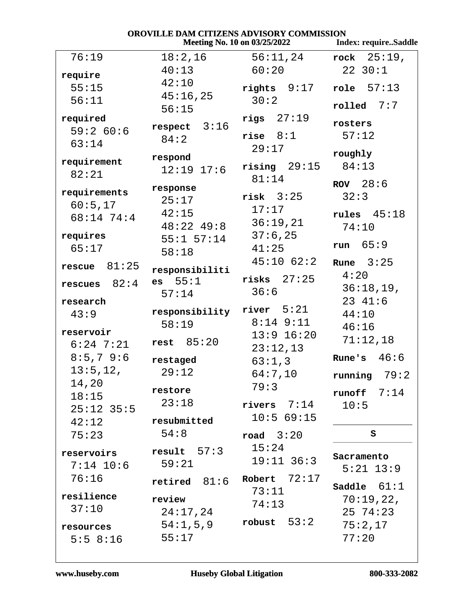| <b>OROVILLE DAM CITIZENS ADVISORY COMMISSION</b><br>Meeting No. 10 on 03/25/2022<br><b>Index: requireSaddle</b> |                |                       |                 |
|-----------------------------------------------------------------------------------------------------------------|----------------|-----------------------|-----------------|
| 76:19                                                                                                           | 18:2,16        | 56:11,24              | rock $25:19$ ,  |
|                                                                                                                 | 40:13          | 60:20                 | 2230:1          |
| require                                                                                                         | 42:10          |                       |                 |
| 55:15                                                                                                           | 45:16,25       | $rights 9:17$         | role $57:13$    |
| 56:11                                                                                                           | 56:15          | 30:2                  | $rolled$ $7:7$  |
| required                                                                                                        |                | rigs $27:19$          | rosters         |
| 59:2 60:6                                                                                                       | respect $3:16$ | rise $8:1$            | 57:12           |
| 63:14                                                                                                           | 84:2           | 29:17                 |                 |
| requirement                                                                                                     | respond        |                       | roughly         |
| 82:21                                                                                                           | $12:19$ $17:6$ | $\text{rising}$ 29:15 | 84:13           |
|                                                                                                                 | response       | 81:14                 | ROV $28:6$      |
| requirements                                                                                                    | 25:17          | $risk$ $3:25$         | 32:3            |
| 60:5,17                                                                                                         | 42:15          | 17:17                 | rules $45:18$   |
| 68:14 74:4                                                                                                      | $48:22$ $49:8$ | 36:19,21              | 74:10           |
| requires                                                                                                        | $55:1$ $57:14$ | 37:6,25               |                 |
| 65:17                                                                                                           | 58:18          | 41:25                 | run $65:9$      |
|                                                                                                                 |                | $45:10$ $62:2$        | Rune $3:25$     |
| rescue $81:25$                                                                                                  | responsibiliti |                       | 4:20            |
| rescues $82:4$                                                                                                  | es 55:1        | $ri$ sks $27:25$      | 36:18,19,       |
| research                                                                                                        | 57:14          | 36:6                  | $23 \t41:6$     |
| 43:9                                                                                                            | responsibility | river $5:21$          | 44:10           |
|                                                                                                                 | 58:19          | $8:14$ $9:11$         | 46:16           |
| reservoir                                                                                                       | rest $85:20$   | $13:9$ $16:20$        | 71:12,18        |
| $6:24$ 7:21                                                                                                     |                | 23:12,13              |                 |
| $8:5,7$ 9:6                                                                                                     | restaged       | 63:1,3                | 46:6<br>Rune's  |
| 13:5, 12,                                                                                                       | 29:12          | 64:7,10               | 79:2<br>running |
| 14,20                                                                                                           | restore        | 79:3                  | runoff $7:14$   |
| 18:15                                                                                                           | 23:18          | rivers $7:14$         | 10:5            |
| $25:12$ 35:5                                                                                                    |                | 10:569:15             |                 |
| 42:12                                                                                                           | resubmitted    |                       |                 |
| 75:23                                                                                                           | 54:8           | road $3:20$           | S               |
| reservoirs                                                                                                      | result $57:3$  | 15:24                 | Sacramento      |
| $7:14$ 10:6                                                                                                     | 59:21          | $19:11$ 36:3          | $5:21$ $13:9$   |
| 76:16                                                                                                           | retired $81:6$ | Robert $72:17$        |                 |
| resilience                                                                                                      |                | 73:11                 | Saddle $61:1$   |
| 37:10                                                                                                           | review         | 74:13                 | 70:19,22,       |
|                                                                                                                 | 24:17,24       | robust $53:2$         | 25 74:23        |
| resources                                                                                                       | 54:1,5,9       |                       | 75:2,17         |
| 5:58:16                                                                                                         | 55:17          |                       | 77:20           |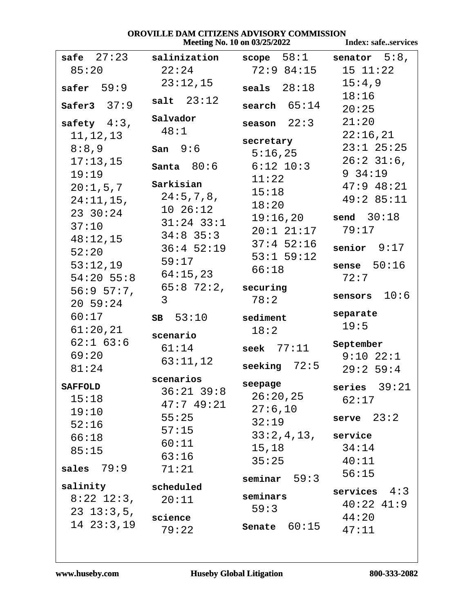# **OROVILLE DAM CITIZENS ADVISORY COMMISSION<br>Meeting No. 10 on 03/25/2022**

|                                  |                   | Meeting No. 10 on 03/25/2022 | <b>Index: safeservices</b> |
|----------------------------------|-------------------|------------------------------|----------------------------|
| safe $27:23$                     | salinization      | $score = 58:1$               | senator $5:8$ ,            |
| 85:20                            | 22:24             | 72:984:15                    | 15 11:22                   |
| safer $59:9$                     | 23:12,15          | seals $28:18$                | 15:4,9                     |
|                                  | salt $23:12$      |                              | 18:16                      |
| Safer3 $37:9$                    |                   | search $65:14$               | 20:25                      |
| safety $4:3$ ,                   | Salvador          | season $22:3$                | 21:20                      |
| 11, 12, 13                       | 48:1              | secretary                    | 22:16,21                   |
| 8:8,9                            | san 9:6           | 5:16,25                      | $23:1$ $25:25$             |
| 17:13,15                         | Santa $80:6$      | $6:12$ $10:3$                | $26:2$ 31:6,               |
| 19:19                            |                   | 11:22                        | 9.34:19                    |
| 20:1,5,7                         | Sarkisian         | 15:18                        | $47:9$ $48:21$             |
| $24:11,15$ ,                     | 24:5,7,8,         | 18:20                        | 49:2 85:11                 |
| 23 30:24                         | 1026:12           | 19:16,20                     | send $30:18$               |
| 37:10                            | $31:24$ 33:1      | $20:1$ $21:17$               | 79:17                      |
| 48:12,15                         | $34:8$ 35:3       | $37:4$ 52:16                 |                            |
| 52:20                            | $36:4$ 52:19      | $53:1$ $59:12$               | senior $9:17$              |
| 53:12,19                         | 59:17             | 66:18                        | sense $50:16$              |
| $54:20$ 55:8                     | 64:15,23          |                              | 72:7                       |
| 56:957:7,                        | $65:8$ 72:2,<br>3 | securing<br>78:2             | 10:6<br>sensors            |
| 20.59:24                         |                   |                              |                            |
| 60:17                            | $SB$ 53:10        | sediment                     | separate<br>19:5           |
| 61:20,21                         | scenario          | 18:2                         |                            |
| $62:1$ $63:6$                    | 61:14             | seek $77:11$                 | September                  |
| 69:20                            | 63:11,12          | seeking $72:5$               | $9:10$ $22:1$              |
| 81:24                            | scenarios         |                              | 29:259:4                   |
| <b>SAFFOLD</b>                   | $36:21$ $39:8$    | seepage                      | series $39:21$             |
| 15:18                            | 47:749:21         | 26:20,25                     | 62:17                      |
| 19:10                            | 55:25             | 27:6,10                      | serve 23:2                 |
| 52:16                            | 57:15             | 32:19                        |                            |
| 66:18                            | 60:11             | $33:2,4,13$ , service        |                            |
| 85:15                            | 63:16             | 15,18                        | 34:14                      |
| sales $79:9$                     | 71:21             | 35:25                        | 40:11                      |
|                                  |                   | seminar $59:3$               | 56:15                      |
| salinity<br>$8:22$ 12:3, $20:11$ | scheduled         | seminars                     | services $4:3$             |
| $23 \t13:3,5,$                   |                   | 59:3                         | $40:22$ $41:9$             |
| 1423:3,19                        | science           |                              | 44:20                      |
|                                  | 79:22             | 60:15<br>Senate              | 47:11                      |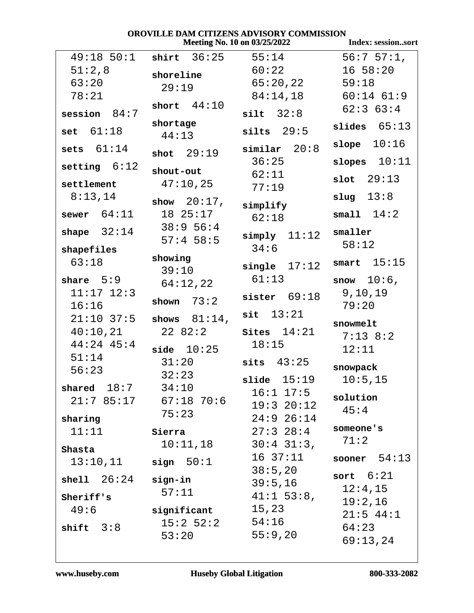# **OROVILLE DAM CITIZENS ADVISORY COMMISSION<br>Meeting No. 10 on 03/25/2022**

|                |                              | <b>Meeting No. 10 on 03/25/2022</b> | Index: sessionsort |
|----------------|------------------------------|-------------------------------------|--------------------|
|                | $49:18$ 50:1 shirt 36:25     | 55:14                               | $56:757:1$ ,       |
| 51:2,8         | shoreline                    | 60:22                               | $16\;\;58:20$      |
| 63:20          | 29:19                        | $65:20,22$ 59:18                    |                    |
| 78:21          |                              | 84:14,18                            | $60:14$ $61:9$     |
| session $84:7$ | short $44:10$                | silt 32:8                           | $62:3$ $63:4$      |
| set $61:18$    | shortage<br>44:13            | silts $29:5$                        | slides $65:13$     |
| sets $61:14$   | shot $29:19$                 | similar 20:8                        | slope $10:16$      |
| setting $6:12$ |                              | 36:25                               | slopes $10:11$     |
|                | shout-out                    | 62:11                               | slot $29:13$       |
| settlement     | 47:10,25                     | 77:19                               |                    |
| 8:13,14        | show $20:17$ ,               | simplify                            | slug $13:8$        |
| sewer $64:11$  | 18 25:17                     | 62:18                               | small $14:2$       |
| shape $32:14$  | 38:9 56:4                    | $simply$ $11:12$                    | smaller            |
| shapefiles     | $57:4$ 58:5                  | 34:6                                | 58:12              |
| 63:18          | showing                      |                                     | smart $15:15$      |
|                | 39:10                        | single $17:12$                      |                    |
| share $5:9$    | 64:12,22                     | 61:13                               | snow $10:6$ ,      |
| $11:17$ $12:3$ | shown $73:2$                 | sister $69:18$                      | 9, 10, 19          |
| 16:16          |                              | 13:21<br>sit                        | 79:20              |
|                | $21:10$ 37:5 shows $81:14$ , |                                     | snowmelt           |
| 40:10,21       | 22 82:2                      | $\texttt{sites}$ $14:21$            | $7:13$ 8:2         |
| $44:24$ 45:4   | side 10:25                   | 18:15                               | 12:11              |
| 51:14<br>56:23 | 31:20                        | sits $43:25$                        | snowpack           |
|                | 32:23                        | 15:19<br>slide                      | 10:5,15            |
| shared $18:7$  | 34:10                        | $16:1$ $17:5$                       |                    |
|                | 21:7 85:17 67:18 70:6        | 19:320:12                           | solution<br>45:4   |
| sharing        | 75:23                        | $24:9$ 26:14                        |                    |
| 11:11          | Sierra                       | $27:3$ $28:4$                       | someone's          |
| Shasta         | 10:11,18                     | $30:4$ 31:3,                        | 71:2               |
| 13:10,11       | sign 50:1                    | $16 \t37:11$                        | sooner $54:13$     |
|                |                              | 38:5,20                             | sort $6:21$        |
| shell $26:24$  | sign-in                      | 39:5,16                             | 12:4,15            |
| Sheriff's      | 57:11                        | $41:1$ 53:8,                        | 19:2,16            |
| 49:6           | significant                  | 15,23                               | $21:5$ 44:1        |
| shift $3:8$    | 15:2 52:2                    | 54:16                               | 64:23              |
|                | 53:20                        | 55:9,20                             | 69:13,24           |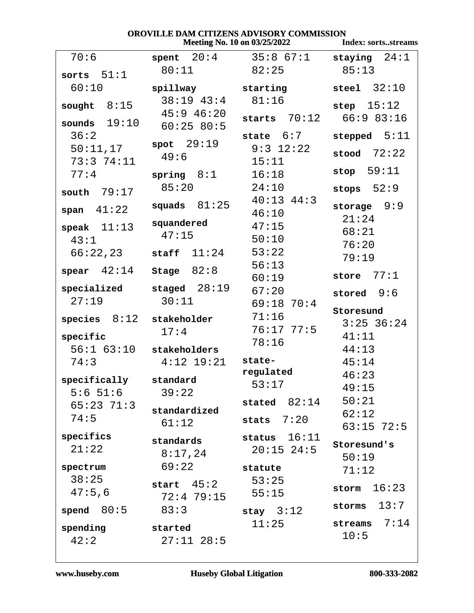## **OROVILLE DAM CITIZENS ADVISORY COMMISSION<br>Meeting No. 10 on 03/25/2022** Index: sorts...streams

|                       |                             | <b>IVICCUILE IVO. TO OII 03/23/2022</b> | muex; softsstreams |
|-----------------------|-----------------------------|-----------------------------------------|--------------------|
| 70:6                  |                             | <b>spent</b> $20:4$ $35:867:1$          | staying $24:1$     |
| sorts $51:1$          | 80:11                       | 82:25                                   | 85:13              |
| 60:10                 | spillway starting           |                                         | steel $32:10$      |
| sought $8:15$         | $38:19$ $43:4$              | 81:16                                   | step $15:12$       |
|                       | $45:9$ $46:20$              | starts $70:12$                          | 66:983:16          |
| sounds $19:10$        | 60:2580:5                   |                                         |                    |
| 36:2                  | spot 29:19                  | state $6:7$                             | stepped $5:11$     |
| 50:11,17              | 49:6                        | $9:3$ 12:22                             | stood $72:22$      |
| 73:374:11             |                             | 15:11                                   | stop $59:11$       |
| 77:4                  | spring $8:1$                | 16:18                                   |                    |
| 79:17<br>south        | 85:20                       | 24:10                                   | stops $52:9$       |
| span $41:22$          | squads $81:25$              | $40:13$ $44:3$                          | storage $9:9$      |
|                       | squandered                  | 46:10<br>47:15                          | 21:24              |
| speak $11:13$         | 47:15                       | 50:10                                   | 68:21              |
| 43:1                  |                             | 53:22                                   | 76:20              |
| 66:22,23              | staff $11:24$               | 56:13                                   | 79:19              |
| spear $42:14$         | Stage $82:8$                | 60:19                                   | 77:1<br>store      |
| specialized           | staged $28:19$              | 67:20                                   | stored $9:6$       |
| 27:19                 | 30:11                       | $69:18$ 70:4                            |                    |
| species $8:12$        | stakeholder                 | 71:16                                   | Storesund          |
|                       | 17:4                        | $76:17$ $77:5$                          | $3:25$ 36:24       |
| specific              |                             | 78:16                                   | 41:11              |
|                       | $56:1$ $63:10$ stakeholders |                                         | 44:13              |
| 74:3                  | $4:12$ $19:21$              | state-<br>regulated                     | 45:14              |
| specifically standard |                             | 53:17                                   | 46:23              |
| $5:6$ $51:6$          | 39:22                       |                                         | 49:15              |
| $65:23$ 71:3          | standardized                | stated $82:14$                          | 50:21              |
| 74:5                  | 61:12                       | stats $7:20$                            | 62:12              |
| specifics             |                             | status $16:11$                          | $63:15$ 72:5       |
| 21:22                 | standards                   | $20:15$ $24:5$                          | Storesund's        |
|                       | 8:17,24<br>69:22            |                                         | 50:19              |
| spectrum<br>38:25     |                             | statute                                 | 71:12              |
| 47:5,6                | start $45:2$                | 53:25<br>55:15                          | 16:23<br>storm     |
|                       | 72:479:15                   |                                         | 13:7<br>storms     |
| spend $80:5$          | 83:3                        | stay $3:12$                             |                    |
| spending              | started                     | 11:25                                   | 7:14<br>streams    |
| 42:2                  | $27:11$ $28:5$              |                                         | 10:5               |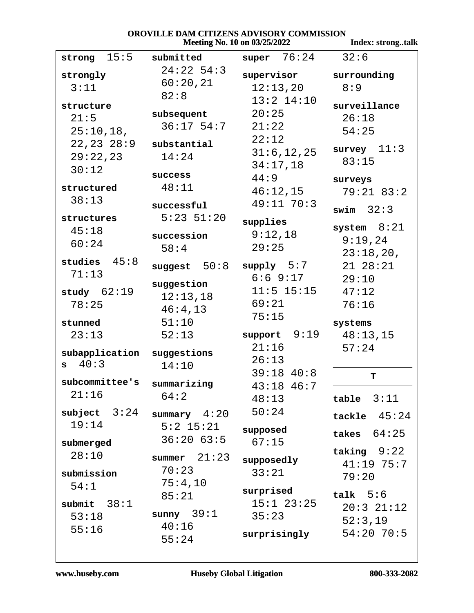#### OROVILLE DAM CITIZENS ADVISORY COMMISSION Meeting No. 10 on 03/25/2022

Index: strong..talk

| 15:5<br>strong | submitted      | super $76:24$   | 32:6           |
|----------------|----------------|-----------------|----------------|
| strongly       | $24:22$ 54:3   | supervisor      | surrounding    |
| 3:11           | 60:20,21       | 12:13,20        | 8:9            |
|                | 82:8           | $13:2$ $14:10$  |                |
| structure      | subsequent     | 20:25           | surveillance   |
| 21:5           | $36:17$ 54:7   | 21:22           | 26:18          |
| 25:10,18,      |                | 22:12           | 54:25          |
| 22, 23, 28:9   | substantial    |                 | survey $11:3$  |
| 29:22,23       | 14:24          | 31:6, 12, 25    | 83:15          |
| 30:12          | success        | 34:17,18        |                |
| structured     | 48:11          | 44:9            | surveys        |
| 38:13          |                | 46:12,15        | $79:21$ 83:2   |
|                | successful     | $49:11$ 70:3    | swim $32:3$    |
| structures     | $5:23$ $51:20$ | supplies        |                |
| 45:18          | succession     | 9:12,18         | system $8:21$  |
| 60:24          | 58:4           | 29:25           | 9:19,24        |
|                |                |                 | 23:18,20,      |
| studies $45:8$ | suggest $50:8$ | supply 5:7      | 21 28:21       |
| 71:13          | suggestion     | 6:69:17         | 29:10          |
| study $62:19$  | 12:13,18       | $11:5$ $15:15$  | 47:12          |
| 78:25          | 46:4,13        | 69:21           | 76:16          |
|                |                | 75:15           |                |
| stunned        | 51:10          |                 | systems        |
| 23:13          | 52:13          | 9:19<br>support | 48:13,15       |
| subapplication | suggestions    | 21:16           | 57:24          |
| $s = 40:3$     | 14:10          | 26:13           |                |
| subcommittee's |                | $39:18$ 40:8    | T              |
| 21:16          | summarizing    | $43:18$ $46:7$  |                |
|                | 64:2           | 48:13           | table $3:11$   |
| subject $3:24$ | summary $4:20$ | 50:24           | tackle $45:24$ |
| 19:14          | $5:2$ 15:21    | supposed        |                |
| submerged      | 36:2063:5      | 67:15           | takes $64:25$  |
| 28:10          |                |                 | taking $9:22$  |
|                | summer $21:23$ | supposedly      | $41:19$ 75:7   |
| submission     | 70:23          | 33:21           | 79:20          |
| 54:1           | 75:4,10        | surprised       |                |
| submit $38:1$  | 85:21          | $15:1$ $23:25$  | talk $5:6$     |
| 53:18          | sunny $39:1$   | 35:23           | $20:3$ $21:12$ |
| 55:16          | 40:16          |                 | 52:3,19        |
|                | 55:24          | surprisingly    | $54:20$ 70:5   |
|                |                |                 |                |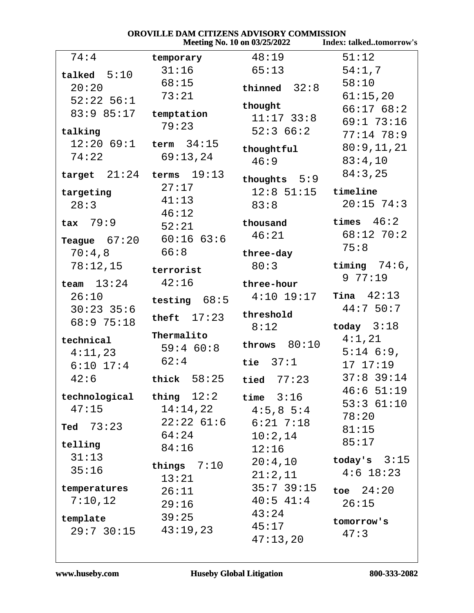|                              |                     | Meeting No. 10 on 03/25/2022 | <b>Index: talkedtomorrow's</b> |
|------------------------------|---------------------|------------------------------|--------------------------------|
| 74:4                         | temporary           | 48:19                        | 51:12                          |
| talked $5:10$                | 31:16               | 65:13                        | 54:1,7                         |
| 20:20                        | 68:15               | thinned $32:8$               | 58:10                          |
| $52:22$ 56:1                 | 73:21               |                              | 61:15,20                       |
| 83:9 85:17                   |                     | thought                      | 66:1768:2                      |
|                              | temptation<br>79:23 | $11:17$ 33:8                 | 69:173:16                      |
| talking                      |                     | 52:366:2                     | $77:14$ 78:9                   |
| $12:20$ 69:1 term $34:15$    |                     | thoughtful                   | 80:9,11,21                     |
| 74:22                        | 69:13,24            | 46:9                         | 83:4,10                        |
| target $21:24$ terms $19:13$ |                     | thoughts $5:9$               | 84:3,25                        |
| targeting                    | 27:17               | $12:8$ 51:15                 | timeline                       |
| 28:3                         | 41:13               | 83:8                         | $20:15$ 74:3                   |
|                              | 46:12               |                              |                                |
| $\texttt{tax}$ 79:9          | 52:21               | thousand                     | times $46:2$                   |
| Teague $67:20$               | 60:1663:6           | 46:21                        | $68:12$ 70:2                   |
| 70:4,8                       | 66:8                | three-day                    | 75:8                           |
| 78:12,15                     |                     | 80:3                         | timing $74:6$ ,                |
|                              | terrorist           |                              | 977:19                         |
| team $13:24$                 | 42:16               | three-hour                   |                                |
| 26:10                        | testing $68:5$      | $4:10$ $19:17$               | Tina $42:13$                   |
| $30:23$ 35:6                 | theft $17:23$       | threshold                    | 44:750:7                       |
| 68:9 75:18                   |                     | 8:12                         | today $3:18$                   |
| technical                    | Thermalito          | throws $80:10$               | 4:1,21                         |
| 4:11,23                      | 59:4 60:8           |                              | $5:14$ 6:9,                    |
| $6:10$ 17:4                  | 62:4                | tie $37:1$                   | 1717:19                        |
| 42:6                         | thick $58:25$       | tied $77:23$                 | $37:8$ 39:14                   |
| $technological$ thing $12:2$ |                     | time $3:16$                  | $46:6$ 51:19                   |
| 47:15                        | 14:14,22            | $4:5,8\ 5:4$                 | 53:361:10                      |
|                              | $22:22$ $61:6$      | $6:21$ $7:18$                | 78:20                          |
| Ted $73:23$                  | 64:24               | 10:2,14                      | 81:15                          |
| telling                      | 84:16               | 12:16                        | 85:17                          |
| 31:13                        |                     | 20:4,10                      | today's $3:15$                 |
| 35:16                        | things $7:10$       |                              | $4:6$ 18:23                    |
|                              | 13:21               | 21:2,11                      |                                |
| temperatures                 | 26:11               | $35:7$ 39:15                 | toe $24:20$                    |
| 7:10,12                      | 29:16               | $40:5$ $41:4$                | 26:15                          |
| template                     | 39:25               | 43:24                        | tomorrow's                     |
| $29:7$ 30:15 $43:19,23$      |                     | 45:17                        | 47:3                           |
|                              |                     | 47:13,20                     |                                |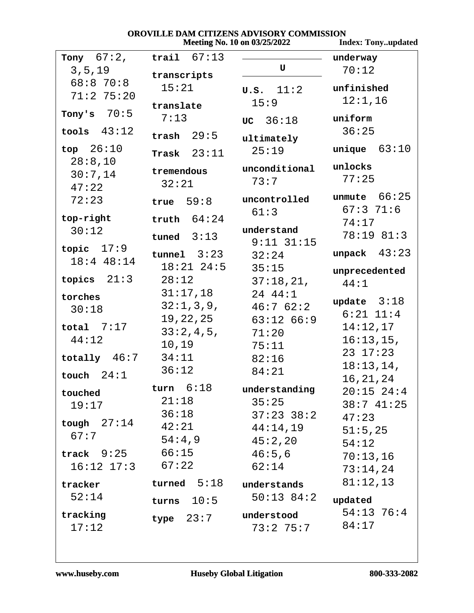### OROVILLE DAM CITIZENS ADVISORY COMMISSION Meeting No. 10 on 03/25/2022

**Index: Tony..updated** 

| Tony $67:2$ ,         | trail $67:13$  |                        | underway                |
|-----------------------|----------------|------------------------|-------------------------|
| 3, 5, 19              | transcripts    | U                      | 70:12                   |
| 68:870:8              | 15:21          | $\sigma$ .s. $11:2$    | unfinished              |
| $71:2$ 75:20          | translate      | 15:9                   | 12:1,16                 |
| Tony's $70:5$         | 7:13           | UC 36:18               | uniform                 |
| tools $43:12$         | trash $29:5$   |                        | 36:25                   |
| top $26:10$           |                | ultimately             | unique $63:10$          |
| 28:8,10               | Trask $23:11$  | 25:19                  |                         |
| 30:7,14               | tremendous     | unconditional          | unlocks                 |
| 47:22                 | 32:21          | 73:7                   | 77:25                   |
| 72:23                 | true $59:8$    | uncontrolled           | unmute $66:25$          |
| top-right             | truth $64:24$  | 61:3                   | 67:371:6                |
| 30:12                 |                | understand             | 74:17                   |
|                       | tuned $3:13$   | $9:11$ $31:15$         | 78:19 81:3              |
| topic $17:9$          | tunnel 3:23    | 32:24                  | unpack $43:23$          |
| 18:4 48:14            | $18:21$ $24:5$ | 35:15                  | unprecedented           |
| 21:3<br>topics        | 28:12          | 37:18,21,              | 44:1                    |
| torches               | 31:17,18       | 24 44:1                | update $3:18$           |
| 30:18                 | 32:1,3,9,      | $46:7$ $62:2$          | $6:21$ $11:4$           |
| total $7:17$          | 19,22,25       | $63:12$ $66:9$         | 14:12,17                |
| 44:12                 | 33:2,4,5,      | 71:20                  | 16:13,15,               |
|                       | 10,19          | 75:11                  | $23 \t17:23$            |
| totally $46:7$        | 34:11          | 82:16                  | 18:13,14,               |
| 24:1<br>touch         | 36:12          | 84:21                  | 16, 21, 24              |
| touched               | turn $6:18$    | understanding          | $20:15$ 24:4            |
| 19:17                 | 21:18          | 35:25                  | 38:741:25               |
|                       | 36:18          | $37:23$ $38:2$         | 47:23                   |
| tough $27:14$         | 42:21          | 44:14,19               | 51:5,25                 |
| 67:7                  | 54:4,9         | 45:2,20                | 54:12                   |
| $\texttt{track}$ 9:25 | 66:15          | 46:5,6                 | 70:13,16                |
| 16:12 17:3            | 67:22          | 62:14                  | 73:14,24                |
| tracker               | turned $5:18$  | understands            | 81:12,13                |
| 52:14                 | turns $10:5$   | $50:13$ 84:2           | updated                 |
| tracking<br>17:12     | type $23:7$    | understood<br>73:275:7 | $54:13 \ 76:4$<br>84:17 |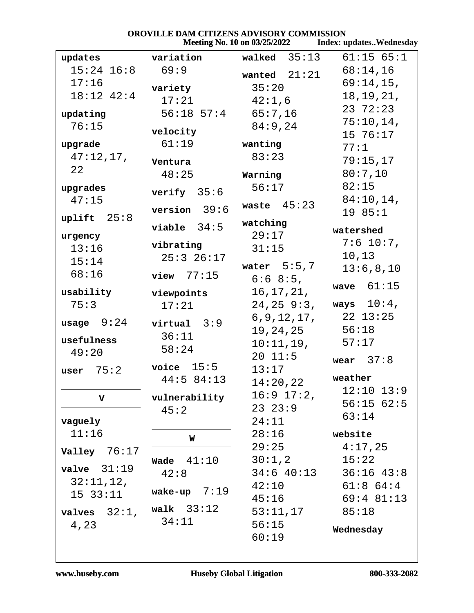|                     |                | Meeting No. 10 on 03/25/2022 | <b>Index: updatesWednesday</b> |
|---------------------|----------------|------------------------------|--------------------------------|
| updates             | variation      | 35:13<br>walked              | 61:15 65:1                     |
| $15:24$ $16:8$      | 69:9           | wanted $21:21$               | 68:14,16                       |
| 17:16               | variety        | 35:20                        | $69:14,15$ ,                   |
| 18:12 42:4          | 17:21          | 42:1,6                       | 18, 19, 21,                    |
| updating            | $56:18$ $57:4$ | 65:7,16                      | 23 72:23                       |
| 76:15               |                | 84:9,24                      | $75:10,14$ ,                   |
|                     | velocity       |                              | 15 76:17                       |
| upgrade             | 61:19          | wanting                      | 77:1                           |
| 47:12,17,           | Ventura        | 83:23                        | 79:15,17                       |
| 22                  | 48:25          | Warning                      | 80:7,10                        |
| upgrades            | verify $35:6$  | 56:17                        | 82:15                          |
| 47:15               |                | 45:23<br>waste               | 84:10,14,                      |
| uplift 25:8         | version $39:6$ |                              | 19 85:1                        |
|                     | viable $34:5$  | watching<br>29:17            | watershed                      |
| urgency             | vibrating      |                              | $7:6$ 10:7,                    |
| 13:16<br>15:14      | $25:3$ $26:17$ | 31:15                        | 10,13                          |
| 68:16               |                | water $5:5,7$                | 13:6,8,10                      |
|                     | $view$ 77:15   | $6:68:5$ ,                   | wave $61:15$                   |
| usability           | viewpoints     | 16, 17, 21,                  |                                |
| 75:3                | 17:21          | 24, 25, 9:3,                 | ways $10:4$ ,                  |
| usage $9:24$        | $virtual$ 3:9  | 6, 9, 12, 17,                | $22$ $13:25$                   |
|                     | 36:11          | 19, 24, 25                   | 56:18                          |
| usefulness<br>49:20 | 58:24          | 10:11,19,                    | 57:17                          |
|                     |                | 2011:5                       | wear $37:8$                    |
| 75:2<br>user        | voice $15:5$   | 13:17                        | weather                        |
|                     | 44:5 84:13     | 14:20,22                     | $12:10$ $13:9$                 |
| $\mathbf v$         | vulnerability  | $16:9$ $17:2$ ,              | 56:1562:5                      |
|                     | 45:2           | $23 \t23:9$                  | 63:14                          |
| vaguely             |                | 24:11                        |                                |
| 11:16               | W              | 28:16                        | website                        |
| Valley $76:17$      |                | 29:25                        | 4:17,25                        |
| valve $31:19$       | 41:10<br>Wade  | 30:1,2                       | 15:22                          |
| 32:11,12,           | 42:8           | $34:6$ 40:13                 | $36:16$ 43:8                   |
| $15 \t33:11$        | wake-up $7:19$ | 42:10                        | $61:8$ $64:4$                  |
|                     | walk $33:12$   | 45:16                        | $69:4$ 81:13                   |
| valves $32:1$ ,     | 34:11          | 53:11,17                     | 85:18                          |
| 4,23                |                | 56:15                        | Wednesday                      |
|                     |                | 60:19                        |                                |